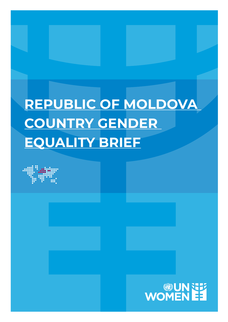# **REPUBLIC OF MOLDOVA COUNTRY GENDER EQUALITY BRIEF**



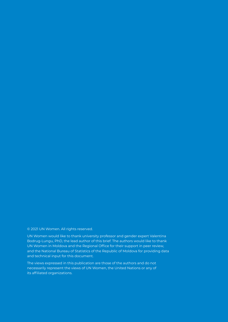#### © 2021 UN Women. All rights reserved.

UN Women would like to thank university professor and gender expert Valentina Bodrug-Lungu, PhD, the lead author of this brief. The authors would like to thank UN Women in Moldova and the Regional Office for their support in peer review, and the National Bureau of Statistics of the Republic of Moldova for providing data and technical input for this document.

The views expressed in this publication are those of the authors and do not necessarily represent the views of UN Women, the United Nations or any of its affiliated organizations.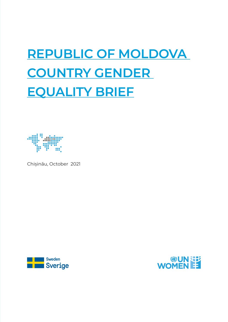# **REPUBLIC OF MOLDOVA COUNTRY GENDER EQUALITY BRIEF**



Chișinău, October 2021



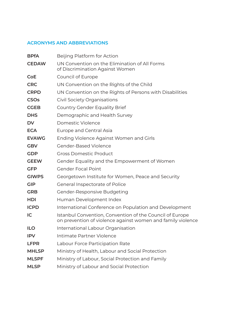# **ACRONYMS AND ABBREVIATIONS**

| <b>BPfA</b>  | Beijing Platform for Action                                                                                             |
|--------------|-------------------------------------------------------------------------------------------------------------------------|
| <b>CEDAW</b> | UN Convention on the Elimination of All Forms<br>of Discrimination Against Women                                        |
| <b>CoE</b>   | Council of Europe                                                                                                       |
| <b>CRC</b>   | UN Convention on the Rights of the Child                                                                                |
| <b>CRPD</b>  | UN Convention on the Rights of Persons with Disabilities                                                                |
| <b>CSOs</b>  | Civil Society Organisations                                                                                             |
| <b>CGEB</b>  | <b>Country Gender Equality Brief</b>                                                                                    |
| <b>DHS</b>   | Demographic and Health Survey                                                                                           |
| <b>DV</b>    | Domestic Violence                                                                                                       |
| <b>ECA</b>   | Europe and Central Asia                                                                                                 |
| <b>EVAWG</b> | Ending Violence Against Women and Girls                                                                                 |
| <b>GBV</b>   | <b>Gender-Based Violence</b>                                                                                            |
| <b>GDP</b>   | <b>Gross Domestic Product</b>                                                                                           |
| <b>GEEW</b>  | Gender Equality and the Empowerment of Women                                                                            |
| <b>GFP</b>   | <b>Gender Focal Point</b>                                                                                               |
| <b>GIWPS</b> | Georgetown Institute for Women, Peace and Security                                                                      |
| <b>GIP</b>   | General Inspectorate of Police                                                                                          |
| <b>GRB</b>   | Gender-Responsive Budgeting                                                                                             |
| <b>HDI</b>   | Human Development Index                                                                                                 |
| <b>ICPD</b>  | International Conference on Population and Development                                                                  |
| IC           | Istanbul Convention, Convention of the Council of Europe<br>on prevention of violence against women and family violence |
| <b>ILO</b>   | International Labour Organisation                                                                                       |
| <b>IPV</b>   | Intimate Partner Violence                                                                                               |
| <b>LFPR</b>  | Labour Force Participation Rate                                                                                         |
| <b>MHLSP</b> | Ministry of Health, Labour and Social Protection                                                                        |
| <b>MLSPF</b> | Ministry of Labour, Social Protection and Family                                                                        |
| <b>MLSP</b>  | Ministry of Labour and Social Protection                                                                                |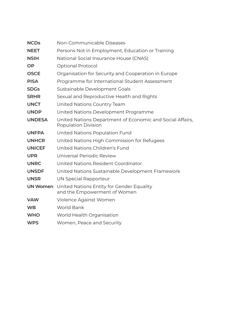| <b>NCDs</b>     | Non-Communicable Diseases                                                               |
|-----------------|-----------------------------------------------------------------------------------------|
| <b>NEET</b>     | Persons Not in Employment, Education or Training                                        |
| <b>NSIH</b>     | National Social Insurance House (CNAS)                                                  |
| <b>OP</b>       | <b>Optional Protocol</b>                                                                |
| <b>OSCE</b>     | Organisation for Security and Cooperation in Europe                                     |
| <b>PISA</b>     | Programme for International Student Assessment                                          |
| <b>SDGs</b>     | Sustainable Development Goals                                                           |
| <b>SRHR</b>     | Sexual and Reproductive Health and Rights                                               |
| <b>UNCT</b>     | United Nations Country Team                                                             |
| <b>UNDP</b>     | United Nations Development Programme                                                    |
| <b>UNDESA</b>   | United Nations Department of Economic and Social Affairs,<br><b>Population Division</b> |
| <b>UNFPA</b>    | United Nations Population Fund                                                          |
| <b>UNHCR</b>    | United Nations High Commission for Refugees                                             |
| <b>UNICEF</b>   | United Nations Children's Fund                                                          |
| <b>UPR</b>      | Universal Periodic Review                                                               |
| <b>UNRC</b>     | United Nations Resident Coordinator                                                     |
| <b>UNSDF</b>    | United Nations Sustainable Development Framework                                        |
| <b>UNSR</b>     | <b>UN Special Rapporteur</b>                                                            |
| <b>UN Women</b> | United Nations Entity for Gender Equality<br>and the Empowerment of Women               |
| <b>VAW</b>      | Violence Against Women                                                                  |
| <b>WB</b>       | <b>World Bank</b>                                                                       |
| <b>WHO</b>      | World Health Organisation                                                               |
| <b>WPS</b>      | Women, Peace and Security                                                               |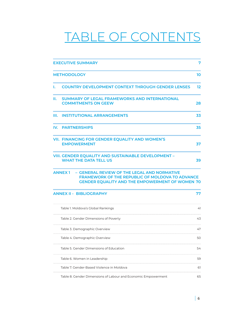# TABLE OF CONTENTS

|    | <b>EXECUTIVE SUMMARY</b>                                                                                                                                                         | 7  |
|----|----------------------------------------------------------------------------------------------------------------------------------------------------------------------------------|----|
|    |                                                                                                                                                                                  |    |
|    | <b>METHODOLOGY</b>                                                                                                                                                               | 10 |
| L. | <b>COUNTRY DEVELOPMENT CONTEXT THROUGH GENDER LENSES</b>                                                                                                                         | 12 |
| Ш. | <b>SUMMARY OF LEGAL FRAMEWORKS AND INTERNATIONAL</b><br><b>COMMITMENTS ON GEEW</b>                                                                                               | 28 |
| Ш. | <b>INSTITUTIONAL ARRANGEMENTS</b>                                                                                                                                                | 33 |
|    | <b>IV. PARTNERSHIPS</b>                                                                                                                                                          | 35 |
|    | VII. FINANCING FOR GENDER EQUALITY AND WOMEN'S<br><b>EMPOWERMENT</b>                                                                                                             | 37 |
|    | VIII. GENDER EQUALITY AND SUSTAINABLE DEVELOPMENT -<br><b>WHAT THE DATA TELL US</b>                                                                                              | 39 |
|    | - GENERAL REVIEW OF THE LEGAL AND NORMATIVE<br><b>ANNEX1</b><br><b>FRAMEWORK OF THE REPUBLIC OF MOLDOVA TO ADVANCE</b><br><b>GENDER EQUALITY AND THE EMPOWERMENT OF WOMEN 70</b> |    |
|    | <b>ANNEX II - BIBLIOGRAPHY</b>                                                                                                                                                   | 77 |
|    | Table 1. Moldova's Global Rankings                                                                                                                                               | 41 |
|    | Table 2. Gender Dimensions of Poverty                                                                                                                                            | 43 |
|    | Table 3. Demographic Overview                                                                                                                                                    | 47 |
|    | Table 4. Demographic Overview                                                                                                                                                    | 50 |
|    | Table 5. Gender Dimensions of Education                                                                                                                                          | 54 |
|    | Table 6. Women in Leadership                                                                                                                                                     | 59 |
|    | Table 7. Gender-Based Violence in Moldova                                                                                                                                        | 61 |
|    | Table 8. Gender Dimensions of Labour and Economic Empowerment                                                                                                                    | 65 |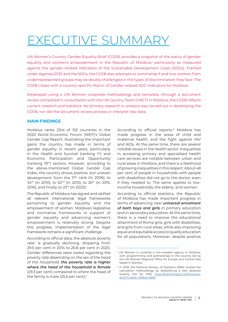# <span id="page-6-0"></span>EXECUTIVE SUMMARY

UN Women's Country Gender Equality Brief (CGEB) provides a snapshot of the status of gender equality and women's empowerment in the Republic of Moldova,<sup>1</sup> particularly as measured against the gender-related indicators of the Sustainable Development Goals (SDGs). Framed under Agenda 2030 and the SDGs, the CGEB also attempts to summarise if and how women from underrepresented groups may be doubly challenged in the types of discrimination they face. The CGEB closes with a country-specific Matrix of Gender-related SDG Indicators for Moldova.

Developed using a UN Women corporate methodology and template, through a document review completed in consultation with the UN Country Team (UNCT) in Moldova, the CGEB reflects current research and statistics. No primary research or analysis was carried out in developing the CGEB, nor did the document review process or interpret raw data.

#### **MAIN FINDINGS**

Moldova ranks 23rd of 153 countries in the 2020 World Economic Forum (WEF)'s Global Gender Gap Report, illustrating the important gains the country has made in terms of gender equality in recent years, particularly in the Health and Survival (ranking 1st) and Economic Participation and Opportunity (ranking 19th) sectors. However, according to the above-mentioned Global Gender Gap Index, the country shows positive, but uneven development: from the 17<sup>th</sup> rank (in 2006), to 34th (in 2010), to 52nd (in 2013), to 26th (in 2015, 2016), and finally, to 23<sup>rd</sup> (in 2020).<sup>i</sup>

The Republic of Moldova has signed and ratified all relevant international legal frameworks pertaining to gender equality and the empowerment of women. Moldova's legislative and normative frameworks in support of gender equality and advancing women's empowerment is relatively strong. Despite this progress, implementation of the legal framework remains a significant challenge.

According to official data, the absolute poverty rate<sup>2</sup> is gradually declining, dropping from 29.5 per cent in 2014 to 26.8 per cent in 2020. *Gender differences were noted regarding the poverty rate depending on the sex of the head of the household: the poverty rate is higher where the head of the household is female* (29.3 per cent) compared to where the head of the family is male (25.6 per cent).<sup>ii</sup>

According to official reports,<sup>iii</sup> Moldova has made progress in the areas of child and maternal health, and the fight against HIV and AIDs. At the same time, *there are several notable issues in the health sector*. Inequalities in accessing primary and specialised health care services are notable between urban and rural areas in Moldova, and there is a likelihood of growing inequalities in this respect. About 48 per cent of people in households with people with disabilities did not go to the doctor, even if they needed to. The same applies to lowincome households, the elderly, and women.

According to official statistics, the Republic of Moldova has made important progress in terms of advancing near *universal enrolment of both boys and girls in primary education and in secondary education.* At the same time, there is a need to improve the educational attainment of Roma girls, girls with disabilities, and girls from rural areas, while also improving equal and equitable access to quality education for all populations. Moreover, despite positive

<sup>1</sup> UN Women is currently a non-resident agency in Moldova, with programming and partnerships in the country led by the UN Women Regional Office for Europe and Central Asia based in Istanbul.

<sup>2</sup> In 2018, the National Bureau of Statistics (NBS) revised the calculation methodology by establishing a new absolute poverty line for 2016, [https://statistica.gov.md/newsview.](https://statistica.gov.md/newsview.php?l=ro&idc=168&id=6698) [php?l=ro&idc=168&id=6698.](https://statistica.gov.md/newsview.php?l=ro&idc=168&id=6698)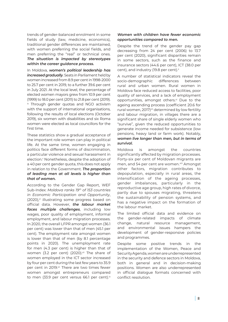trends of gender-balanced enrolment in some fields of study (law, medicine, economics), traditional gender differences are maintained, with women preferring the social fields, and men preferring the "real" or technical ones. *The situation is impacted by stereotypes within the career guidance process.* 

In Moldova, *women's political leadership has increased gradually*. Seats in Parliament held by women increased from 8.9 per cent in 1998-2000 to 25.7 per cent in 2019, to a further 39.6 per cent in July 2021. At the local level, the percentage of elected women mayors grew from 10.9 per cent (1999) to 18.0 per cent (2011) to 21.8 per cent (2019). iv Through gender quotas and NGO activism with the support of international organisations, following the results of local elections (October 2019), six women with disabilities and six Roma women were elected as local councillors for the first time.

These statistics show a gradual acceptance of the important role women can play in political life. At the same time, women engaging in politics face different forms of discrimination, a particular violence and sexual harassment in election.<sup>v</sup> Nonetheless, despite the adoption of a 40 per cent gender quota, this does not apply in relation to the Government. *The proportion of leading men at all levels is higher than that of women.*

According to the Gender Gap Report, WEF Sub-Index: *Moldova ranks 19th of 153 countries in Economic Participation and Opportunity*,  $(2020)$ ,<sup>vi</sup> illustrating some progress based on official data. However, *the labour market faces multiple challenges*, including low wages, poor quality of employment, informal employment, and labour migration processes. In 2020, the overall LFPR amongst women (36.1 per cent) was lower than that of men (45.1 per cent). The employment rate amongst women is lower than that of men (by 8.1 percentage points in 2020). The unemployment rate for men (4.3 per cent) is higher than that of women (3.2 per cent) (2020).vii The share of women employed in the ICT sector increased by four per cent during the last few years to 35.9 per cent in 2019.<sup>vii</sup> There are two times fewer women amongst entrepreneurs compared to men (33.9 per cent versus 66.1 per cent).<sup>ix</sup>

### *Women with children have fewer economic opportunities compared to men.*

Despite the trend of the gender pay gap decreasing from 24 per cent (2006) to 13.7 per cent (2020), significant disparities remain in some sectors, such as the finance and insurance sectors (44.6 per cent), ICT (38.0 per cent), and industry (19.8 per cent).x

A number of statistical indicators reveal the socio-demographic differences between rural and urban women. Rural women in Moldova face reduced access to facilities, poor quality of services, and a lack of employment opportunities, amongst others.xi Due to the ageing ascending process (coefficient 20.6 for rural women, 2017)<sup>xii</sup> determined by low fertility and labour migration, in villages there are a significant share of single elderly women who "survive", given the reduced opportunities to generate income needed for subsistence (low pensions, heavy land or farm work). Notably, *women live longer than men, but in terms of survival.*

Moldova is amongst the countries significantly affected by migration processes. Forty-six per cent of Moldovan migrants are men, and 54 per cent are women.<sup>xiii</sup> Amongst other factors, migration contributes to depopulation, especially in rural areas, the intensification of the ageing processes, gender imbalances, particularly in the reproductive age group, high rates of divorce, partly due to spouses migrating, threatens the sustainability of pension systems, and has a negative impact on the formation of the labour market.

The limited official data and evidence on the gender-related impacts of climate change, natural resource management, and environmental issues hampers the development of gender-responsive policies and programmes.

Despite some positive trends in the implementation of the Women, Peace and Security Agenda, women are underrepresented in the security and defence sectors in Moldova, both in general and in decision-making positions. Women are also underrepresented in official dialogue formats concerned with conflict resolution.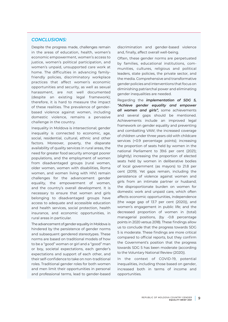# *CONCLUSIONS:*

Despite the progress made, challenges remain in the areas of education, health, women's economic empowerment, women's access to justice, women's political participation, and women's unpaid, unsupported care work at home. The difficulties in advancing familyfriendly policies, discriminatory workplace practices that affect women's economic opportunities and security, as well as sexual harassment, are not well documented (despite an existing legal framework); therefore, it is hard to measure the impact of these realities. The prevalence of genderbased violence against women, including domestic violence, remains a pervasive challenge in the country.

Inequality in Moldova is intersectional; gender inequality is connected to economic, age, social, residential, cultural, ethnic and other factors. Moreover, poverty, the disparate availability of quality services in rural areas, the need for greater food security amongst poorer populations, and the employment of women from disadvantaged groups (rural women, older women, women with disabilities, Roma women, and women living with HIV) remain challenges for the advancement gender equality, the empowerment of women, and the country's overall development. It is necessary to ensure that women and girls belonging to disadvantaged groups have access to adequate and accessible education and health services, social protection, health insurance, and economic opportunities, in rural areas in particular.

The advancement of gender equality in Moldova is hindered by the persistence of gender norms and subsequent gendered stereotypes. These norms are based on traditional models of how to be a "good" woman or girl and a "good" man or boy, societal expectations, each gender's expectations and support of each other, and their self-confidence to take on non-traditional roles. Traditional gender roles for both women and men limit their opportunities in personal and professional terms, lead to gender-based

discrimination and gender-based violence and, finally, affect overall well-being.

Often, these gender norms are perpetuated by families, educational institutions, communities, cultures, religious and political leaders, state policies, the private sector, and the media. Comprehensive and transformative gender policies and interventions that focus on diminishing patriarchal power and eliminating gender inequalities are needed.

Regarding the *implementation of SDG 5, "Achieve gender equality and empower all women and girls",* some achievements and several gaps should be mentioned. Achievements include an improved legal framework on gender equality and preventing and combatting VAW; the increased coverage of children under three years old with childcare services (+0.9 percentage points); increasing the proportion of seats held by women in the national Parliament to 39.6 per cent (2021); (slightly) increasing the proportion of elected seats held by women in deliberative bodies of local government (as mayors) to 21.8 per cent (2019). Yet gaps remain, including the persistence of violence against women and girls from an intimate partner or husband; the disproportionate burden on women for domestic work and unpaid care, which often affects economic opportunities, independence (the wage gap of 13.7 per cent (2020)), and women's engagement in public life; and the decreased proportion of women in (total) managerial positions, (by -0.8 percentage points in 2020 versus 2018). These findings allow us to conclude that the progress towards SDG 5 is moderate. These findings are more critical compared to official reports, but they confirm the Government's position that the progress towards SDG 5 has been moderate (according to the Voluntary National Review (2020)).

In the context of COVID-19, potential inequalities, including those based on gender, increased both in terms of income and opportunities.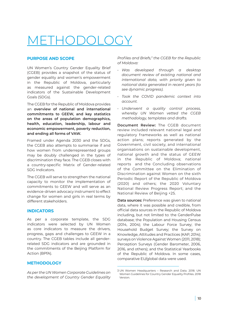# <span id="page-9-0"></span>1ETHODOLOGY

# **PURPOSE AND SCOPE**

UN Women's Country Gender Equality Brief (CGEB) provides a snapshot of the status of gender equality and women's empowerment in the Republic of Moldova, particularly as measured against the gender-related indicators of the Sustainable Development Goals (SDGs).

The CGEB for the Republic of Moldova provides an **overview of national and international commitments to GEEW, and key statistics on the areas of population demographics, health, education, leadership, labour and economic empowerment, poverty reduction, and ending all forms of VAW.**

Framed under Agenda 2030 and the SDGs, the CGEB also attempts to summarise if and how women from underrepresented groups may be doubly challenged in the types of discrimination they face. The CGEB closes with a country-specific Matrix of Gender-related SDG Indicators.

The CGEB will serve to strengthen the national capacity to monitor the implementation of commitments to GEEW and will serve as an evidence-driven advocacy instrument to effect change for women and girls in real terms by different stakeholders.

# **INDICATORS**

As per a corporate template, the SDG indicators were selected by UN Women as core indicators to measure the drivers, progress, gaps and challenges to GEEW in a country. The CGEB tables include all genderrelated SDG indicators and are grounded in the commitments of the Beijing Platform for Action (BPfA).

# **METHODOLOGY**

*As per the UN Women Corporate Guidelines on the development of Country Gender Equality* 

*Profiles and Briefs,<sup>3</sup> the CGEB for the Republic of Moldova:*

- *• Was developed through a desktop document review of existing national and international data, with priority given to national data generated in recent years (to see dynamic progress).*
- *• Took the COVID pandemic context into account.*
- *• Underwent a quality control process, whereby UN Women vetted the CGEB methodology, templates and drafts.*

**Document Review:** The CGEB document review included relevant national legal and regulatory frameworks as well as national action plans; reports generated by the Government, civil society, and international organisations on sustainable development, national growth and the status of GEEW in the Republic of Moldova; national reports and the Сoncluding observations of the Committee on the Elimination of Discrimination against Women on the sixth Periodic Report of the Republic of Moldova (2020) and others; the 2020 Voluntary National Review Progress Report; and the National Review of Beijing +25.

**Data sources:** Preference was given to national data, where it was possible and credible, from official data sources in the Republic of Moldova including, but not limited to: the GenderPulse database; the Population and Housing Census (2014, 2004); the Labour Force Survey; the Household Budget Survey; the Survey on Knowledge, Attitudes and Practices (KAP, 2014); surveys on Violence Against Women (2011, 2018); Perception Surveys (Gender Barometer, 2006, 2016, and others); and the Statistical Yearbooks of the Republic of Moldova. In some cases, comparative EU/global data were used.

<sup>3</sup> UN Women Headquarters – Research and Data. 2018. UN Women Guidelines for Country Gender Equality Profiles. 2018 Version.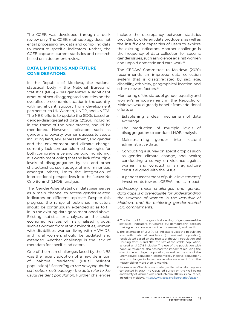The CGEB was developed through a desk review only. The CGEB methodology does not entail processing raw data and compiling data to measure specific indicators. Rather, the CGEB captures current statistics and research based on a document review.

# **DATA LIMITATIONS AND FUTURE CONSIDERATIONS**

In the Republic of Moldova, the national statistical body – the National Bureau of Statistics (NBS) – has generated a significant amount of sex-disaggregated statistics on the overall socio-economic situation in the country, with significant support from development partners such UN Women, UNDP, and UNFPA. The NBS' efforts to update the SDGs based on gender-disaggregated data (2020), including in the frame of the VNR process, should be mentioned. However, indicators such as gender and poverty, women's access to assets including land, sexual harassment, and gender and the environment and climate change, currently lack comparable methodologies for both comprehensive and periodic monitoring. It is worth mentioning that the lack of multiple levels of disaggregation by sex and other characteristics, such as age, ethnic minorities, amongst others, limits the integration of intersectional perspectives into the 'Leave No One Behind' (LNOB) analysis.

The GenderPulse statistical database serves as a main channel to access gender-related indicators on different topics.<sup>4,xv</sup> Despite this progress, the range of published indicators should be continuously extended so as to fill in in the existing data gaps mentioned above. Existing statistics or analyses on the socioeconomic realities of marginalised groups, such as women from ethnic minorities, women with disabilities, women living with HIV/AIDS, and rural women, should be updated and extended. Another challenge is the lack of metadata for specific indicators.

One of the main challenges faced by the NBS was the recent adoption of a new definition of 'habitual residence' (usual resident population).5 *According to the new population estimation methodology - the data refer to the usual resident population.* Further challenges

include the discrepancy between statistics provided by different data producers, as well as the insufficient capacities of users to explore the existing indicators. Another challenge is the frequency of data collection for specific gender issues, such as violence against women and unpaid domestic and care work.<sup>6</sup>

The CEDAW Committee to Moldova (2020) recommends an improved data collection system that is disaggregated by sex, age, disability, ethnicity, geographical location and other relevant factors.<sup>xvi</sup>

Monitoring of the status of gender equality and women's empowerment in the Republic of Moldova would greatly benefit from additional efforts on:

- Establishing a clear mechanism of data exchange.
- The production of multiple levels of disaggregation to conduct LNOB analysis.
- Mainstreaming gender into sectoral administrative data.
- Conducting a survey on specific topics such as gender, climate change, and health; conducting a survey on violence against women; and conducting an agriculture census aligned with the SDGs.
- A gender assessment of public investments/ investments towards GEEW, and its impact.

*Addressing these challenges and gender data gaps is a prerequisite for understanding the situation of women in the Republic of Moldova, and for achieving gender-related SDG commitments.*

<sup>4</sup> The first tool for the graphical viewing of gender-sensitive statistical indicators, structured by: demography, decision making, education, economic empowerment, and health.

<sup>5</sup> The estimation of LFQ (AFM) indicators uses the population size with habitual residence (or resident population), recalculated based on the results of the 2014 Population and Housing Census and NOT the size of the stable population, as used until 2018 inclusive. The use of the population with habitual residence also has had the impact of reducing the size of the employed population, as well as the size of the unemployed population (economically inactive population), which no longer includes people who are absent from the household for more than 12 months.

<sup>6</sup> For example, VAW data is outdated, as the national survey was conducted in 2010. The OSCE-led Survey on the Well-being and Safety of Women was conducted in 2018 in six countries, including Moldova.<https://www.osce.org/secretariat/413237>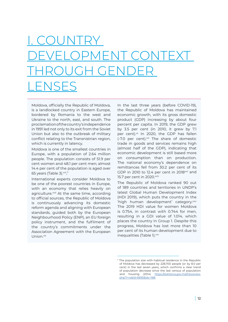# <span id="page-11-0"></span>I. COUNTRY DEVELOPMENT CONTEXT THROUGH GENDER LENSES

Moldova, officially the Republic of Moldova, is a landlocked country in Eastern Europe, bordered by Romania to the west and Ukraine to the north, east, and south. The proclamation of the country's independence in 1991 led not only to its exit from the Soviet Union but also to the outbreak of military conflict relating to the Transnistrian region, which is currently in latency.

Moldova is one of the smallest countries in Europe, with a population of 2.64 million people. The population consists of 51.9 per cent women and 48.1 per cent men; almost 14.4 per cent of the population is aged over 65 years (Table 3).<sup>xvii</sup>,<sup>7</sup>

International experts consider Moldova to be one of the poorest countries in Europe, with an economy that relies heavily on agriculture.<sup>xviii</sup> At the same time, according to official sources, the Republic of Moldova is continuously advancing its domestic reform agenda and aligning with European standards, guided both by the European Neighbourhood Policy (ENP), an EU foreign policy instrument, and the fulfilment of the country's commitments under the Association Agreement with the European Union.xix

In the last three years (before COVID-19), the Republic of Moldova has maintained economic growth, with its gross domestic product (GDP) increasing by about four percent per capita. In 2019, the GDP grew by 3.5 per cent (in 2010, it grew by 7.1 per cent). $x$  In 2020, the GDP has fallen  $(-7.0)$  per cent).<sup>xxi</sup> The share of domestic trade in goods and services remains high (almost half of the GDP), indicating that economic development is still based more on consumption than on production. The national economy's dependence on remittances fell from 30.2 per cent of its GDP in 2010 to 12.4 per cent in 2018<sup>xxii</sup> and 15.7 per cent in 2020.xxiii

The Republic of Moldova ranked 90 out of 189 countries and territories in UNDP's latest Global Human Development Index (HDI 2019), which puts the country in the 'high human development' category.xxiv The 2019 HDI value for women Moldova is 0.754, in contrast with 0.744 for men, resulting in a GDI value of 1.014, which places the country in Group 1. Despite this progress, Moldova has lost more than 10 per cent of its human development due to inequalities (Table 1).<sup>xxv</sup>

<sup>&</sup>lt;sup>7</sup> The population size with habitual residence in the Republic of Moldova has decreased by 228,700 people (or by 8.0 per cent) in the last seven years, which confirms a clear trend of population decrease since the last census of population and housing (2014) [https://statistica.gov.md/newsview.](https://statistica.gov.md/newsview.php?l=ro&id=6695&idc=168) [php?l=ro&id=6695&idc=168](https://statistica.gov.md/newsview.php?l=ro&id=6695&idc=168).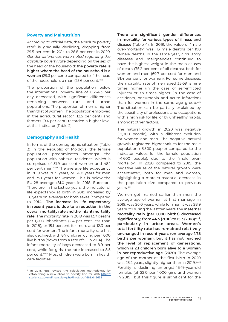#### **Poverty and Malnutrition**

According to official data, the absolute poverty rate<sup>8</sup> is gradually declining, dropping from 29.5 per cent in 2014 to 26.8 per cent in 2020. *Gender differences were noted regarding the absolute poverty rate* depending on the sex of the head of the household: **the poverty rate is higher where the head of the household is a woman** (29.3 per cent) compared to if the head of the household is a man (25.6 per cent.xxvi

The proportion of the population below the international poverty line of US\$4.3 per day decreased, with significant differences remaining between rural and urban populations. The proportion of men is higher than that of women. The population employed in the agricultural sector (12.5 per cent) and farmers (9.4 per cent) recorded a higher level at this indicator (Table 2).

### **Demography and Health**

In terms of the demographic situation (Table 3) in the Republic of Moldova, the female population predominates amongst the population with habitual residence, which is comprised of 51.9 per cent women and 48.1 per cent men.<sup>xxvii</sup> The average life expectancy in 2019 was 70.9 years, or 66.8 years for men and 75.1 years for women. This is below the EU-28 average (81.0 years in 2018, Eurostat). Therefore, in the last six years, the indicator of life expectancy at birth in 2019 increased by 1.6 years on average for both sexes (compared to 2014). **The increase in life expectancy in recent years is due to a reduction in the overall mortality rate and the infant mortality rate.** The mortality rate in 2019 was 13.7 deaths per 1,000 inhabitants (2.4 per cent less than in 2018), or 15.1 percent for men, and 12.3 per cent for women. The infant mortality rate has also declined, with 8.7 children dying per 1,000 live births (down from a rate of 9.1 in 2014). The infant mortality of boys decreased to 8.9 per cent, while for girls, the rate increased to 8.5 per cent.xxviii Most children were born in health care facilities.

**There are significant gender differences in mortality for various types of illness and disease** (Table 4). In 2019, the value of "male over-mortality" was 113 male deaths per 100 female deaths. In the same year, circulatory diseases and malignancies continued to have the highest weight in the main causes of death (75.2 per cent of all deaths), both for women and men (69.7 per cent for men and 81.4 per cent for women). For some diseases, the mortality rate of men aged 35-59 is nine times higher (in the case of self-inflicted injuries) or six times higher (in the case of accidents, pneumonia and acute infarction) than for women in the same age group.<sup>xxix</sup> The situation can be partially explained by the specificity of professions and occupations with a high risk for life, or by unhealthy habits, amongst other factors.

The natural growth in 2020 was negative (-9,900 people), with a different evolution for women and men. The negative natural growth registered higher values for the male population (-5,300 people) compared to the indicator values for the female population (-4,600 people), due to the "male overmortality". In 2020 compared to 2019, the negative values of the natural growth were accentuated, both for men and women, highlighting a more substantial decrease in the population size compared to previous years.<sup>xxx</sup>

Women get married earlier than men; the average age of women at first marriage, in 2019, was 26.0 years, while for men it was 28.9 years.xxxi During the last ten years, the **maternal mortality ratio (per 1,000 births) decreased significantly, from 44.5 (2010) to 15.3 (2018)xxxii, particularly in urban areas. Women's total fertility rate has remained relatively unchanged in recent years (on average 1.78 births per woman), but it has not reached the level of replacement of generations, which is 2.1 children born alive to a woman in her reproductive age (2020)**. The average age of the mother at the first birth in 2020 was 25.2 years, slightly higher than in 2019.<sup>xxxiii</sup> Fertility is declining amongst 15-19-year-old females (at 22.0 per 1,000 girls and women in 2019), but this figure is significant for the

<sup>&</sup>lt;sup>8</sup> In 2018, NBS revised the calculation methodology by establishing a new absolute poverty line for 2016 [https://](https://statistica.gov.md/newsview.php?l=ro&idc=168&id=6698) [statistica.gov.md/newsview.php?l=ro&idc=168&id=6698](https://statistica.gov.md/newsview.php?l=ro&idc=168&id=6698)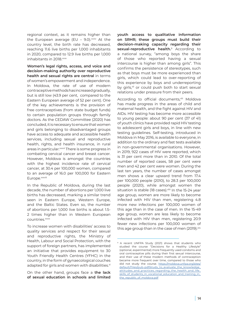regional context, as it remains higher than the European average (EU - 9.0). $xxxiv$  At the country level, the birth rate has decreased, reaching 11.6 live births per 1,000 inhabitants in 2020, compared to 12.9 live births per 1,000 inhabitants in 2018.xxxv

**Women's legal rights, access, and voice and decision-making authority over reproductive health and sexual rights are central** in terms of women's empowerment and independence. In Moldova, the rate of use of modern contraceptive methods has increased gradually, but is still low (43.9 per cent, compared to the Eastern European average of 52 per cent). One of the key achievements is the provision of free contraceptives (from state budget funds) to certain population groups through family doctors. As the CEDAW Committee (2020) has concluded, it is necessary to ensure that women and girls belonging to disadvantaged groups have access to adequate and accessible health services, including sexual and reproductive health, rights, and health insurance, in rural areas in particular.<sup>xxxvii</sup> There is some progress in combating cervical cancer and breast cancer. However, Moldova is amongst the countries with the highest incidence rate of cervical cancer, at 30.4 per 100,000 women, compared to an average of 16.0 per 100,000 for Eastern Europe.xxxviii

In the Republic of Moldova, during the last decade, the number of abortions per 1,000 live births has decreased, marking a similar trend seen in Eastern Europe, Western Europe, and the Baltic States. Even so, the number of abortions per 1,000 live births is about 1.5- 2 times higher than in Western European countries.xxxix

To increase women with disabilities' access to quality services and respect for their sexual and reproductive rights, the Ministry of Health, Labour and Social Protection, with the support of foreign partners, has implemented an initiative that provides equipment to 30 Youth Friendly Health Centres (YFHC) in the country, in the form of gynaecological couches adapted for girls and women with disabilities.xl

On the other hand, groups face a **the lack of sexual education in schools and limited** 

**youth access to qualitative information on SRHR; these groups must build their decision-making capacity regarding their sexual-reproductive health.**9 According to a national survey, "among boys the share of those who reported having a sexual intercourse is higher than among girls". This confirms the persistence of stereotypes, such as that boys must be more experienced than girls, which could lead to over-reporting of this experience by boys and underreporting by girls,<sup>xii</sup> or could push both to start sexual relations under pressure from their peers.

According to official documents.<sup>xlii</sup> Moldova has made progress in the areas of child and maternal health, and the fight against HIV and AIDs. HIV testing has become more accessible to young people: about 90 per cent (37 of 41) of youth clinics have provided rapid HIV testing to adolescent girls and boys, in line with new testing guidelines. Self-testing, introduced in Moldova in May 2016, is available to everyone, in addition to the ordinary and fast tests available in non-governmental organisations. However, in 2019, 922 cases of HIV were reported, which is 31 per cent more than in 2010. Of the total number of reported cases, 58 per cent were men and 42 per cent were women. During the last ten years, the number of cases amongst men shows a clear upward trend from 17.4 per 100,000 people (2010), to 28.3 per 100,000 people (2020), while amongst women the situation is stable (18 cases). Xliii In the 15-24 year age group, women are more likely to become infected with HIV than men, registering 4.8 more new infections per 100,000 women of this age than in the case of men. In the 15-49 age group, women are less likely to become infected with HIV than men, registering 20.9 fewer new infections per 100,000 women of this age group than in the case of men (2019). Xliv

<sup>9</sup> A recent UNFPA Study (2021) shows that students who studied the course "Decisions for a Healthy Lifestyle" (optional, experimental) more frequently used condoms and oral contraceptive pills during their first sexual intercourse, and their use of these modern methods of contraception became more frequent over time, compared to those who did not study the course. [https://moldova.unfpa.org/sites/](https://moldova.unfpa.org/sites/default/files/pub-pdf/study_to_evaluate_the_knowledge_attitudes_and_practices_regarding_the_health_and_life_skills_of_students_in_vocational_education_and_training_in_the_republic_of_moldova.pdf) [default/files/pub-pdf/study\\_to\\_evaluate\\_the\\_knowledge\\_](https://moldova.unfpa.org/sites/default/files/pub-pdf/study_to_evaluate_the_knowledge_attitudes_and_practices_regarding_the_health_and_life_skills_of_students_in_vocational_education_and_training_in_the_republic_of_moldova.pdf) attitudes and practices regarding the health and life [skills\\_of\\_students\\_in\\_vocational\\_education\\_and\\_training\\_in\\_](https://moldova.unfpa.org/sites/default/files/pub-pdf/study_to_evaluate_the_knowledge_attitudes_and_practices_regarding_the_health_and_life_skills_of_students_in_vocational_education_and_training_in_the_republic_of_moldova.pdf) [the\\_republic\\_of\\_moldova.pdf](https://moldova.unfpa.org/sites/default/files/pub-pdf/study_to_evaluate_the_knowledge_attitudes_and_practices_regarding_the_health_and_life_skills_of_students_in_vocational_education_and_training_in_the_republic_of_moldova.pdf)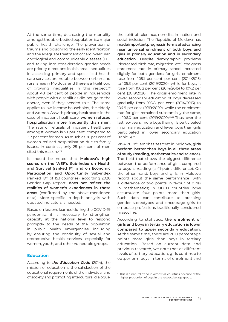At the same time, decreasing the mortality amongst the able-bodied population is a major public health challenge. The prevention of trauma and poisoning, the early identification and the adequate treatment of cardiovascular, oncological and communicable diseases (TB), and taking into consideration gender needs are priority directions in this area. Inequalities in accessing primary and specialised health care services are notable between urban and rural areas in Moldova, and there is a likelihood of growing inequalities in this respect.xlv About 48 per cent of people in households with people with disabilities did not go to the doctor, even if they needed to.xlvi The same applies to low-income households, the elderly, and women. As with primary healthcare, in the case of inpatient healthcare, **women refused hospitalisation more frequently than men.** The rate of refusals of inpatient healthcare amongst women is 5.1 per cent, compared to 2.7 per cent for men. As much as 36 per cent of women refused hospitalisation due to family issues. In contrast, only 25 per cent of men cited this reason. xlvii

It should be noted that **Moldova's high scores on the WEF's Sub-index on Health and Survival (ranked 1st), and on Economic Participation and Opportunity Sub-index**  (ranked 19th of 153 countries), according 2020 Gender Gap Report, **does not reflect the realities of women's experiences in these areas** (confirmed by the above-mentioned data). More specific in-depth analysis with updated indicators is needed.

Based on lessons learned during the COVID-19 pandemic, it is necessary to strengthen capacity at the national level to respond promptly to the needs of the population in public health emergencies, including by ensuring the continuity of sexual and reproductive health services, especially for women, youth, and other vulnerable groups.

# **Education**

According to *the Education Code* (2014), the mission of education is the satisfaction of the educational requirements of the individual and of society and promoting intercultural dialogue, the spirit of tolerance, non-discrimination, and social inclusion. The Republic of Moldova has **made important progress in terms of advancing near universal enrolment of both boys and girls in primary education and in secondary education.** Despite demographic problems (decreased birth rate, migration, etc.), the gross enrolment rate in primary school increased slightly for both genders: for girls, enrolment rose from 105.1 per cent per cent (2014/2015) to 105.3 per cent (2019/2020), while for boys, it rose from 106.2 per cent (2014/2015) to 107.2 per cent (2019/2020). The gross enrolment rate in lower secondary education of boys decreased gradually from 105.8 per cent (2014/2015) to 104.9 per cent (2019/2020), while the enrolment rate for girls remained substantially the same, at 106.0 per cent (2019/2020). xlviii Thus, over the last few years, more boys than girls participated in primary education and fewer boys than girls participated in lower secondary education  $(Table 5)$ .<sup>10</sup>

PISA 2018xlix emphasizes that in Moldova, **girls perform better than boys in all three areas of study (reading, mathematics and science).**  The field that shows the biggest difference between the performance of girls compared to boys is reading (a 41-point difference). On the other hand, boys and girls in Moldova record about the same performance (with a difference of two points in favour of girls) in mathematics; in OECD countries, boys accumulate four points more than girls. Such data can contribute to breaking gender stereotypes and encourage girls to embrace professions traditionally considered masculine.

According to statistics, **the enrolment of girls and boys in tertiary education is lower compared to upper secondary education.** At the same time, there are 20.0 percentage points more girls than boys in tertiary education.<sup>1</sup> Based on current data and previous research, we note that at different levels of tertiary education, girls continue to outperform boys in terms of enrolment and

<sup>10</sup> This is a natural trend in almost all countries because of the higher proportion of boys in the respective age group.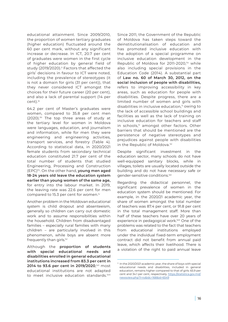educational attainment. Since 2009/2010, the proportion of women tertiary graduates (higher education) fluctuated around the 60 per cent mark, without any significant increase or decrease. In ICT, 20.7 per cent of graduates were women in the first cycle of higher education by general field of study (2019/2020).<sup>ii</sup> Factors that affected the girls' decisions in favour to ICT were noted, including the prevalence of stereotypes (it is not a domain for girls (31 per cent)), that they never considered ICT amongst the choices for their future career (20 per cent), and also a lack of parental support (14 per cent).<sup>lii</sup>

64.2 per cent of Master's graduates were women, compared to 35.8 per cent men (2020).<sup>Iiii</sup> The top three areas of study at the tertiary level for women in Moldova were languages, education, and journalism and information, while for men they were engineering and engineering activities, transport services, and forestry (Table 4). According to statistical data, in 2020/2021 female students from secondary technical education constituted 21.7 per cent of the total number of students that studied Engineering, Processing and Construction (EPC)liv. On the other hand, **young men aged 18-24 years old leave the education system earlier than young women of the same age,**  for entry into the labour market. In 2019, the leaving rate was 22.6 per cent for men compared to 15.3 per cent for women.<sup>1v</sup>

Another problem in the Moldovan educational system is child dropout and absenteeism, generally so children can carry out domestic work and to assume responsibilities within the household. Children from disadvantaged families – especially rural families with many children – are particularly involved in this phenomenon, while boys are absent more frequently than girls.<sup>Ivi</sup>

Although the **proportion of students with special educational needs and disabilities enrolled in general educational institutions increased from 83.3 per cent in 2014 to 93.6 per cent in 2019/2020**, wii most educational institutions are not adapted to meet inclusive education standards.<sup>Iviii</sup>

Since 2011, the Government of the Republic of Moldova has taken steps toward the deinstitutionalisation of education and has promoted inclusive education with the adoption of a special programme on inclusive education development in the Republic of Moldova for 2011-2020.<sup>lix</sup> while also including special provisions in the Education Code (2014). A substantial part of **Law no. 60 of March 30, 2012, on the social inclusion of people with disabilities,** refers to improving accessibility in key areas, such as education for people with disabilities. Despite progress, there are a limited number of women and girls with disabilities in inclusive education, $\mathbb{I}^1$  owing to the lack of accessible school buildings and facilities as well as the lack of training on inclusive education for teachers and staff in schools.<sup>1x</sup> amongst other factors. Other barriers that should be mentioned are the persistence of negative stereotypes and prejudices against people with disabilities in the Republic of Moldova.<sup>Ixi</sup>

Despite significant investment in the education sector, many schools do not have well-equipped sanitary blocks, while in villages, toilets are usually located outside the building and do not have necessary safe or gender-sensitive conditions.<sup>Ixii</sup>

Regarding the didactical personnel, the significant prevalence of women in the education system should be mentioned. For example, in the 2020/21 academic year, the share of women amongst the total number of teachers was 87.4 per cent, or 91.8 per cent in the total management staff. More than half of these teachers have over 20 years of experience in pedagogical work.<sup>Ixiii</sup> One of the problems was related to the fact that teachers from educational institutions employed under the individual fixed-term employment contract did not benefit from annual paid leave, which affects their livelihood. There is a violation of the right to paid annual leave

<sup>&</sup>lt;sup>11</sup> In the 2020/2021 academic year, the share of boys with special educational needs and disabilities, included in general education, remains higher compared to that of girls: 65.9 per cent and 34.1 per cent, respectively. [https://statistica.gov.md/](https://statistica.gov.md/newsview.php?l=ro&idc=168&id=6549) [newsview.php?l=ro&idc=168&id=6549](https://statistica.gov.md/newsview.php?l=ro&idc=168&id=6549)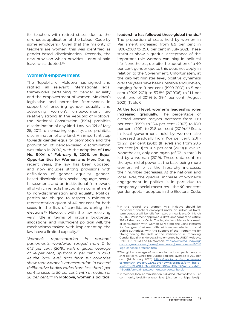for teachers with retired status due to the erroneous application of the Labour Code by some employers.<sup>12</sup> Given that the majority of teachers are women, this was identified as gender-based discrimination. Recently, the new provision which provides annual paid leave was adopted.<sup>Ixiv</sup>

#### **Women's empowerment**

The Republic of Moldova has signed and ratified all relevant international legal frameworks pertaining to gender equality and the empowerment of women. Moldova's legislative and normative frameworks in support of ensuring gender equality and advancing women's empowerment are relatively strong. In the Republic of Moldova, the National Constitution (1994) prohibits discrimination of any kind. Law No. 121 of May 25, 2012, on ensuring equality, also prohibits discrimination of any kind. An important step towards gender equality promotion and the prohibition of gender-based discrimination was taken in 2006, with the adoption of **Law No. 5-XVI of February 9, 2006, on Equal Opportunities for Women and Men.** During recent years, the law has been updated, and now includes strong provisions with definitions of gender equality, genderbased discrimination, sexist language, sexual harassment, and an institutional framework, all of which reflects the country's commitment to non-discrimination and equality. Political parties are obliged to respect a minimum representation quota of 40 per cent for both sexes in the lists of candidates during the elections.<sup>Ixv</sup> However, with the law receiving very little in terms of national budgetary allocations, and insufficient political will, the mechanisms tasked with implementing the law have a limited capacity.<sup>Ixvi</sup>

*Women's representation in national parliaments worldwide ranged from 0 to 61.3 per cent (2019), with a global average of 24 per cent, up from 19 per cent in 2010. At the local level, data from 103 countries show that women's representation in elected deliberative bodies varies from less than 1 per cent to close to 50 per cent, with a median of 26 per cent.*lxvii **In Moldova, women's political** 

**leadership has followed these global trends**. 13 The proportion of seats held by women in Parliament increased from 8.9 per cent in 1998-2000 to 39.6 per cent in July 2021. These statistics show a gradual acceptance of the important role women can play in political life. Nonetheless, despite the adoption of a 40 per cent gender quota, this does not apply in relation to the Government. Unfortunately, at the cabinet minister level, positive dynamics over the years have been unstable and uneven, ranging from 9 per cent (1999-2001) to 5 per cent (2009-2011) to 53.8% (2019'06) to 11.1 per cent (end of 2019) to 29.4 per cent (August 2021) (Table 6).

**At the local level, women's leadership roles increased gradually.** The percentage of elected women mayors increased from 10.9 per cent (1999) to 15.4 per cent (2003) to 18.0 per cent (2011) to 21.8 per cent (2019).<sup>Ixviii</sup> Seats in local government held by women also increased gradually from 17.4 per cent (2011) to 27.1 per cent (2019) (II level) and from 28.6 per cent (2011) to 36.5 per cent (2019) (I level)<sup>14</sup>. Nonetheless, only one rayon (of 32 in total) is led by a woman (2019). These data confirm the pyramid of power: at the base being more women, while as the hierarchy increases, their number decreases. At the national and local level, the gradual increase of women's engagement in politics is in part due to temporary special measures – the 40 per cent gender quota – adopted in the Electoral Code.

<sup>&</sup>lt;sup>12</sup> In this regard, the Women MPs initiative should be mentioned: teachers employed under an individual fixedterm contract will benefit from paid annual leave. On March 19, 2021, Parliament approved a draft amendment to Article 299 of the Labour Code. The legislative initiative is a result of consultation with women MPs from the Joint Platform for Dialogue of Women MPs with women elected to local public authorities, with the support of the Programme for Strengthening the Role of the Parliament in Improving Gender Equality in Moldova, implemented by UNDP Moldova, UNICEF, UNFPA and UN Women. [https://www.md.undp.org/](https://www.md.undp.org/content/moldova/en/home/presscenter/pressreleases/2021/lege-concedii-profesori.html) [content/moldova/en/home/presscenter/pressreleases/2021/](https://www.md.undp.org/content/moldova/en/home/presscenter/pressreleases/2021/lege-concedii-profesori.html) [lege-concedii-profesori.html](https://www.md.undp.org/content/moldova/en/home/presscenter/pressreleases/2021/lege-concedii-profesori.html)

<sup>&</sup>lt;sup>13</sup> The global average of women in national parliaments is 24.9 per cent, while the Europe regional average is 29.9 per cent (1st January 2020). [https://data.ipu.org/women-averag](https://data.ipu.org/women-averages?month=1&year=2020&op=Show+averages&form_build_id=form-DtsP1HHzMk) [es?month=1&year=2020&op=Show+averages&form\\_build\\_](https://data.ipu.org/women-averages?month=1&year=2020&op=Show+averages&form_build_id=form-DtsP1HHzMk) [id=form-DtsP1HHzMkXfK5QGS8Pm\\_A7NEXZm3Ik\\_vkMc\\_](https://data.ipu.org/women-averages?month=1&year=2020&op=Show+averages&form_build_id=form-DtsP1HHzMk) [lY3ugE&form\\_id=ipu\\_\\_women\\_averages\\_filter\\_form](https://data.ipu.org/women-averages?month=1&year=2020&op=Show+averages&form_build_id=form-DtsP1HHzMk)

<sup>&</sup>lt;sup>14</sup> In Moldova, local administration is divided into two levels: I- at community level, II – at rayon level (district/ municipal level)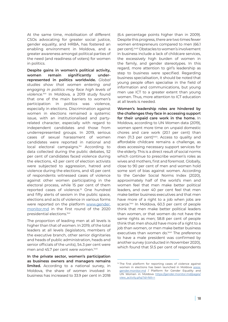At the same time, mobilisation of different CSOs advocating for greater social justice, gender equality, and HRBA, has fostered an enabling environment in Moldova, and a greater awareness amongst political parties of the need (and readiness of voters) for women in politics.

**Despite gains in women's political activity, women remain significantly underrepresented in politics worldwide.** *Global studies show that women entering and engaging in politics may face high levels of*  violence.<sup>lxix</sup> In Moldova, a 2019 study found that one of the main barriers to women's participation in politics was violence, especially in elections. Discrimination against women in elections remained a systemic issue, with an institutionalised and partyrelated character, especially with regard to independent candidates and those from underrepresented groups. In 2019, serious cases of sexual harassment of women candidates were reported in national and local electoral campaigns.<sup>1xx</sup> According to data collected during the public debates, 52 per cent of candidates faced violence during the elections, 43 per cent of election activists were subjected to aggression, hatred and violence during the elections, and 45 per cent of respondents witnessed cases of violence against other women participating in the electoral process, while 15 per cent of them reported cases of violence.15 One hundred and fifty alerts of sexism in the public space, elections and acts of violence in various forms were reported on the platform [www.gender.](http://www.gender.monitor.md) [monitor.md](http://www.gender.monitor.md) in the first round of the 2020 presidential elections.<sup>1xxi</sup>

The proportion of leading men at all levels is higher than that of women. In 2019, of the total leaders at all levels (legislators, members of the executive branch, other senior dignitaries and heads of public administration, heads and senior officials of the units), 54.3 per cent were men and 45.7 per cent were women.<sup>Ixxii</sup>

**In the private sector, women's participation as business owners and managers remains limited.** According to a national survey, in Moldova, the share of women involved in business has increased to 33.9 per cent in 2018

(6.4 percentage points higher than in 2009). Despite this progress, there are two times fewer women entrepreneurs compared to men (66.1 per cent).lxxiii Obstacles to women's involvement in business include a lack of childcare services, the excessively high burden of women in the family, and gender stereotypes. In this regard, more attention to girl's leadership as step to business were specified. Regarding business specialisation, it should be noted that young people often specialise in the field of information and communications, but young men use ICT to a greater extent than young women. Thus, more attention to ICT education at all levels is needed.

**Women's leadership roles are hindered by the challenges they face in accessing support for their unpaid care work in the home.** In Moldova, according to UN Women data (2019), women spent more time on unpaid domestic chores and care work (20.1 per cent) than men (11.3 per cent)<sup>Ixxiv</sup>. Access to quality and affordable childcare remains a challenge, as does accessing necessary support services for the elderly. This is a direct result of social norms which continue to prescribe women's roles as wives and mothers, first and foremost. Globally, close to 90 per cent of men and women hold some sort of bias against women. According to the Gender Social Norms Index (2020), approximately half of the world's men and women feel that men make better political leaders, and over 40 per cent feel that men make better business executives and that men have more of a right to a job when jobs are scarce.<sup>1xxv</sup> In Moldova, 60.3 per cent of people think that men make better political leaders than women, or that women do not have the same rights as men; 58.8 per cent of people think that men should have more of a right to a job than women, or men make better business executives than women do.<sup>1xxvi</sup> The preference to have a male president was confirmed by another survey (conducted in November 2020), which found that 51.5 per cent of respondents

<sup>&</sup>lt;sup>15</sup> The first platform for reporting cases of violence against women in elections has been launched in Moldova [www.](http://www.gender.monitor.md) [gender.monitor.md](http://www.gender.monitor.md) / Platform for Gender Equality and UN Women in Moldova [https://gender.monitor.md/pages/](https://gender.monitor.md/pages/view_activity.php?id=NA==) [view\\_activity.php?id=NA==](https://gender.monitor.md/pages/view_activity.php?id=NA==)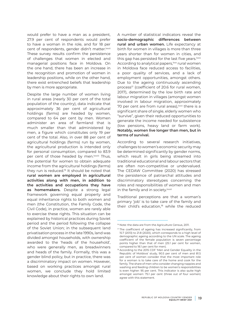would prefer to have a man as a president, 27.9 per cent of respondents would prefer to have a woman in the role, and for 18 per cent of respondents, gender didn't matter.<sup>Ixxvii</sup> These survey results confirm the persistence of challenges that women in elected and managerial positions face in Moldova. On the one hand, there has been an increase in the recognition and promotion of women in leadership positions, while on the other hand, there exist entrenched beliefs that leadership by men is more appropriate.

Despite the large number of women living in rural areas (nearly 30 per cent of the total population of the country), data indicate that approximately 36 per cent of agricultural holdings (farms) are headed by women, compared to 64 per cent by men. Women administer an area of farmland that is much smaller than that administered by men, a figure which constitutes only 19 per cent of the total. Also, in over 88 per cent of agricultural holdings (farms) run by women, the agricultural production is intended only for personal consumption, compared to 83.9 per cent of those headed by men.<sup>Ixxviii</sup> Thus, the potential for women to obtain adequate income from the agricultural holdings (farms) they run is reduced.16 It should be noted that **rural women are employed in agricultural activities along with men, in addition to the activities and occupations they have as homemakers.** Despite a strong legal framework governing equal property and equal inheritance rights to both women and men (the Constitution, the Family Code, the Civil Code), in practice, women are rarely able to exercise these rights. This situation can be explained by historical practices during Soviet period and the period following the collapse of the Soviet Union; in the subsequent land privatisation process in the late 1990s, land was divided amongst households, with ownership awarded to the 'heads of the household', who were generally men, as breadwinners and heads of the family. Formally, this was a gender blind policy, but in practice, there was a discriminatory impact on women. However, based on working practices amongst rural women, we conclude they hold limited knowledge about their rights to own land.

A number of statistical indicators reveal the **socio-demographic differences between rural and urban women.** Life expectancy at birth for women in villages is more than three years shorter than for women in cities, and this gap has persisted for the last five years.<sup>Ixxix</sup> According to analytical papers,<sup>1xxx</sup> rural women in Moldova face reduced access to facilities, a poor quality of services, and a lack of employment opportunities, amongst others. Due to the ageing continuously ascending process<sup>17</sup> (coefficient of 20.6 for rural women, 2017), determined by the low birth rate and labour migration in villages (amongst women involved in labour migration, approximately 70 per cent are from rural areas), xxxi there is a significant share of single, elderly women who "survive", given their reduced opportunities to generate the income needed for subsistence (low pensions, heavy land or farm work). **Notably, women live longer than men, but in terms of survival.**

According to several research initiatives, challenges to women's economic security may be determined significantly by gender norms, which result in girls being streamed into traditional educational and labour sectors that are often non-competitive or undervalued. The CEDAW Committee (2020) has stressed the persistence of patriarchal attitudes and discriminatory stereotypes concerning the roles and responsibilities of women and men in the family and in society.<sup>Ixxxii</sup>

Traditional perceptions are that a woman's primary 'job' is to take care of the family and their child's education, $18$  while the reduced

<sup>&</sup>lt;sup>16</sup> Note: the data are from the Agriculture Census, 2011.

<sup>&</sup>lt;sup>17</sup> The coefficient of ageing has increased significantly, from 15.7 (2013) to 21.8 (2020), which corresponds to a high level of demographic ageing according to the UN scale. The ageing coefficient of the female population is seven percentage points higher than that of men (25.1 per cent for women, compared to 18.1 per cent for men).

<sup>18</sup> According to the 2015 CDF 'Men and Gender Equality in the Republic of Moldova' study, 90.5 per cent of men and 81.5 per cent of women consider that the most important role for a woman is to take care of the home and cook for the family. The share of men who consider changing nappies and washing and feeding children to be women's responsibilities is even higher: 95 per cent. This indicator is also quite high amongst women: 75.1 per cent (three out of four women) agree with this statement.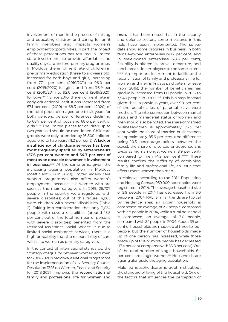involvement of men in the process of raising and educating children and caring for unfit family members also impacts women's employment opportunities. In part, the impact of these perceptions has resulted in limited state investments to provide affordable and quality day care and pre-primary programmes. In Moldova, the enrolment rate of children in pre-primary education (three to six years old) increased for both boys and girls, increasing from 77.4 per cent (2010/2011) to 96.0 per cent (2019/2020) for girls, and from 76.9 per cent (2010/2011) to 92.0 per cent (2019/2020) for boys.<sup>Ixxxiii</sup> Since 2010, the enrolment rate in early educational institutions increased from 57.1 per cent (2010) to 68.3 per cent (2020) of the total population aged one to six years for both genders, gender differences declining to 68.7 per cent of boys and 68.0 per cent of girls.<sup>Ixxxiv</sup> The limited places for children up to two years old should be mentioned. Childcare groups were only attended by 16,800 children aged one to two years (11.2 per cent). **A lack or insufficiency of childcare services has been most frequently specified by entrepreneurs (57.6 per cent women and 54.7 per cent of men) as an obstacle to women's involvement**  in business.<sup>Ixxxv</sup> At the same time, given the increasing ageing population in Moldova (coefficient 21.8 in 2020), limited elderly care support programmes also affect women's employment, because it is women who are seen as the main caregivers. In 2019, 26,707 people in the country were registered with severe disabilities; out of this figure, 4,865 were children with severe disabilities (Table 2). Taking into consideration that only 3,624 people with severe disabilities (around 13.5 per cent out of the total number of persons with severe disabilities) benefited from the Personal Assistance Social Service<sup>lxxxvi</sup> due to limited social assistance services, there is a high probability that the responsibility of care will fall to women as primary caregivers.

In the context of international standards, the Strategy of equality between women and men for 2017-2021 in Moldova, a National programme for the implementation of UN Security Council Resolution 1325 on Women, Peace and Security for 2018-2021, improves the **reconciliation of family and professional life for women and** 

**men.** It has been noted that in the security and defence sectors, some measures in this field have been implemented. The survey data show some progress in business: in both female-owned enterprises (78.2 per cent) and in male-owned enterprises (78.6 per cent), flexibility is offered in arrival, departure, and lunch breaks for employees to the same extent. lxxxvii An important instrument to facilitate the reconciliation of family and professional life for women and men is 14 days paid paternity leave (from 2016); the number of beneficiaries has gradually increased from 60 people in 2016 to 3,940 people in 2019.<sup>Ixxxviii</sup> This is a step forward given that in previous years, over 90 per cent of the beneficiaries of parental leave were mothers. The interconnection between marital status and managerial status of women and men should also be noted. The share of married businesswomen is approximately 75.3 per cent, while the share of married businessmen is approximately 85.6 per cent (the difference being 10.3 percentage points between the sexes); the share of divorced entrepreneurs is twice as high amongst women (8.9 per cent) compared to men (4.2 per cent).<sup>Ixxxix</sup> These results confirm the difficulty of combining family life and professional life, an issue that affects more women than men.

In Moldova, according to the 2014 Population and Housing Census, 959,000 households were registered in 2014. The average household size of 2.9 people in 2014 has decreased from 3.0 people in 2004 RPL. Similar trends are typical by residence area: an urban household is composed, on average, of 2.7 people, compared with 2.8 people in 2004, while a rural household is composed, on average, of 3.0 people, compared with 3.1 people in 2004. About 39 per cent of households are made up of three to four people, but the number of households made up of one person has increased, while those made up of five or more people has decreased (17.4 per cent compared with 18.8 per cent). Out of the total number of single households, 64 per cent are single women.<sup>xc</sup> Households are ageing alongside the aging population.

Male-led households are more optimistic about the standard of living of the household. One of the factors that influences the perception of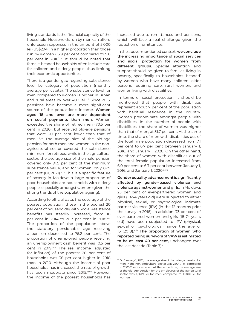living standards is the financial capacity of the household. Households run by men can afford unforeseen expenses in the amount of 5,000 lei (US\$294) in a higher proportion than those run by women (13.9 per cent compared to 9.8 per cent in 2018).<sup>xci</sup> It should be noted that female-headed households often include care for children and elderly people, thus limiting their economic opportunities.

There is a gender gap regarding subsistence level by category of population (monthly average per capita). The subsistence level for men compared to women is higher in urban and rural areas by over 400 lei.xcii Since 2015, pensions have become a more significant source of the population's income. **Women aged 18 and over are more dependent on social payments than men.** Women exceeded the share of retired men (70.5 per cent in 2020), but received old-age pensions that were 20 per cent lower than that of men.xciii,19 The average size of the old-age pension for both men and women in the nonagricultural sector covered the subsistence minimum for retirees, while in the agricultural sector, the average size of the male pension covered only 91.5 per cent of the minimum subsistence value, and for women, only 87.9 per cent (01, 2021). xciv This is a specific feature of poverty in Moldova: a large proportion of poor households are households with elderly people, especially amongst women (given the strong trends of the population ageing).

According to official data, the coverage of the poorest population (those in the poorest 20 per cent of households) with Social Assistance benefits has steadily increased, from 10 per cent in 2014 to 20.7 per cent in 2018.xcv The proportion of the population above the statutory pensionable age receiving a pension decreased to 75.2 per cent. The proportion of unemployed people receiving an unemployment cash benefit was 10.5 per cent in 2019.xcvi The real income (adjusted for inflation) of the poorest 20 per cent of households was 38 per cent higher in 2018 than in 2010. Although the income of poor households has increased, the rate of growth has been moderate since 2015.xcvii However, the income of the poorest households has

increased due to remittances and pensions, which will face a real challenge given the reduction of remittances.

In the above-mentioned context, **we conclude the increasing importance of social services and social protection for women from different groups.** Special attention and support should be given to families living in poverty, specifically to households 'headed' by women who have many children, older persons requiring care, rural women, and women living with disabilities.

In terms of social protection, it should be mentioned that people with disabilities represent about 7 per cent of the population with habitual residence in the country. Women predominate amongst people with disabilities. In the number of people with disabilities, the share of women was higher than that of men, at 51.7 per cent. At the same time, the share of men with disabilities out of the total male population decreased from 7.1 per cent to 6.7 per cent between January 1, 2016, and January 1, 2020. On the other hand, the share of women with disabilities out of the total female population increased from 6.0 per cent to 6.7 per cent between January 1, 2016, and January 1, 2020. xcviii

**Gender equality advancement is significantly affected by gender-based violence and violence against women and girls.** In Moldova, 25 per cent of ever-partnered women and girls (18-74 years old) were subjected to either physical, sexual, or psychological intimate partner violence (IPV) (in the 12 months prior the survey in 2018). In addition, 73 per cent of ever-partnered women and girls (18-74 years old) have been subjected to IPV (physical, sexual or psychological), since the age of 15 (2018).xcix **The proportion of women who reported being survivors of VAW is estimated to be at least 40 per cent,** unchanged over the last decade (Table 7). $\circ$ 

<sup>19</sup> On January 1, 2021, the average size of the old-age pension for men in the non-agricultural sector was 2,901.7 lei, compared to 2,105.2 lei for women. At the same time, the average size of the old-age pension for the employees of the agricultural sector was 1,561.9 lei for men compared to 1,501.6 lei for women.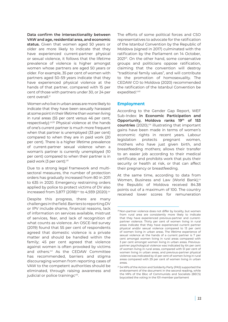**Data confirm the intersectionality between VAW and age, residential area, and economic status.** Given that women aged 50 years or older are more likely to indicate that they have experienced current-partner physical or sexual violence, it follows that the lifetime prevalence of violence is higher amongst women whose partners are aged 50 years or older. For example, 35 per cent of women with partners aged 50–59 years indicate that they have experienced physical violence at the hands of that partner, compared with 15 per cent of those with partners under 30, or 24 per cent overall.<sup>ci</sup>

Women who live in urban areas are more likely to indicate that they have been sexually harassed at some point in their lifetime than women living in rural areas (55 per cent versus 46 per cent, respectively).<sup>cii,20</sup> Physical violence at the hands of one's current partner is much more frequent when that partner is unemployed (33 per cent) compared to when they are in paid work (20 per cent). There is a higher lifetime prevalence of current-partner sexual violence when a woman's partner is currently unemployed (10 per cent) compared to when their partner is in paid work (3 per cent).ciii

Due to a strong legal framework and multisectoral measures, the number of protection orders has gradually increased from 80 in 2011 to 635 in 2020. Emergency restraining orders applied by police to protect victims of DV also increased from 3,877 (2018)<sup>civ</sup> to 4,939 (2020).<sup>cv</sup>

Despite this progress, there are many challenges in the field. Barriers to reporting DV or IPV include shame, financial reasons, lack of information on services available, mistrust of services, fear, and lack of recognition of what counts as violence. An OSCE-led survey (2019) found that 55 per cent of respondents agreed that domestic violence is a private matter and should be handled within the family; 45 per cent agreed that violence against women is often provoked by victims and others.<sup>cvi</sup> As the CEDAW Committee has recommended, barriers and stigma discouraging women from reporting cases of VAW to the competent authorities should be eliminated, through raising awareness and judicial or police trainingc<sup>viii</sup>.

The efforts of some political forces and CSO representatives to advocate for the ratification of the Istanbul Convention by the Republic of Moldova (signed in 2017) culminated with the ratification by the Parliament on 14 October, 202121. On the other hand, some conservative groups and politicians oppose ratification, claiming that the convention will destroy "traditional family values", and will contribute to the promotion of homosexuality. The CEDAW CO to Moldova (2020) recommended the ratification of the Istanbul Convention be expedited.<sup>cviii</sup>

# **Employment**

According to the Gender Gap Report, WEF Sub-Index: **in Economic Participation and Opportunity, Moldova ranks 19th of 153 countries** (2020),<sup>cix</sup> illustrating that important gains have been made in terms of women's economic rights in recent years. Labour legislation protects pregnant women, mothers who have just given birth, and breastfeeding mothers; allows their transfer to an easier job according to their medical certificate; and prohibits work that puts their security or health at risk, or that can affect their pregnancy or breastfeeding.

At the same time, according to data from Women, Business and Law (World Bank), $\alpha$ the Republic of Moldova received 84.38 points out of a maximum of 100. The country received lower scores for remuneration

<sup>20</sup>Non-partner violence does not differ by locality, but women from rural area are consistently more likely to indicate that they have experienced previous-partner and currentpartner violence. Thirty per cent of women living in rural areas indicate that they have experienced current partner physical and/or sexual violence compared to 13 per cent of women living in urban areas. The lifetime experience of sexual violence at the hands of a current partner is 7 per cent amongst women living in rural areas compared with 3 per cent amongst women living in urban areas. Previouspartner psychological violence was indicated by 64 per cent of women living in rural areas, compared with 51 per cent of women living in urban areas, and previous-partner physical violence was indicated by 41 per cent of women living in rural areas compared with 29 per cent of women living in urban areas.

<sup>21</sup> 54 MPs of the Action and Solidarity Party (PAS) supported the endorsement of the document in the second reading, while the MPs of the Bloc of Communists and Socialists (BECS) boycotted the voting in the 101-member parliament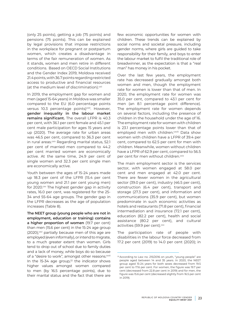(only 25 points), getting a job (75 points) and pensions (75 points). This can be explained by legal provisions that impose restrictions in the workplace for pregnant or postpartum women, which creates a disadvantage in terms of the fair remuneration of women. As it stands, women and men retire in different conditions. Based on OECD Social Institutions and the Gender Index 2019, Moldova received 21.4 points, with 36.7 points regarding restricted access to productive and financial resources (at the medium level of discrimination).<sup>cxii</sup>

In 2019, the employment gap for women and men (aged 15-64 years) in Moldova was smaller compared to the EU (6.0 percentage points versus 10.3 percentage points)<sup>cxiii</sup>. However, **gender inequality in the labour market remains significant.** The overall LFPR is 40.3 per cent, with 36.1 per cent female and 45.1 per cent male participation for ages 15 years and up (2020). The average rate for urban areas was 46.5 per cent, compared to 36.3 per cent in rural areas.<sup>cxiv</sup> Regarding marital status, 52.1 per cent of married men compared to 44.2 per cent married women are economically active. At the same time, 24.9 per cent of single women and 32.3 per cent single men are economically active.

Youth between the ages of 15-24 years made up 18.3 per cent of the LFPR (15.4 per cent young women and 21.1 per cent young men) for 2020.<sup>cxv</sup> The highest gender gap in activity rates, 16.0 per cent, was registered for the 25- 34 and 55-64 age groups. The gender gap in the LFPR decreases as the age of population increases (Table 8).

**The NEET group (young people who are not in employment, education or training) contains a higher proportion of women** (19.7 per cent) than men (15.6 per cent) in the 15-24 age group  $(2020)$ ,<sup>cxvi</sup> partially because men of this age are employed (even informally), or intend to migrate, to a much greater extent than women. Girls tend to drop out of school due to family duties and a lack of money, while boys do so because of a "desire to work", amongst other reasons.<sup>cxvii</sup> In the 15-34 age group, $22$  the indicator shows higher values amongst women compared to men (by 16.5 percentage points), due to their marital status and the fact that there are

few economic opportunities for women with children. These trends can be explained by social norms and societal pressure, including gender norms, where girls are guided to take responsibility for their family, and boys to enter the labour market to fulfil the traditional role of breadwinner, as the expectation is that a "real man" has money in his pocket.

Over the last few years, the employment rate has decreased gradually amongst both women and men, though the employment rate for women is lower than that of men. In 2020, the employment rate for women was 35.0 per cent, compared to 43.1 per cent for men (an 8.1 percentage point difference). The employment rate for women depends on several factors, including the presence of children in the household under the age of 16. The employment rate for women with children is 23.1 percentage points lower than that of employed men with children.<sup>cxviii</sup> Data show women with children have a LFPR of 39.4 per cent, compared to 62.5 per cent for men with children. Meanwhile, women without children have a LFPR of 62.9 per cent, compared to 56.5 per cent for men without children.<sup>cxix</sup>

The main employment sector is the services sector, with women engaged at 58.0 per cent and men engaged at 42.0 per cent. There are fewer women in the agricultural sector (39.0 per cent), industry (46.5 per cent), construction (6.4 per cent), transport and storage (27.3 per cent), and information and communications (35.9 per cent), but women predominate in such economic activities as hotels and restaurants (71.8 per cent), financial intermediation and insurance (72.1 per cent), education (82.2 per cent), health and social assistance (80.2 per cent), and cultural activities (59.9 per cent).<sup>cxx</sup>

The participation rate of people with disabilities in the labour force decreased from 17.2 per cent (2019) to 14.0 per cent (2020); in

<sup>&</sup>lt;sup>22</sup> According to Law no. 215/2016 on youth, "young people" are people aged between 14 and 35 years. In 2020, the NEET group aged 15-24 years for both sexes decreased from 19.5 per cent to 17.6 per cent. For women, the figure was 19.7 per cent (decreased from 22.8 per cent in 2019) and for men, the figure was 15.6 per cent (decreased slightly from 16.5 per cent in 2019).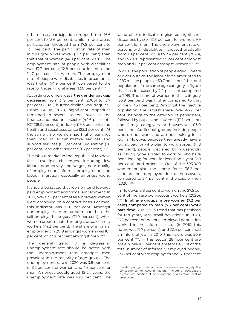urban areas, participation dropped from 16.6 per cent to 15.6 per cent, while in rural areas, participation dropped from 17.5 per cent to 13.1 per cent. The participation rate of men in this group was lower (13.3 per cent) than that that of women (14.8 per cent, 2020). The employment rate of people with disabilities was 13.7 per cent; 12.8 per cent for men and 14.7 per cent for women. The employment rate of people with disabilities in urban areas was higher (14.9 per cent) compared to the rate for those in rural areas (13.0 per cent).<sup>cxxi</sup>

According to official data, **the gender pay gap decreased** from 31.9 per cent (2006) to 13.7 per cent (2020), but the decline was irregular<sup>23</sup> (Table 8). In 2020, significant disparities remained in several sectors, such as the finance and insurance sector (44.6 per cent), ICT (38.0 per cent), industry (19.8 per cent), and health and social assistance (23.3 per cent). At the same time, women had higher earnings than men in administrative services and support services (8.1 per cent), education (1.8 per cent), and other services (1.3 per cent).<sup>cxxii</sup>

The labour market in the Republic of Moldova faces multiple challenges, including low labour productivity and wages, poor quality of employment, informal employment, and labour migration, especially amongst young people.

It should be stated that women tend towards paid employment and formal employment. In 2019, over 83.2 per cent of all employed women were employed on a contract basis. For men, this indicator was 72.6 per cent. Amongst non-employees, men predominated in the self-employed category (71.9 per cent), while women predominated amongst unpaid family workers (74.2 per cent). The share of informal employment in 2019 amongst women was 18.1 per cent, or 27.9 per cent amongst men.<sup>cxxiii</sup>

The general trend of a decreasing unemployment rate should be noted, with the unemployment rate amongst men prevalent in the majority of age groups. The unemployment rate in 2020 was 3.8 per cent, or 3.2 per cent for women, and 4.3 per cent for men. Amongst people aged 15-24 years, the unemployment rate was 10.9 per cent. The value of this indicator registered significant disparities by sex (12.3 per cent for women, 9.9 per cent for men). The unemployment rate of persons with disabilities increased gradually from 1.9 per cent (2018) to 2.4 per cent (2020), and in 2020 represented 3.9 per cent amongst men and 0.7 per cent amongst women.<sup>cxxiv,cxxv</sup>

In 2020, the population of people aged 15 years or older outside the labour force amounted to 1.283 million people or 59.7 per cent of the total population of the same age category, a figure that has increased by 2.2 per cent compared to 2019. The share of women in this category (56.9 per cent) was higher compared to that of men (43.1 per cent). Amongst the inactive population, the largest share, over 45.2 per cent, belongs to the category of pensioners, followed by pupils and students (13.1 per cent) and family caregivers or housewives (13.0 per cent). Additional groups include people who do not work and are not looking for a job in Moldova, because they already have a job abroad, or who plan to work abroad (11.8 per cent), people (declared by households) as having gone abroad to work or who have been looking for work for less than a year (7.0 per cent), and others.<sup>cxxvi</sup> Out of the 393,000 women outside the labour force, 36.2 per cent are not employed due to housework, compared to 2.4 per cent in the case of men (2020).cxxvii

In Moldova, 15.8 per cent of women and 27.5 per cent of men are own-account workers (2020). cxxviii **In all age groups, more women (7.2 per cent) compared to men (5.3 per cent) work part-time** (2019), <sup>cxxix</sup> a trend that has persisted for ten years, with small deviations. In 2020, 16.7 per cent of the total employed population worked in the informal sector (in 2010, this figure was 12.7 per cent), and 22.4 per cent had an informal job (in 2010, this figure was 30.9 per cent) $cxxx$ . In this sector, 28.1 per cent are male, while 16.1 per cent are female. Out of the total number of informally employed people, 23.8 per cent were employees and 6.8 per cent

<sup>&</sup>lt;sup>23</sup> Gender pay gaps in economic activities are largely the consequence of several factors, including occupation, hierarchical position at work and the qualification level of employees.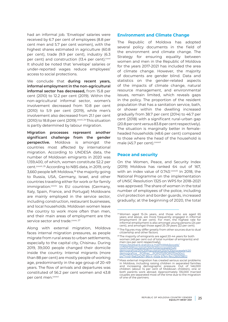had an informal job. 'Envelope' salaries were received by 6.7 per cent of employees (8.8 per cent men and 5.7 per cent women), with the highest shares estimated in agriculture (60.8 per cent), trade (9.9 per cent), industry (6.3 per cent) and construction  $(13.4 \text{ per cent})$ .<sup>cxxxi</sup> It should be noted that 'envelope' salaries or under-reported wages reduce employees' access to social protections.

We conclude that **during recent years, informal employment in the non-agricultural informal sector has decreased,** from 15.8 per cent (2010) to 12.2 per cent (2019). Within the non-agricultural informal sector, women's involvement decreased from 10.8 per cent (2010) to 5.9 per cent (2019), while men's involvement also decreased from 21.1 per cent (2010) to 18.8 per cent (2019). $cx$  $xxi$ , 24 This situation is partly determined by labour migration.

**Migration processes represent another significant challenge from the gender perspective.** Moldova is amongst the countries most affected by international migration. According to UNDESA data, the number of Moldovan emigrants in 2020 was 1,159,400, of which, women constitute 52.2 per cent.<sup>cxxxiii, 25</sup> According to NBS data, in 2019, only 3,660 people left Moldova,<sup>26</sup> the majority going to Russia, USA, Germany, Israel, and other countries traveling either for work or for family immigration.<sup>cxxxiv</sup> In EU countries (Germany, Italy, Spain, France, and Portugal) Moldovans are mainly employed in the service sector, including construction, restaurant businesses, and local households. Moldovan women leave the country to work more often than men, and their main areas of employment are the service sector and trade.cxxxv, 27

Along with external migration, Moldova faces internal migration pressures, as people migrate from rural areas to urban settlements, especially to the capital city, Chisinau. During 2019, 39,000 people changed their domicile inside the country. Internal migrants (more than 88 per cent) are mostly people of working age, predominantly in the age group of 20-49 years. The flow of arrivals and departures was constituted of 56.2 per cent women and 43.8 per cent men.<sup>cxxxvi</sup>

### **Environment and Climate Change**

The Republic of Moldova has adopted several policy documents in the field of the environment and climate change. The Strategy for ensuring equality between women and men in the Republic of Moldova for the years 2017-2021 has included the area of climate change. However, the majority of documents are gender blind. Data and statistics on the gender-related aspects of the impacts of climate change, natural resource management, and environmental issues, remain limited, which reveals gaps in the policy. The proportion of the resident population that has a sanitation service, bath, or shower within the dwelling increased gradually from 38.7 per cent (2014) to 46.7 per cent (2018) with a significant rural-urban gap (20.8 per cent versus 83.8 per cent respectively). The situation is marginally better in femaleheaded households (48.6 per cent) compared to those where the head of the household is male (45.7 per cent).<sup>cxxxvii</sup>

### **Peace and security**

On the Women, Peace, and Security Index (2019) Moldova has ranked 64 out of 167, with an index value of 0.743. CXXXVIII In 2018, the National Programme on the implementation of UNSC Resolution 1325 on WPS for 2018–2021 was approved. The share of women in the total number of employees of the police, including civil protection and border guards, increased gradually; at the beginning of 2020, the total

<sup>24</sup>Women aged 15-24 years, and those who are aged 65 years and above, are more frequently engaged in informal employment (9 per cent). For men, the highest rate for informal employment is also amongst young persons (24 per cent), and amongst those aged 25-29 years (22 per cent).

<sup>&</sup>lt;sup>25</sup> The figures may differ greatly from other sources due to dual citizenship and other factors.

<sup>&</sup>lt;sup>26</sup> The majority of emigrants are aged 20-44 years for both women (48 per cent out of total number of emigrants) and men (44 per cent respectively). [https://statbank.statistica.md/PxWeb/pxweb/](https://statbank.statistica.md/PxWeb/pxweb/ro/20%20Populatia%20si%20procesele%20demografice/20%20Pop) [ro/20%20Populatia%20si%20procesele%20](https://statbank.statistica.md/PxWeb/pxweb/ro/20%20Populatia%20si%20procesele%20demografice/20%20Pop) [demografice/20%20Populatia%20si%20procesele%20](https://statbank.statistica.md/PxWeb/pxweb/ro/20%20Populatia%20si%20procesele%20demografice/20%20Pop) demografice\_POPrec\_POP070/POP070400rcl. [px/?rxid=9a62a0d7-86c4-45da-b7e4-fecc26003802](https://statbank.statistica.md/PxWeb/pxweb/ro/20%20Populatia%20si%20procesele%20demografice/20%20Pop)

<sup>27</sup>Mass external migration has created serious social problems in Moldova, including raising children in separated families and increasing demographic pressure. Out of 146,000<br>children (about 14 per cent of Moldovan children), one or<br>both parents work abroad. Approximately 135,000 married<br>couples are separated most of the time due to the migrat of one of the partners.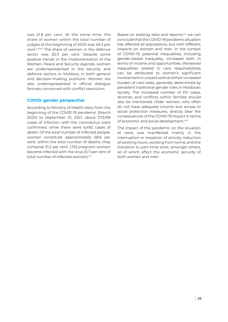was 21.8 per cent. At the same time, the share of women within the total number of judges at the beginning of 2020 was 49.2 per cent.<sup>cxxxix</sup> The share of women in the defence sector was 20.3 per cent. Despite some positive trends in the implementation of the Women, Peace and Security Agenda, women are underrepresented in the security and defence sectors in Moldova, in both general and decision-making positions. Women are also underrepresented in official dialogue formats concerned with conflict resolution.

### **COVID: gender perspective**

According to Ministry of Health data, from the beginning of the COVID-19 pandemic (March 2020) to September 10, 2021, about 273,918 cases of infection with the coronavirus were confirmed, while there were 6,492 cases of death. Of the total number of infected people, women constitute approximately 58.6 per cent; within the total number of deaths, they comprise 51.2 per cent. 1,125 pregnant women became infected with the virus (0.7 per cent of total number of infected women).<sup>cxl</sup>

Based on existing data and reports,<sup>cxli</sup> we can conclude that the COVID-19 pandemic situation has affected all populations, but with different impacts on women and men. In the context of COVID-19, potential inequalities, including gender-based inequality, increased both in terms of income and opportunities. Worsened inequalities related to care responsibilities can be attributed to women's significant involvement in unpaid work and their increased burden of care tasks, generally determined by persistent traditional gender roles in Moldovan society. The increased number of DV cases, divorces, and conflicts within families should also be mentioned. Older women, who often do not have adequate income and access to social protection measures, directly bear the consequences of the COVID-19 impact in terms of economic and social development.<sup>cxlii</sup>

The impact of the pandemic on the situation at work was manifested mainly in the interruption or cessation of activity, reduction of working hours, working from home, and the transition to part-time work, amongst others, all of which affect the economic security of both women and men.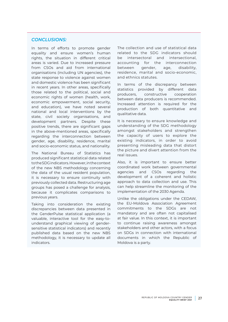# *CONCLUSIONS:*

In terms of efforts to promote gender equality and ensure women's human rights, the situation in different critical areas is varied. Due to increased pressure from CSOs and aid from international organisations (including UN agencies), the state response to violence against women and domestic violence has been significant in recent years. In other areas, specifically those related to the political, social and economic rights of women (health, work, economic empowerment, social security, and education), we have noted several national and local interventions by the state, civil society organisations, and development partners. Despite these positive trends, there are significant gaps in the above-mentioned areas, specifically regarding the interconnection between gender, age, disability, residence, marital and socio-economic status, and nationality.

The National Bureau of Statistics has produced significant statistical data related to the SDG indicators. However, in the context of the new NBS methodology concerning the data of the usual resident population, it is necessary to ensure continuity with previously collected data. Restructuring age groups has posed a challenge for analysis, because it complicates comparisons to previous years.

Taking into consideration the existing discrepancies between data presented in the GenderPulse statistical application (a valuable, interactive tool for the easy-tounderstand graphical viewing of gendersensitive statistical indicators) and recently published data based on the new NBS methodology, it is necessary to update all indicators.

The collection and use of statistical data related to the SDG indicators should be intersectoral and intersectional, accounting for the interconnection between gender, age, disability, residence, marital and socio-economic, and ethnics statutes.

In terms of the discrepancy between statistics provided by different data producers, constructive cooperation between data producers is recommended. Increased attention is required for the production of both quantitative and qualitative data.

It is necessary to ensure knowledge and understanding of the SDG methodology amongst stakeholders and strengthen the capacity of users to explore the existing indicators, in order to avoid presenting misleading data that distort the picture and divert attention from the real issues.

Also, it is important to ensure better coordinated work between governmental agencies and CSOs regarding the development of a coherent and holistic approach to data collection and use. This can help streamline the monitoring of the implementation of the 2030 Agenda.

Unlike the obligations under the CEDAW, the EU-Moldova Association Agreement commitments to the SDGs are not mandatory and are often not capitalised at fair value. In this context, it is important to continue raising awareness amongst stakeholders and other actors, with a focus on SDGs in connection with international documents in which the Republic of Moldova is a party.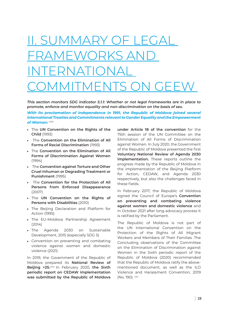# <span id="page-27-0"></span>I. SUMMARY OF LEG FRAMEWORKS AND INTERNATIONAL COMMITMENTS ON GEEW

*This section monitors SDG indicator 5.1.1: Whether or not legal frameworks are in place to promote, enforce and monitor equality and non-discrimination on the basis of sex.* 

*With its proclamation of independence in 1991, the Republic of Moldova joined several international Treaties and Commitments relevant to Gender Equality and the Empowerment of Women:* cxliii

- The **UN Convention on the Rights of the Child** (1993)
- The **Convention on the Elimination of All Forms of Racial Discrimination** (1993)
- The **Convention on the Elimination of All Forms of Discrimination Against Women** (1994)
- The **Convention against Torture and Other Cruel Inhuman or Degrading Treatment or Punishment** (1995)
- The **Convention for the Protection of All Persons from Enforced Disappearance** (2007)
- The **UN Convention on the Rights of Persons with Disabilities** (2010)
- The Beiling Declaration and Platform for Action (1995)
- The EU-Moldova Partnership Agreement (2014)
- The Agenda 2030 on Sustainable Development, 2015 (especially SDG 5)
- Convention on preventing and combating violence against women and domestic violence (2021)

In 2019, the Government of the Republic of Moldova prepared its **National Review of Beijing +25.**cxliv In February 2020, **the Sixth periodic report on CEDAW implementation was submitted by the Republic of Moldova**  **under Article 18 of the convention** for the 75th session of the UN Committee on the Elimination of All Forms of Discrimination against Women. In July 2020, the Government of the Republic of Moldova presented the first **Voluntary National Review of Agenda 2030 implementation.** These reports outline the progress made by the Republic of Moldova in the implementation of the Beijing Platform for Action, CEDAW, and Agenda 2030 respectively, but also the challenges faced in these fields.

In February 2017, the Republic of Moldova signed the Council of Europe's **Convention on preventing and combating violence against women and domestic violence** and in October 2021 after long advocacy process it is ratified by the Parliament.

The Republic of Moldova is not part of the UN International Convention on the Protection of the Rights of All Migrant Workers and Members of Their Families. The Concluding observations of the Committee on the Elimination of Discrimination against Women in the Sixth periodic report of the Republic of Moldova (2020) recommended that the Republic of Moldova ratify the abovementioned document, as well as the ILO Violence and Harassment Convention, 2019 (No. 190). cxlv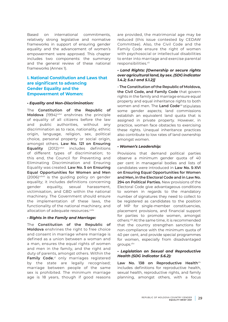Based on international commitments, relatively strong legislative and normative frameworks in support of ensuring gender equality and the advancement of women's empowerment were approved. This chapter includes two components: the summary and the general review of these national frameworks (Annex 1).

# **I. National Constitution and Laws that are significant to advancing Gender Equality and the Empowerment of Women:**

#### *• Equality and Non-Discrimination:*

The **Constitution of the Republic of Moldova** (1994)<sup>cxlvi</sup> enshrines the principle of equality of all citizens before the law and public authorities, without any discrimination as to race, nationality, ethnic origin, language, religion, sex, political choice, personal property or social origin, amongst others. **Law No. 121 on Ensuring Equality** (2012)<sup>cxlvii</sup> includes definitions of different types of discrimination; to this end, the Council for Preventing and Eliminating Discrimination and Ensuring Equality was created. **Law No. 5 on Ensuring Equal Opportunities for Women and Men** (2006)<sup>cxlviii</sup> is the guiding policy on gender equality; it includes definitions concerning gender equality, sexual harassment, victimisation, and GBD within the national machinery. The Government should ensure the implementation of these laws, the functionality of the national machinery, and allocation of adequate resources.<sup>cxlix</sup>

### *• Rights in the Family and Marriage:*

The **Constitution of the Republic of Moldova** enshrines the right to free choice and consent in marriage where marriage is defined as a union between a woman and a man, ensures the equal rights of women and men in the family, and the right and duty of parents, amongst others. Within the Family Code,<sup>cl</sup> only marriages registered by the state are legally recognised; marriage between people of the same sex is prohibited. The minimum marriage age is 18 years, though if good reasons

are provided, the matrimonial age may be reduced (this issue contested by CEDAW Committee). Also, the Civil Code and the Family Code ensure the right of women with psychosocial or intellectual disabilities to enter into marriage and exercise parental responsibilities.<sup>cli</sup>

### *• Land Rights: [Ownership or secure rights over agricultural land, by sex. (SDG indicator 1.4.2; 5.a.1 and 5.1.2)]*

**- The Constitution of the Republic of Moldova, the Civil Code, and Family Code** that govern rights in the family and marriage ensure equal property and equal inheritance rights to both women and men. The Land Code<sup>clii</sup> stipulates some gender aspects; land commissions establish an equivalent land quota that is assigned in private property. However, in practice, women face obstacles to exercising these rights. Unequal inheritance practices also contribute to low rates of land ownership amongst women.

#### *• Women's Leadership:*

Provisions that demand political parties observe a minimum gender quota of 40 per cent in managerial bodies and lists of candidates were introduced in **Law No. 5-XVI on Ensuring Equal Opportunities for Women and Men, in the Electoral Code and in Law No. 294 on Political Parties.** New provisions of the Electoral Code give advantageous conditions to women in regards to the mandatory number of signatures they need to collect to be registered as candidates to the position of MP for single-member constituencies, placement provisions, and financial support for parties to promote women, amongst others.cliii At the same time, it is recommended that the country strengthen sanctions for non-compliance with the minimum quota of 40 per cent, and provide special programmes for women, especially from disadvantaged groups.cliv

### *• Legislation on Sexual and Reproductive Health (SDG indicator 5.6.2):*

Law No. 138 on Reproductive Healthclv includes definitions for reproductive health, sexual health, reproductive rights, and family planning, amongst others, with a focus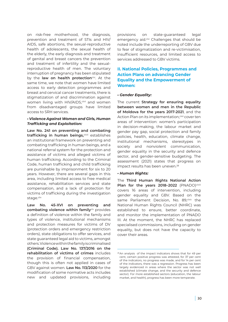on risk-free motherhood, the diagnosis, prevention and treatment of STIs and HIV/ AIDS, safe abortions, the sexual-reproductive health of adolescents, the sexual health of the elderly, the early diagnosis and treatment of genital and breast cancers the prevention and treatment of infertility and the sexualreproductive health of men. The voluntary interruption of pregnancy has been stipulated by the **law on health protection**<sup>clvi</sup>. At the same time, we note that women have limited access to early detection programmes and breast and cervical cancer treatments, there is stigmatization of and discrimination against women living with HIV/AIDS,<sup>clvii</sup> and women from disadvantaged groups have limited access to SRH services.

### *• Violence Against Women and Girls, Human Trafficking and Exploitation:*

**Law No. 241 on preventing and combating**  trafficking in human beings,<sup>clviii</sup> establishes an institutional framework on preventing and combating trafficking in human beings, and a national referral system for the protection and assistance of victims and alleged victims of human trafficking. According to the Criminal Code, human trafficking and child trafficking are punishable by imprisonment for six to 20 years. However, there are several gaps in this area, including limited access to free medical assistance, rehabilitation services and state compensation, and a lack of protection for victims of trafficking during the investigation stage.clix

**Law No. 45-XVI on preventing and**  combating violence within family<sup>clx</sup> provides a definition of violence within the family and types of violence, institutional mechanisms and protection measures for victims of DV (protection orders and emergency restriction orders), state obligations to offer services, and state guaranteed legal aid to victims, amongst others. Violence within the family is criminalised **(Criminal Code). Law No. 137/2016 on the rehabilitation of victims of crimes** includes the provision of financial compensation, though this is often not applied in cases of GBV against women. **Law No. 113/2020** for the modification of some normative acts includes new and updated provisions, including

provisions on state-guaranteed legal emergency aid.<sup>clxi</sup> Challenges that should be noted include the underreporting of GBV due to fear of stigmatization and re-victimisation, insufficient resources, and limited access to services addressed to GBV victims.

# **II. National Policies, Programmes and Action Plans on advancing Gender Equality and the Empowerment of Women:**

### *• Gender Equality:*

The current **Strategy for ensuring equality between women and men in the Republic of Moldova for the years 2017-2021**, and the Action Plan on its implementation, clxii cover ten areas of intervention: women's participation in decision-making, the labour market and gender pay gap, social protection and family policies, health, education, climate change, institutional mechanisms, stereotypes in society and nonviolent communication, gender equality in the security and defence sector, and gender-sensitive budgeting. The assessment (2021) states that progress on impact results has been uneven.<sup>28</sup>

### *• Human Rights:*

The **Third Human Rights National Action**  Plan for the years 2018-2022 (PNADO)clxiii covers 16 areas of intervention, including gender equality and GBV. Based on the same Parliament Decision, No. 89,<sup>clxiv</sup> the National Human Rights Council (NHRC) was established to ensure, better coordinate, and monitor the implementation of PNADO III. At the moment, the NHRC has replaced specialised commissions, including on gender equality, but does not have the capacity to cover their areas.

<sup>28</sup>An analysis of the impact indicators shows that for 49 per cent, certain positive progress was attested, for 37 per cent of the indicators, no progress was made, and for 14 per cent of the indicators, there was a regression. Progress has been largely evidenced in areas where the sector was not well established (climate change, and the security and defence sector). For more established sectors (education, the labour market, and health), progress has been more temperate.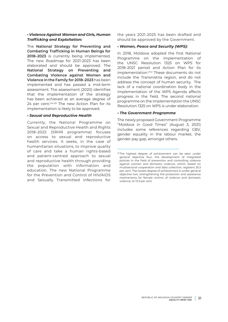#### *• Violence Against Women and Girls, Human Trafficking and Exploitation:*

The **National Strategy for Preventing and Combating Trafficking in Human Beings for 2018–2023** is currently being implemented. The new Roadmap for 2021-2023 has been elaborated and should be approved. The **National Strategy on Preventing and Combating Violence against Women and Violence in the Family for 2018–2023** has been implemented and has passed a mid-term assessment. The assessment (2020) identifies that the implementation of the strategy has been achieved at an average degree of 24 per cent.<sup>clxv,29</sup> The new Action Plan for its implementation is likely to be approved.

#### *• Sexual and Reproductive Health*

Currently, the National Programme on Sexual and Reproductive Health and Rights 2018–2022 (SRHR programme) focuses on access to sexual and reproductive health services. It seeks, in the case of humanitarian situations, to improve quality of care and take a human rights-based and patient-centred approach to sexual and reproductive health through providing the population with information and education. The new National Programme for the Prevention and Control of HIV/AIDS and Sexually Transmitted Infections for the years 2021-2025 has been drafted and should be approved by the Government.

#### *• Women, Peace and Security (WPS):*

In 2018, Moldova adopted the first National Programme on the implementation of the UNSC Resolution 1325 on WPS for 2018–2021 period and Action Plan for its implementation.<sup>clxvi</sup> These documents do not include the Transnistria region, and do not address the concept of human security. The lack of a national coordination body in the implementation of the WPS Agenda affects progress in the field. The second national programme on the implementation the UNSC Resolution 1325 on WPS is under elaboration.

#### *• The Government Programme*

The newly proposed Government Programme "Moldova in Good Times" (August 3, 2021) includes some references regarding GBV, gender equality in the labour market, the gender pay gap, amongst others.

<sup>29</sup> The highest degree of achievement can be seen under general objective four, the development of integrated policies in the field of prevention and controlling violence against women and domestic violence, which, based on multisectoral cooperation and data collection, registers 35.3 per cent. The lowest degree of achievement is under general objective two, strengthening the protection and assistance mechanisms for female victims of violence and domestic violence, at 13.3 per cent.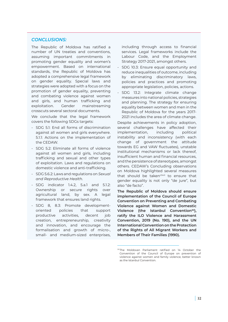### *CONCLUSIONS:*

The Republic of Moldova has ratified a number of UN treaties and conventions, assuming important commitments in promoting gender equality and women's empowerment. Based on international standards, the Republic of Moldova has adopted a comprehensive legal framework on gender equality. Special laws and strategies were adopted with a focus on the promotion of gender equality, preventing and combating violence against women and girls, and human trafficking and exploitation. Gender mainstreaming crosscuts several sectoral documents.

We conclude that the legal framework covers the following SDGs targets:

- SDG 5.1: End all forms of discrimination against all women and girls everywhere. 5.1.1: Actions on the implementation of the CEDAW.
- SDG 5.2: Eliminate all forms of violence against all women and girls, including trafficking and sexual and other types of exploitation. Laws and regulations on domestic violence and anti-trafficking.
- SDG 5.6.2: Laws and regulations on *Sexual and Reproductive Health.*
- SDG indicator 1.4.2, 5.a.1 and 5.1.2: Ownership or secure rights over agricultural land, by sex. A legal framework that ensures land rights.
- SDG 8, 8.3: Promote developmentoriented policies that support productive activities, decent job creation, entrepreneurship, creativity and innovation, and encourage the formalisation and growth of micro-, small- and medium-sized enterprises,

including through access to financial services. Legal frameworks include the Labour Code, and the Employment Strategy 2017-2021, amongst others.

- SDG 10.3: Ensure equal opportunity and reduce inequalities of outcome, including by eliminating discriminatory laws, policies and practices and promoting appropriate legislation, policies, actions.
- SDG 13.2: Integrate climate change measures into national policies, strategies and planning. The strategy for ensuring equality between women and men in the Republic of Moldova for the years 2017- 2021 includes the area of climate change.

Despite achievements in policy adoption, several challenges have affected their implementation, including political instability and inconsistency (with each change of government the attitude towards EG and VAW fluctuates), unstable institutional mechanisms or lack thereof, insufficient human and financial resources, and the persistence of stereotypes, amongst others. CEDAW's Concluding observations on Moldova highlighted several measures that should be takenclxvii to ensure that gender equality is not only "de jure", but also "de facto".

**The Republic of Moldova should ensure implementation of the Council of Europe Convention on Preventing and Combating Violence against Women and Domestic**  Violence (the Istanbul Convention<sup>30</sup>), **ratify the ILO Violence and Harassment Convention, 2019 (No. 190), and the UN International Convention on the Protection of the Rights of All Migrant Workers and Members of Their Families (1990).**

<sup>30</sup>The Moldovan Parliament ratified on 14 October the Convention of the Council of Europe on prevention of violence against women and family violence, better known as the Istanbul Convention.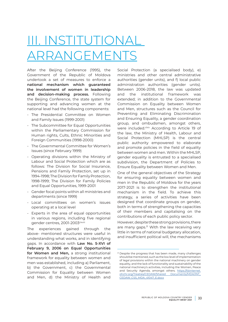# <span id="page-32-0"></span>III. INSTITUTION ARRANGEMENTS

After the Beijing Conference (1995), the Government of the Republic of Moldova undertook a set of measures to enforce a **national mechanism which guaranteed the involvement of women in leadership and decision-making process.** Following the Beijing Conference, the state system for supporting and advancing women at the national level had the following components:

- The Presidential Committee on Women and Family Issues (1999-2001)
- The Subcommittee for Equal Opportunities within the Parliamentary Commission for Human rights, Cults, Ethnic Minorities and Foreign Communities (1998-2000)
- The Governmental Committee for Women's Issues (since February 1999)
- Operating divisions within the Ministry of Labour and Social Protection which are as follows: The Division for Social Insurance, Pensions and Family Protection, set up in 1994-1998; The Division for Family Protection, 1998-1999; The Division for Family Policies and Equal Opportunities, 1999-2001
- Gender focal points within all ministries and departments (since 1999)
- Local committees on women's issues operating at a local level
- Experts in the area of equal opportunities in various regions, including five regional gender centres, 2001-2003clxviii

The experiences gained through the above- mentioned structures were useful in understanding what works, and in identifying gaps. In accordance with **Law No. 5-XVI of February 9, 2006 on Equal Opportunities for Women and Men,** a strong institutional framework for equality between women and men was established, including a) Parliament, b) the Government, c) the Governmental Commission for Equality between Women and Men, d) the Ministry of Health and

Social Protection (a specialised body), e) ministries and other central administrative authorities (gender units), and f) local public administration authorities (gender units). Between 2006-2018, the law was updated and the institutional framework was extended; in addition to the Governmental Commission on Equality between Women and Men, structures such as the Council for Preventing and Eliminating Discrimination and Ensuring Equality, a gender coordination group, and ombudsmen, amongst others, were included.<sup>clxix</sup> According to Article 19 of the law, the Ministry of Health, Labour and Social Protection (MHLSP) is the central public authority empowered to elaborate and promote policies in the field of equality between women and men. Within the MHLSP, gender equality is entrusted to a specialised subdivision, the Department of Policies to Ensure Equality between Women and Men.

One of the general objectives of the Strategy for ensuring equality between women and men in the Republic of Moldova for the years 2017-2021 is to strengthen the institutional mechanism in the field. To achieve this strategy, a series of activities have been designed that coordinate groups on gender, both in terms of strengthening the capacities of their members and capitalising on the contributions of each public policy sector.

However, despite these strong provisions, there are many gaps.<sup>31</sup> With the law receiving very little in terms of national budgetary allocation, and insufficient political will, the mechanisms

<sup>&</sup>lt;sup>31</sup> Despite the progress that has been made, many challenges should be mentioned, such as the low level of implementation of legal provisions within the national machinery on gender equality, and the lack of functionality and sustainability of the national machinery's activities, including the Women, Peace and Security Agenda, amongst others. [https://tbinternet.](https://tbinternet.ohchr.org/Treaties/CEDAW/Shared Documents/MDA/INT_CEDAW_CSS_MDA_41047_E.docx) [ohchr.org/Treaties/CEDAW/Shared Documents/MDA/INT\\_](https://tbinternet.ohchr.org/Treaties/CEDAW/Shared Documents/MDA/INT_CEDAW_CSS_MDA_41047_E.docx) [CEDAW\\_CSS\\_MDA\\_41047\\_E.docx](https://tbinternet.ohchr.org/Treaties/CEDAW/Shared Documents/MDA/INT_CEDAW_CSS_MDA_41047_E.docx)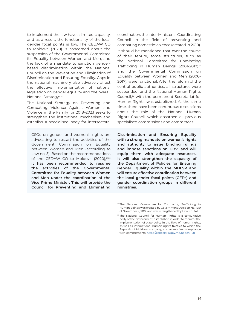to implement the law have a limited capacity, and as a result, the functionality of the local gender focal points is low. The CEDAW CO to Moldova (2020) is concerned about the suspension of the Governmental Committee for Equality between Women and Men, and the lack of a mandate to sanction genderbased discrimination within the National Council on the Prevention and Elimination of Discrimination and Ensuring Equality. Gaps in the national machinery also adversely affect the effective implementation of national legislation on gender equality and the overall National Strategy.clxx

The National Strategy on Preventing and Combating Violence Against Women and Violence in the Family for 2018–2023 seeks to strengthen the institutional mechanism and establish a specialised body for intersectoral

CSOs on gender and women's rights are advocating to restart the activities of the Government Commission on Equality between Women and Men (according to Law no. 5). Based on the recommendations of the CEDAW CO to Moldova (2020), clxxi **it has been recommended to resume the activities of the Governmental Committee for Equality between Women and Men under the coordination of the Vice Prime Minister. This will provide the Council for Preventing and Eliminating**  coordination: the Inter-Ministerial Coordinating Council in the field of preventing and combating domestic violence (created in 2010). It should be mentioned that over the course

of their tenure, some structures, such as the National Committee for Combating Trafficking in Human Beings (2001-2017)<sup>32</sup> and the Governmental Commission on Equality between Women and Men (2006- 2017), were functional. After the reform of the central public authorities, all structures were suspended, and the National Human Rights Council,<sup>33</sup> with the permanent Secretariat for Human Rights, was established. At the same time, there have been continuous discussions about the role of the National Human Rights Council, which absorbed all previous specialised commissions and committees.

**Discrimination and Ensuring Equality with a strong mandate on women's rights and authority to issue binding rulings and impose sanctions on GBV, and will equip them with adequate resources. It will also strengthen the capacity of the Department of Policies for Ensuring Gender Equality within the MHLSP and will ensure effective coordination between the local gender focal points (GFPs) and gender coordination groups in different ministries.** 

<sup>&</sup>lt;sup>32</sup> The National Committee for Combating Trafficking in Human Beings was created by Government Decision No. 1219 of November 9, 2001 and was strengthened by Law No. 241.

<sup>&</sup>lt;sup>33</sup> The National Council for Human Rights is a consultative body of the Government, established in order to monitor the implementation of state policy in the field of human rights, as well as international human rights treaties to which the Republic of Moldova is a party, and to monitor compliance with commitments. <https://cancelaria.gov.md/node/5148>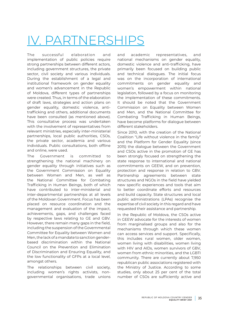# <span id="page-34-0"></span>IV. PARTNERSHIPS

The successful elaboration and implementation of public policies require strong partnerships between different actors, including government structures, the private sector, civil society and various individuals. During the establishment of a legal and institutional framework on gender equality and women's advancement in the Republic of Moldova, different types of partnerships were created. Thus, in terms of the elaboration of draft laws, strategies and action plans on gender equality, domestic violence, antitrafficking and others, additional documents have been consulted (as mentioned above). This consultative process was undertaken with the involvement of representatives from relevant ministries, especially inter-ministerial partnerships, local public authorities, CSOs, the private sector, academia and various individuals. Public consultations, both offline and online, were used.

The Government is committed to strengthening the national machinery on gender equality through initiatives such as the Government Commission on Equality between Women and Men, as well as the National Committee for Combating Trafficking in Human Beings, both of which have contributed to inter-ministerial and inter-departmental partnerships at all levels of the Moldovan Government. Focus has been placed on resource coordination and the management and evaluation of the impact, achievements, gaps, and challenges faced by respective laws relating to GE and GBV. However, there remain many gaps in the field, including the suspension of the Governmental Committee for Equality between Women and Men, the lack of a mandate to sanction genderbased discrimination within the National Council on the Prevention and Elimination of Discrimination and Ensuring Equality, and the low functionality of GFPs at a local level, amongst others.

The relationships between civil society, including women's rights activists, nongovernmental organisations, trade unions and academic representatives, and national mechanisms on gender equality, domestic violence and anti-trafficking, have primarily been focused on building public and technical dialogues. The initial focus was on the incorporation of international commitments on gender equality and women's empowerment within national legislation, followed by a focus on monitoring the implementation of these commitments. It should be noted that the Government Commission on Equality between Women and Men, and the National Committee for Combating Trafficking in Human Beings, have become platforms for dialogue between different stakeholders.

Since 2010, with the creation of the National Coalition "Life without violence in the family" and the Platform for Gender Equality (since 2015) the dialogue between the Government and CSOs active in the promotion of GE has been strongly focused on strengthening the state response to international and national commitments on GEEW, and on prevention, protection and response in relation to GBV. Partnership agreements between state structures and NGOs in the field have yielded new specific experiences and tools that aim to better coordinate efforts and resources and build capacity. State structures and local public administrations (LPAs) recognise the expertise of civil society in this regard and have requested their assistance and partnership.

In the Republic of Moldova, the CSOs active in GEEW advocate for the interests of women from marginalised groups and also for the mechanisms through which these women can access services and support. Specifically, this includes rural women, older women, women living with disabilities, women living with HIV and AIDs, women survivors of GBV, women from ethnic minorities, and the LGBTI community. There are currently about 7,950 republican public associations registered with the Ministry of Justice. According to some studies, only about 25 per cent of the total number of CSOs are sufficiently active and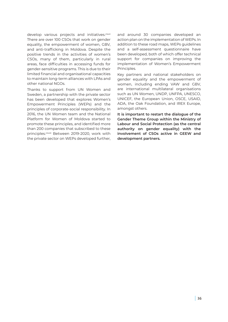develop various projects and initiatives.clxxii There are over 100 CSOs that work on gender equality, the empowerment of women, GBV, and anti-trafficking in Moldova. Despite the positive trends in the activities of women's CSOs, many of them, particularly in rural areas, face difficulties in accessing funds for gender-sensitive programs. This is due to their limited financial and organisational capacities to maintain long-term alliances with LPAs and other national NGOs.

Thanks to support from UN Women and Sweden, a partnership with the private sector has been developed that explores Women's Empowerment Principles (WEPs) and the principles of corporate-social responsibility. In 2016, the UN Women team and the National Platform for Women of Moldova started to promote these principles, and identified more than 200 companies that subscribed to these principles.clxxiii Between 2019-2020, work with the private sector on WEPs developed further, and around 30 companies developed an action plan on the implementation of WEPs. In addition to these road maps, WEPs guidelines and a self-assessment questionnaire have been developed, both of which offer technical support for companies on improving the implementation of Women's Empowerment Principles.

Key partners and national stakeholders on gender equality and the empowerment of women, including ending VAW and GBV, are international multilateral organisations such as UN Women, UNDP, UNFPA, UNESCO, UNICEF, the European Union, OSCE, USAID, ADA, the Oak Foundation, and IREX Europe, amongst others.

**It is important to restart the dialogue of the Gender Theme Group within the Ministry of Labour and Social Protection (as the central authority on gender equality) with the involvement of CSOs active in GEEW and development partners.**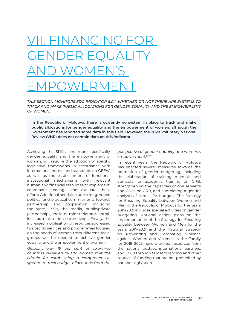## $IAN$ ( $I N$ GENDER EQUALITY AND WOMEN'S EMPOWERMENT

*THIS SECTION MONITORS SDG INDICATOR 5.C.1: WHETHER OR NOT THERE ARE SYSTEMS TO TRACK AND MAKE PUBLIC ALLOCATIONS FOR GENDER EQUALITY AND THE EMPOWERMENT OF WOMEN:* 

**In the Republic of Moldova, there is currently no system in place to track and make public allocations for gender equality and the empowerment of women, although the Government has reported some data in this field. However, the 2020 Voluntary National Review (VNR) does not contain data on this indicator.** 

Achieving the SDGs, and more specifically, gender equality and the empowerment of women, will require the adoption of specific legislative frameworks in accordance with international norms and standards on GEEW, as well as the establishment of functional institutional mechanisms with relevant human and financial resources to implement, coordinate, manage and evaluate these efforts. Additional needs include strengthened political and practical commitments towards partnership and cooperation, including the state, CSOs, the media, public/private partnerships, and inter-ministerial and centrallocal administration partnerships. Finally, the increased mobilisation of resources addressed to specific services and programmes focused on the needs of women from different social groups will be needed to achieve gender equality and the empowerment of women.

*Globally, only 19 per cent of sixty-nine countries reviewed by UN Women met the criteria for establishing a comprehensive system to track budget allocations from the*  *perspective of gender equality and women's empowerment.clxxiv* 

In recent years, the Republic of Moldova has enacted several measures towards the promotion of gender budgeting, including the elaboration of training manuals and curricula for academic training on GRB, strengthening the capacities of civil servants and CSOs on GRB, and completing a gender analysis of some LPA budgets. The Strategy for Ensuring Equality between Women and Men in the Republic of Moldova for the years 2017-2021 includes special activities on gender budgeting. National action plans on the implementation of the Strategy for Ensuring Equality between Women and Men for the years 2017-2021 and the National Strategy on Preventing and Combating Violence against Women and Violence in the Family for 2018–2023 have planned resources from the national budget, international partners, and CSOs through target financing and other sources of funding that are not prohibited by national legislation.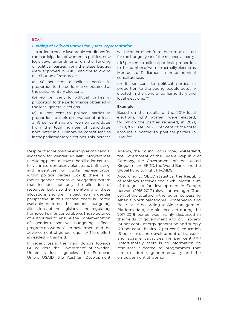#### BOX 1

#### *Funding of Political Parties for Quota Representation*

…In order to create favourable conditions for the participation of women in politics, new legislative amendments on the funding of political parties from the state budget were approved in 2018, with the following distribution of resources:

(a) 40 per cent to political parties in proportion to the performance obtained at the parliamentary elections.

(b) 40 per cent to political parties in proportion to the performance obtained in the local general elections.

(c) 10 per cent to political parties in proportion to their observance of at least a 40 per cent share of women candidates from the total number of candidates nominated in all uninominal constituencies in the parliamentary elections. This increase

Despite of some positive examples of financial allocation for gender equality programmes (including parental leave, rehabilitation centres for victims of domestic violence and trafficking, and incentives for quota representation within political parties (Box 1)) there is no robust gender-responsive budgeting system that includes not only the allocation of resources, but also the monitoring of these allocations and their impact from a gender perspective. In this context, there is limited available data on the national budgetary allocations of the legislative and regulatory frameworks mentioned above. The reluctance of authorities to ensure the implementation of gender-responsive budgeting affects progress on women's empowerment and the advancement of gender equality. More effort is needed in this field.

In recent years, the main donors towards GEEW were the Government of Sweden, United Nations agencies, the European Union, USAID, the Austrian Development

will be determined from the sum, allocated for the budget year of the respective party.

(d) 5 per cent to political parties in proportion to the number of women actually elected as Members of Parliament in the uninominal constituencies.

(e) 5 per cent to political parties in proportion to the young people actually elected in the general parliamentary and local elections.<sup>clxxv</sup>

#### **Example:**

Based on the results of the 2019 local elections, 4,119 women were elected, for which the parties received, in 2021, 2,561,287.50 lei, or 7.5 per cent of the total amount allocated to political parties in 2021.clxxvi

Agency, the Council of Europe, Switzerland, the Government of the Federal Republic of Germany, the Government of the United Kingdom, the EBRD, the World Bank, and the Global Fund to Fight HIV/AIDS.

According to OECD statistics, the Republic of Moldova receives the sixth largest sum of foreign aid for development in Europe; between 2015-2017, this was an average of 3 per cent of the total aid in the region, surpassing Albania, North Macedonia, Montenegro, and Belarus.<sup>clxxvii</sup> According to Aid Management Platform data, the aid received during the 2017-2018 period was mainly disbursed in the fields of government and civil society (31 per cent), energy generation and supply (29 per cent), health (7 per cent), education (6 per cent), and development of transport and storage capacities (14 per cent). clxxviii Unfortunately, there is no information on resources allocated to programmes that aim to address gender equality and the empowerment of women.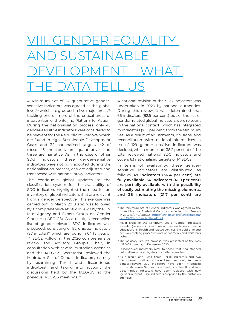# VIII. GENDER FC AND SUSTAINABLE DEVELOPMENT – WHAT <u>THE DATA TELL US</u>

A Minimum Set of 52 quantitative gendersensitive indicators was agreed at the global level,<sup>34</sup> which are grouped in five major areas,<sup>35</sup> tackling one or more of the critical areas of intervention of the Beijing Platform for Action. During the nationalisation process, only 45 gender-sensitive indicators were considered to be relevant for the Republic of Moldova, which are found in eight Sustainable Development Goals and 32 nationalised targets; 42 of these 45 indicators are quantitative, and three are narrative. As in the case of other SDG indicators, these gender-sensitive indicators were not fully adopted during the nationalisation process, or were adjusted and transposed with national proxy indicators.

The continuous global updates to the classification system for the availability of SDG indicators highlighted the need for an inventory of global indicators that are relevant from a gender perspective. This exercise was carried out in March 2018 and was followed by a comprehensive review in 2020 by the UN Inter-Agency and Expert Group on Gender Statistics (IAEG-GS). As a result, a reconciled list of gender-relevant SDG indicators was produced, consisting of 82 unique indicators (87 in total)<sup>36</sup> which are found in 64 targets of 14 SDGs. Following the 2020 comprehensive review, the Advisory Group's Chair, in consultation with several custodian agencies and the IAEG-GS Secretariat, reviewed the Minimum Set of Gender Indicators, namely by examining Tier-III and discontinued  $indicates<sup>37</sup>$  and taking into account the discussions held by the IAEG-GS at the previous IAEG-GS meetings.38

A national revision of the SDG indicators was undertaken in 2020 by national authorities. During this review, it was determined that 66 indicators (82.5 per cent) out of the list of gender-related global indicators were relevant in the national context, which has integrated 37 indicators (71.5 per cent) from the Minimum Set. As a result of adjustments, divisions, and reconciliation with national alternatives, a list of 129 gender-sensitive indicators was decided, which represents 38.2 per cent of the total reviewed national SDG indicators and covers 63 nationalised targets of 14 SDGs

In terms of availability, these gendersensitive indicators are distributed as follows: 4**7 indicators (36.4 per cent) are fully available, 54 indicators (41.9 per cent) are partially available with the possibility of easily estimating the missing elements, and 28 indicators (21.7 per cent) are** 

<sup>37</sup> Discontinued indicators refer to those that had stopped being disseminated by their custodian agencies.

<sup>34</sup>The Minimum Set of Gender Indicators was agreed by the United Nations Statistical Commission in its 44th Session in 2013 (E/CN.3/2013/33) [https://unstats.un.org/unsd/statcom/](https://unstats.un.org/unsd/statcom/doc13/2013-10-GenderStats-E.pdf) [doc13/2013-10-GenderStats-E.pdf](https://unstats.un.org/unsd/statcom/doc13/2013-10-GenderStats-E.pdf)

<sup>35</sup>Major areas of the Minimum Set of Gender Indicators include (i) economic structures and access to resources, (ii) education, (iii) health and related services, (iv) public life and decision-making processes and, (v) women's and children's rights

<sup>&</sup>lt;sup>36</sup> The Advisory Group's proposal was presented at the 14th IAEG-GS meeting in December 2020.

<sup>38</sup>As a result, one Tier-I, three Tier-III indicators and two discontinued indicators have been archived, ten new gender-relevant SDG indicators have been introduced to the Minimum Set, and one Tier-I, one Tier-III, and four discontinued indicators have been replaced with new (gender-relevant SDG) indicators proposed by the custodian agencies.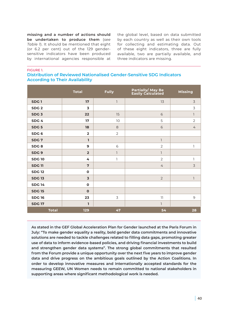**missing and a number of actions should be undertaken to produce them** (*see Table 1*). It should be mentioned that eight (or 6.2 per cent) out of the 129 gendersensitive indicators have been produced by international agencies responsible at the global level, based on data submitted by each country as well as their own tools for collecting and estimating data. Out of these eight indicators, three are fully available, two are partially available, and three indicators are missing.

FIGURE 1.

**Distribution of Reviewed Nationalised Gender-Sensitive SDG Indicators According to Their Availability**

|                  | <b>Total</b>            | <b>Fully</b>             | Partially/ May Be<br>Easily Calculated | <b>Missing</b> |
|------------------|-------------------------|--------------------------|----------------------------------------|----------------|
| SDG <sub>1</sub> | 17                      | $\overline{1}$           | 13                                     | $\overline{3}$ |
| SDG <sub>2</sub> | 3                       |                          |                                        | 3              |
| SDG <sub>3</sub> | 22                      | 15                       | 6                                      | $\overline{1}$ |
| SDG <sub>4</sub> | 17                      | 10                       | 5                                      | $\overline{2}$ |
| SDG <sub>5</sub> | 18                      | 8                        | 6                                      | $\overline{4}$ |
| SDG <sub>6</sub> | $\overline{\mathbf{2}}$ | $\overline{2}$           |                                        |                |
| SDG <sub>7</sub> | I.                      |                          | $\overline{\phantom{a}}$               |                |
| SDG8             | 9                       | 6                        | $\overline{2}$                         | 1              |
| SDG <sub>9</sub> | $\overline{2}$          | $\overline{\phantom{a}}$ | $\overline{\phantom{a}}$               |                |
| <b>SDG10</b>     | 4                       | 1                        | $\overline{2}$                         | ı              |
| <b>SDG11</b>     | $\overline{7}$          |                          | $\overline{4}$                         | $\overline{3}$ |
| <b>SDG12</b>     | $\mathbf 0$             |                          |                                        |                |
| <b>SDG13</b>     | $\overline{\mathbf{3}}$ |                          | $\overline{2}$                         | $\overline{1}$ |
| <b>SDG 14</b>    | $\mathbf 0$             |                          |                                        |                |
| <b>SDG 15</b>    | $\mathbf{o}$            |                          |                                        |                |
| <b>SDG16</b>     | 23                      | 3                        | 11                                     | $\mathsf 9$    |
| <b>SDG 17</b>    | ı                       |                          | $\overline{1}$                         |                |
| <b>Total</b>     | 129                     | 47                       | 54                                     | 28             |

**As stated in the GEF Global Acceleration Plan for Gender launched at the Paris Forum in July: "To make gender equality a reality, bold gender data commitments and innovative solutions are needed to tackle challenges related to filling data gaps, promoting greater use of data to inform evidence-based policies, and driving financial investments to build and strengthen gender data systems". The strong global commitments that resulted from the Forum provide a unique opportunity over the next five years to improve gender data and drive progress on the ambitious goals outlined by the Action Coalitions. In order to develop innovative measures and internationally accepted standards for the measuring GEEW, UN Women needs to remain committed to national stakeholders in supporting areas where significant methodological work is needed.**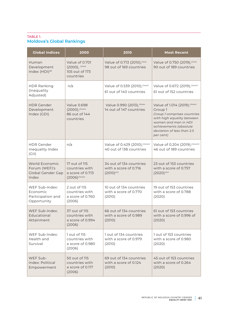## TABLE 1. **Moldova's Global Rankings**

| <b>Global Indices</b>                                                | 2000                                                                             | 2010                                                               | <b>Most Recent</b>                                                                                                                                                                                  |
|----------------------------------------------------------------------|----------------------------------------------------------------------------------|--------------------------------------------------------------------|-----------------------------------------------------------------------------------------------------------------------------------------------------------------------------------------------------|
| Human<br>Development<br>Index (HDI) <sup>39</sup>                    | Value of 0.701<br>(2000), clxxix<br>105 out of 173<br>countries                  | Value of 0.713 (2010), clxxx<br>98 out of 169 countries            | Value of 0.750 (2019), clxxxi<br>90 out of 189 countries                                                                                                                                            |
| <b>HDR Ranking</b><br>(Inequality<br>Adjusted)                       | n/a                                                                              | Value of 0.539 (2010), clxxxii<br>61 out of 140 countries          | Value of 0.672 (2019), clxxxiii<br>61 out of 152 countries                                                                                                                                          |
| <b>HDR Gender</b><br>Development<br>Index (GDI)                      | <b>Value 0.698</b><br>$(2000)$ , clxxxiv<br>86 out of 144<br>countries           | Value 0.990 (2013), clxxxv<br>14 out of 147 countries              | Value of 1.014 (2019), clxxxvi<br>Group 1<br>Group 1 comprises countries<br>with high equality between<br>women and men in HDI<br>achievements (absolute<br>deviation of less than 2.5<br>per cent) |
| <b>HDR</b> Gender<br>Inequality Index<br>(G  )                       | n/a                                                                              | Value of 0.429 (2010), clxxxvii<br>40 out of 138 countries         | Value of 0.204 (2019), clxxxviii<br>46 out of 189 countries                                                                                                                                         |
| World Economic<br>Forum (WEF)'s<br><b>Global Gender Gap</b><br>Index | 17 out of 115<br>countries with<br>a score of 0.713<br>$(2006)^{\text{clxxxix}}$ | 34 out of 134 countries<br>with a score of 0.716<br>$(2010)^{cxc}$ | 23 out of 153 countries<br>with a score of 0.757<br>$(2020)^{c}$                                                                                                                                    |
| WEF Sub-Index:<br>Economic<br>Participation and<br>Opportunity       | 2 out of 115<br>countries with<br>a score of 0.760<br>(2006)                     | 10 out of 134 countries<br>with a score of 0.770<br>(2010)         | 19 out of 153 countries<br>with a score of 0.788<br>(2020)                                                                                                                                          |
| WEF Sub-Index:<br>Educational<br>Attainment                          | 37 out of 115<br>countries with<br>a score of 0.994<br>(2006)                    | 66 out of 134 countries<br>with a score of 0.989<br>(2010)         | 61 out of 153 countries<br>with a score of 0.996 of<br>(2020)                                                                                                                                       |
| WEF Sub-Index:<br>Health and<br>Survival                             | 1 out of 115<br>countries with<br>a score of 0.980<br>(2006)                     | 1 out of 134 countries<br>with a score of 0.979<br>(2010)          | 1 out of 153 countries<br>with a score of 0.980<br>(2020)                                                                                                                                           |
| WEF Sub-<br>Index: Political<br>Empowerment                          | 50 out of 115<br>countries with<br>a score of 0.117<br>(2006)                    | 69 out of 134 countries<br>with a score of 0.124<br>(2010)         | 45 out of 153 countries<br>with a score of 0.264<br>(2020)                                                                                                                                          |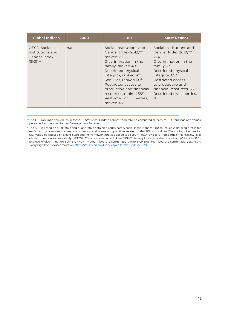| <b>Global Indices</b>                                                   | 2000 | 2010                                                                                                                                                                                                                                                                                                                                | <b>Most Recent</b>                                                                                                                                                                                                                                        |
|-------------------------------------------------------------------------|------|-------------------------------------------------------------------------------------------------------------------------------------------------------------------------------------------------------------------------------------------------------------------------------------------------------------------------------------|-----------------------------------------------------------------------------------------------------------------------------------------------------------------------------------------------------------------------------------------------------------|
| <b>OECD</b> Social<br>Institutions and<br>Gender Index<br>$(S G )^{40}$ | n/a  | Social Institutions and<br>Gender Index 2012, cxcii<br>ranked 29th<br>Discrimination in the<br>family, ranked 48 <sup>th</sup><br>Restricted physical<br>integrity, ranked 9th<br>Son Bias, ranked 68th<br>Restricted access to<br>productive and financial<br>resources, ranked 55th<br>Restricted civil liberties,<br>ranked 46th | Social Institutions and<br>Gender Index 2019, CXCili<br>21.4<br>Discrimination in the<br>family, 23<br>Restricted physical<br>integrity, 12.7<br>Restricted access<br>to productive and<br>financial resources, 36.7<br>Restricted civil liberties.<br>11 |

<sup>39</sup> The HDI rankings and values in the 2018 Statistical Update cannot therefore be compared directly to HDI rankings and values published in previous Human Development Reports.

<sup>40</sup>The SIGI is based on qualitative and quantitative data on discriminatory social institutions for 180 countries. A detailed profile for each country compiles information on laws, social norms and practices related to the SIGI sub-indices. The coding of scores for SIGI variables is based on a consistent coding framework that is applied to all countries. A low score in this index means a low level of discrimination and inequality. SIGI 2019 Classifications are as follows: SIGI<20% - very low level of discrimination, 20%<SIGI<30% low level of discrimination, 30%<SIGI<40% - medium level of discrimination, 40%<SIGI<50% - high level of discrimination, SIGI>50% - very high level of discrimination<https://stats.oecd.org/Index.aspx?DataSetCode=SIGI2019>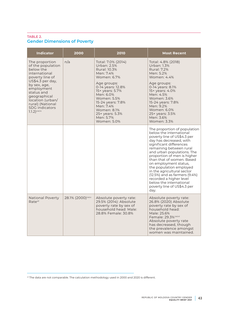### TABLE 2. **Gender Dimensions of Poverty**

| <b>Indicator</b>                                                                                                                                                                                                                                            | 2000              | 2010                                                                                                                                                                                                                                                             | <b>Most Recent</b>                                                                                                                                                                                                                                                                                                                                                                                                                                                                |
|-------------------------------------------------------------------------------------------------------------------------------------------------------------------------------------------------------------------------------------------------------------|-------------------|------------------------------------------------------------------------------------------------------------------------------------------------------------------------------------------------------------------------------------------------------------------|-----------------------------------------------------------------------------------------------------------------------------------------------------------------------------------------------------------------------------------------------------------------------------------------------------------------------------------------------------------------------------------------------------------------------------------------------------------------------------------|
| The proportion<br>of the population<br>below the<br>international<br>poverty line of<br>US\$4.3 per day,<br>by sex, age,<br>employment<br>status and<br>geographical<br>location (urban/<br>rural) (National<br><b>SDG</b> indicators<br>$1.1.2$ ) $c$ xciv | n/a               | Total: 7.0% (2014)<br>Urban: 2.5%<br>Rural: 10.3%<br>Men: 7.4%<br>Women: 6.7%<br>Age groups:<br>0-14 years: 12.8%<br>15+ years: 5.7%<br>Men: 6.0%<br>Women: 5.5%<br>15-24 years: 7.8%<br>Men: 7.4%<br>Women: 8.1%<br>25+ years: 5.3%<br>Men: 5.7%<br>Women: 5.0% | Total: 4.8% (2018)<br>Urban: 1.3%<br><b>Rural: 7.2%</b><br>Men: 5.2%<br>Women: 4.4%<br>Age groups:<br>0-14 years: 8.1%<br>15+ years: 4.0%<br>Men: 4.5%<br>Women: 3.6%<br>15-24 years: 7.8%<br>Men: 9.2%<br>Women: 6.0%<br>25+ years: 3.5%<br>Men: 3.6%<br>Women: 3.3%                                                                                                                                                                                                             |
|                                                                                                                                                                                                                                                             |                   |                                                                                                                                                                                                                                                                  | The proportion of population<br>below the international<br>poverty line of US\$4.3 per<br>day has decreased, with<br>significant differences<br>remaining between rural<br>and urban populations. The<br>proportion of men is higher<br>than that of women. Based<br>on employment status,<br>the population employed<br>in the agricultural sector<br>(12.5%) and as farmers (9.4%)<br>recorded a higher level<br>below the international<br>poverty line of US\$4.3 per<br>day. |
| <b>National Poverty</b><br>Rate <sup>41</sup>                                                                                                                                                                                                               | 28.1% (2000) CXCV | Absolute poverty rate:<br>29.5% (2014): Absolute<br>poverty rate by sex of<br>household head: Male:<br>28.8% Female: 30.8%                                                                                                                                       | Absolute poverty rate:<br>26.8% (2020) Absolute<br>poverty rate by sex of<br>household head:<br>Male: 25.6%<br>Female: 29.3% <sup>cxcvi</sup><br>Absolute poverty rate<br>has decreased, though<br>the prevalence amongst<br>women was maintained.                                                                                                                                                                                                                                |

<sup>41</sup> The data are not comparable. The calculation methodology used in 2000 and 2020 is different.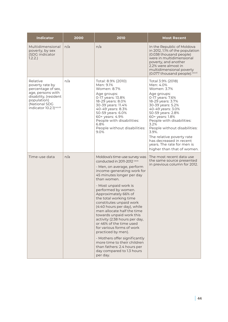| <b>Indicator</b>                                                                                                                                             | 2000 | 2010                                                                                                                                                                                                                                                                                                                                                                                                                                                                                                                                                                                                                                                          | <b>Most Recent</b>                                                                                                                                                                                                                                                                                                                                                                        |
|--------------------------------------------------------------------------------------------------------------------------------------------------------------|------|---------------------------------------------------------------------------------------------------------------------------------------------------------------------------------------------------------------------------------------------------------------------------------------------------------------------------------------------------------------------------------------------------------------------------------------------------------------------------------------------------------------------------------------------------------------------------------------------------------------------------------------------------------------|-------------------------------------------------------------------------------------------------------------------------------------------------------------------------------------------------------------------------------------------------------------------------------------------------------------------------------------------------------------------------------------------|
| Multidimensional<br>poverty, by sex<br>(SDG indicator<br>1.2.2.                                                                                              | n/a  | n/a                                                                                                                                                                                                                                                                                                                                                                                                                                                                                                                                                                                                                                                           | In the Republic of Moldova<br>in 2012, 1.1% of the population<br>(0.038 thousand people)<br>were in multidimensional<br>poverty, and another<br>2.2% were almost in<br>multidimensional poverty<br>(0.077 thousand people). CXCVII                                                                                                                                                        |
| Relative<br>poverty rate by<br>percentage of sex,<br>age, persons with<br>disability, (resident<br>population)<br>(National SDG<br>indicator 10.2.1) CXCVIII | n/a  | Total: 8.9% (2010)<br>Men: 9.1%<br>Women: 8.7%<br>Age groups:<br>0-17 years: 13.8%<br>18-29 years: 8.0%<br>30-39 years: 11.4%<br>40-49 years: 8.3%<br>50-59 years: 6.0%<br>60+ years: 4.9%<br>People with disabilities:<br>6.8%<br>People without disabilities:<br>9.0%                                                                                                                                                                                                                                                                                                                                                                                       | Total 3.9% (2018)<br>Men: 4.0%<br>Women: 3.7%<br>Age groups:<br>0-17 years: 7.6%<br>18-29 years: 3.7%<br>30-39 years: 5.2%<br>40-49 years: 3.0%<br>50-59 years: 2.8%<br>60+ years: 1.8%<br>People with disabilities:<br>3.2%<br>People without disabilities:<br>3.9%.<br>The relative poverty rate<br>has decreased in recent<br>years. The rate for men is<br>higher than that of women. |
| Time-use data                                                                                                                                                | n/a  | Moldova's time-use survey was<br>conducted in 2011-2012 <sup>cxcix</sup><br>- Men, on average, perform<br>income-generating work for<br>45 minutes longer per day<br>than women.<br>- Most unpaid work is<br>performed by women.<br>Approximately 66% of<br>the total working time<br>constitutes unpaid work<br>(4:40 hours per day), while<br>men allocate half the time<br>towards unpaid work this<br>activity (2:38 hours per day,<br>or 46% of the time used<br>for various forms of work<br>practiced by men).<br>- Mothers offer significantly<br>more time to their children<br>than fathers: 2.4 hours per<br>day compared to 1.3 hours<br>per day. | The most recent data use<br>the same source presented<br>in previous column for 2012.                                                                                                                                                                                                                                                                                                     |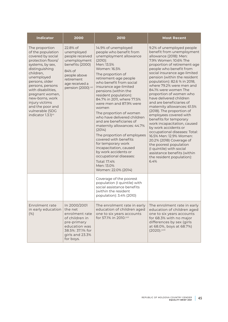| <b>Indicator</b>                                                                                                                                                                                                                                                                                                                             | 2000<br>2010                                                                                                                                                 |                                                                                                                                                                                                                                                                                                                                                                                                                                                                                                                                                                                                                                                                                         | <b>Most Recent</b>                                                                                                                                                                                                                                                                                                                                                                                                                                                                                                                                                                                                                                                                                                                                                                                  |
|----------------------------------------------------------------------------------------------------------------------------------------------------------------------------------------------------------------------------------------------------------------------------------------------------------------------------------------------|--------------------------------------------------------------------------------------------------------------------------------------------------------------|-----------------------------------------------------------------------------------------------------------------------------------------------------------------------------------------------------------------------------------------------------------------------------------------------------------------------------------------------------------------------------------------------------------------------------------------------------------------------------------------------------------------------------------------------------------------------------------------------------------------------------------------------------------------------------------------|-----------------------------------------------------------------------------------------------------------------------------------------------------------------------------------------------------------------------------------------------------------------------------------------------------------------------------------------------------------------------------------------------------------------------------------------------------------------------------------------------------------------------------------------------------------------------------------------------------------------------------------------------------------------------------------------------------------------------------------------------------------------------------------------------------|
| The proportion<br>of the population<br>covered by social<br>protection floors/<br>systems, by sex,<br>distinguishing<br>children,<br>unemployed<br>persons, older<br>persons, persons<br>with disabilities,<br>pregnant women,<br>new-borns, work<br>injury victims<br>and the poor and<br>vulnerable (SDG<br>indicator 1.3.1) <sup>cc</sup> | 22.8% of<br>unemployed<br>people received<br>unemployment<br>benefits (2000)<br>84% of<br>people above<br>retirement<br>age received a<br>pension (2000) cci | 14.9% of unemployed<br>people who benefit from<br>unemployment allowance<br>$(2010)$ :<br>Men: 13.5%<br>Women: 16.5%<br>The proportion of<br>retirement-age people<br>who benefit from social<br>insurance age-limited<br>pensions (within the<br>resident population):<br>84.7% in 2011, where 77.5%<br>were men and 87.9% were<br>women<br>The proportion of women<br>who have delivered children<br>and are beneficiaries of<br>maternity allowances: 44.7%<br>(2014)<br>The proportion of employees<br>covered with benefits<br>for temporary work<br>incapacitation, caused<br>by work accidents or<br>occupational diseases:<br>Total: 17.4%<br>Men: 13.0%<br>Women: 22.0% (2014) | 9.2% of unemployed people<br>benefit from unemployment<br>allowance (2018): Men:<br>7.9% Women: 10.6% The<br>proportion of retirement-age<br>people who benefit from<br>social insurance age-limited<br>pension (within the resident<br>population): 82.6 % in 2018,<br>where 79.2% were men and<br>84.1% were women The<br>proportion of women who<br>have delivered children<br>and are beneficiaries of<br>maternity allowances: 61.5%<br>(2018). The proportion of<br>employees covered with<br>benefits for temporary<br>work incapacitation, caused<br>by work accidents or<br>occupational diseases: Total:<br>16.5% Men: 12.9% Women:<br>20.2% (2018) Coverage of<br>the poorest population<br>(I quintile) with social<br>assistance benefits (within<br>the resident population):<br>6.4% |
|                                                                                                                                                                                                                                                                                                                                              |                                                                                                                                                              | Coverage of the poorest<br>population (I quintile) with<br>social assistance benefits<br>(within the resident<br>population): 3.4% (2010)                                                                                                                                                                                                                                                                                                                                                                                                                                                                                                                                               |                                                                                                                                                                                                                                                                                                                                                                                                                                                                                                                                                                                                                                                                                                                                                                                                     |
| Enrolment rate<br>in early education<br>(% )                                                                                                                                                                                                                                                                                                 | In 2000/2001<br>the net<br>enrolment rate<br>of children in<br>pre-primary<br>education was<br>38.5%: 37.1% for<br>girls and 23.3%<br>for boys.              | The enrolment rate in early<br>education of children aged<br>one to six years accounts<br>for 57.1% in 2010.ccii                                                                                                                                                                                                                                                                                                                                                                                                                                                                                                                                                                        | The enrolment rate in early<br>education of children aged<br>one to six years accounts<br>for 68.3% with no major<br>differences by sex (girls<br>at 68.0%, boys at 68.7%)<br>(2020).cciii                                                                                                                                                                                                                                                                                                                                                                                                                                                                                                                                                                                                          |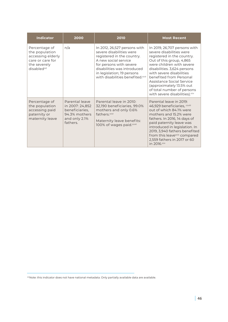| <b>Indicator</b>                                                                                                   | 2000                                                                                              | 2010                                                                                                                                                                                                                                                   | <b>Most Recent</b>                                                                                                                                                                                                                                                                                                                                            |
|--------------------------------------------------------------------------------------------------------------------|---------------------------------------------------------------------------------------------------|--------------------------------------------------------------------------------------------------------------------------------------------------------------------------------------------------------------------------------------------------------|---------------------------------------------------------------------------------------------------------------------------------------------------------------------------------------------------------------------------------------------------------------------------------------------------------------------------------------------------------------|
| Percentage of<br>the population<br>accessing elderly<br>care or care for<br>the severely<br>disabled <sup>42</sup> | n/a                                                                                               | In 2012, 26,527 persons with<br>severe disabilities were<br>registered in the country.<br>A new social service<br>for persons with severe<br>disabilities was introduced<br>in legislation; 19 persons<br>with disabilities benefited. <sup>ccvi</sup> | In 2019, 26,707 persons with<br>severe disabilities were<br>registered in the country.<br>Out of this group, 4,865<br>were children with severe<br>disabilities. 3,624 persons<br>with severe disabilities<br>benefited from Personal<br>Assistance Social Service<br>(approximately 13.5% out<br>of total number of persons<br>with severe disabilities).ccv |
| Percentage of<br>the population<br>accessing paid<br>paternity or<br>maternity leave                               | Parental leave<br>in 2007: 24,852<br>beneficiaries,<br>94.3% mothers<br>and only 2.1%<br>fathers. | Parental leave in 2010:<br>32,190 beneficiaries, 99.0%<br>mothers and only 0.6%<br>fathers.covi<br>Maternity leave benefits:<br>100% of wages paid.covii                                                                                               | Parental leave in 2019:<br>46,929 beneficiaries, covili<br>out of which 84.1% were<br>mothers and 15.2% were<br>fathers. In 2016, 14 days of<br>paid paternity leave was<br>introduced in legislation. In<br>2019, 3,940 fathers benefited<br>from this leaveccix compared<br>2,559 fathers in 2017 or 60<br>in 2016.ccx                                      |

 $^{42}$  Note: this indicator does not have national metadata. Only partially available data are available.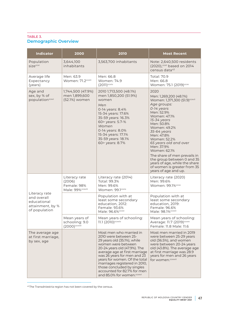## TABLE 3. **Demographic Overview**

| <b>Indicator</b>                                                                 | 2000                                                        | 2010                                                                                                                                                                                                                                                                                                                                                                           | <b>Most Recent</b>                                                                                                                                                                                                                                                                                                                                                                                                                            |
|----------------------------------------------------------------------------------|-------------------------------------------------------------|--------------------------------------------------------------------------------------------------------------------------------------------------------------------------------------------------------------------------------------------------------------------------------------------------------------------------------------------------------------------------------|-----------------------------------------------------------------------------------------------------------------------------------------------------------------------------------------------------------------------------------------------------------------------------------------------------------------------------------------------------------------------------------------------------------------------------------------------|
| Population<br>size <sup>ccxi</sup>                                               | 3,644,100<br>inhabitants                                    | 3,563,700 inhabitants                                                                                                                                                                                                                                                                                                                                                          | Note: 2,640,500 residents<br>(2020), ccxii based on 2014<br>census data <sup>43</sup>                                                                                                                                                                                                                                                                                                                                                         |
| Average life<br>Expectancy<br>(years)                                            | Men: 63.9<br>Women: 71.2ccxiii                              | Men: 66.8<br>Women: 74.9<br>$(2011)^{ccxiv}$                                                                                                                                                                                                                                                                                                                                   | Total: 70.9<br>Men: 66.8<br>Women: 75.1 (2019) <sup>ccxv</sup>                                                                                                                                                                                                                                                                                                                                                                                |
| Age and<br>sex, by % of<br>populationccxvi                                       | 1,744,500 (47.9%)<br>men 1,899,600<br>(52.1%) women         | 2010 1,713,500 (48.1%)<br>men 1,850,200 (51.9%)<br>women<br>Men<br>0-14 years: 8.4%<br>15-34 years: 17.6%<br>35-59 years: 16.3%<br>60> years: 5.7-%<br>Women<br>0-14 years: 8.0%<br>15-34 years: 17.1%<br>35-59 years: 18.1%<br>60> years: 8.7%                                                                                                                                | 2020<br>Men: 1,269,200 (48.1%)<br>Women: 1,371,300 (51.9) <sup>ccxvii</sup><br>Age groups:<br>0-14 years<br>Men: 52.9%<br>Women: 47.1%<br>15-34 years<br>Men: 50.8%<br>Women: 49.2%<br>35-64 years<br>Men: 47.8%<br>Women: 52.2%<br>65 years old and over<br>Men: 37.9%<br>Women: 62.1%<br>The share of men prevails in<br>the group between 0 and 35<br>years of age, while the share<br>of women is greater from 35<br>years of age and up. |
| Literacy rate<br>and overall<br>educational<br>attainment, by %<br>of population | Literacy rate<br>(2006)<br>Female: 98%<br>Male: 99% ccxviii | Literacy rate (2014)<br>Total: 99.3%<br>Men: 99.6%<br>Women: 99.1ccxix                                                                                                                                                                                                                                                                                                         | Literacy rate (2020)<br>Men: 99.6%<br>Women: 99.1%ccxx                                                                                                                                                                                                                                                                                                                                                                                        |
|                                                                                  |                                                             | Population with at<br>least some secondary<br>education, 2012:<br>Female: 93.6%<br>Male: 96.6% <sup>ccxxi</sup>                                                                                                                                                                                                                                                                | Population with at<br>least some secondary<br>education, 2019:<br>Female: 96.6%<br>Male: 98.1% ccxxii                                                                                                                                                                                                                                                                                                                                         |
|                                                                                  | Mean years of<br>schooling: 9.0<br>(2000) ccxxiii           | Mean years of schooling:<br>11.1 (2010) <sup>ccxxiv</sup>                                                                                                                                                                                                                                                                                                                      | Mean years of schooling:<br>Average: 11.7 (2019) <sup>ccxxv</sup><br>Female: 11.8 Male: 11.6                                                                                                                                                                                                                                                                                                                                                  |
| The average age<br>at first marriage,<br>by sex, age                             |                                                             | Most men who married in<br>2010 were between 25-<br>29 years old (35.1%), while<br>women were between<br>20-24 years old (47.9%). The<br>average age at first marriage<br>was 26 years for men and 23<br>years for women. Of the total<br>marriages registered in 2010,<br>those concluded by singles<br>accounted for 82.7% for men<br>and 85.0% for women. <sup>ccxxvi</sup> | Most men married in 2019<br>were between 25-29 years<br>old (36.5%), and women<br>were between 20-24 years<br>old (43.8%). The average age<br>at first marriage was 28.9<br>years for men and 26 years<br>for women.ccxxvii                                                                                                                                                                                                                   |

43The Transdniestria region has not been covered by the census.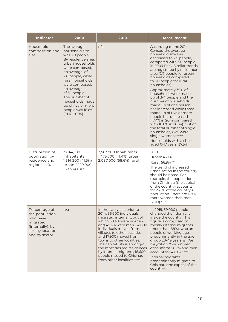| <b>Indicator</b>                                                                                                  | 2000                                                                                                                                                                                                                                                                                                                    | 2010                                                                                                                                                                                                                                                                                                                                                                                                                                  | <b>Most Recent</b>                                                                                                                                                                                                                                                                                                                                                                                                                                                                                                                                                                                                                                                                                   |
|-------------------------------------------------------------------------------------------------------------------|-------------------------------------------------------------------------------------------------------------------------------------------------------------------------------------------------------------------------------------------------------------------------------------------------------------------------|---------------------------------------------------------------------------------------------------------------------------------------------------------------------------------------------------------------------------------------------------------------------------------------------------------------------------------------------------------------------------------------------------------------------------------------|------------------------------------------------------------------------------------------------------------------------------------------------------------------------------------------------------------------------------------------------------------------------------------------------------------------------------------------------------------------------------------------------------------------------------------------------------------------------------------------------------------------------------------------------------------------------------------------------------------------------------------------------------------------------------------------------------|
| Household<br>composition and<br>size                                                                              | The average<br>household size<br>was 3.0 people.<br>By residence area:<br>urban households<br>were composed,<br>on average, of<br>2.8 people, while<br>rural households<br>were composed,<br>on average,<br>of 3.1 people.<br>The number of<br>households made<br>up of five or more<br>people was 18.8%<br>(PHC 2004). | n/a                                                                                                                                                                                                                                                                                                                                                                                                                                   | According to the 2014<br>Census, the average<br>household size has<br>decreased to 2.9 people,<br>compared with 3.0 people<br>in 2004 PHC. Similar trends<br>are registered by residence<br>area (2.7 people for urban<br>households compared<br>to 3.0 people for rural<br>households).<br>Approximately 39% of<br>households were made<br>up of 3-4 people and the<br>number of households<br>made up of one person<br>has increased while those<br>made up of five or more<br>people has decreased<br>(17.4% in 2014 compared<br>with 18.8% in 2004). Out of<br>the total number of single<br>households, 64% were<br>single women.ccxxviii<br>Households with a child<br>aged 0-17 years: 37.5%. |
| Distribution of<br>population by<br>residence and<br>regions in %                                                 | 3,644,100<br>inhabitants<br>1,514,200 (41.5%)<br>urban 2,129,900<br>(58.5%) rural                                                                                                                                                                                                                                       | 3,563,700 Inhabitants<br>1,476,700 (41.4%) urban<br>2,087,000 (58.6%) rural                                                                                                                                                                                                                                                                                                                                                           | 2019<br>Urban: 43.1%<br>Rural: 56.9% ccxxx<br>The trend of increased<br>urbanisation in the country<br>should be noted. For<br>example, the population<br>from Chisinau (the capital<br>of the country) accounts<br>for 23.5% of the country's<br>population. There are 6.8%<br>more women than men<br>$(2019)$ ccxxxi                                                                                                                                                                                                                                                                                                                                                                               |
| Percentage of<br>the population<br>who have<br>migrated<br>(internally), by<br>sex, by location,<br>and by sector | n/a                                                                                                                                                                                                                                                                                                                     | In the two years prior to<br>2014, 56,600 individuals<br>migrated internally, out of<br>which 50.4% were women<br>and 49.6% were men. 32.800<br>individuals moved from<br>villages to other localities,<br>and 17,900 moved from<br>towns to other localities.<br>The capital city is amongst<br>the most desired residences<br>by internal migrants; 16,600<br>people moved to Chisinau<br>from other localities. <sup>ccxxxii</sup> | In 2019, 39,000 people<br>changed their domicile<br>inside the country. This<br>figure is comprised of<br>mostly internal migrants<br>(more than 88%), who are<br>people of working age,<br>predominantly in the age<br>group 20-49 years. In the<br>migration flow, women<br>account for 56.2% and men<br>account for 43.8%.ccxxxiii<br>Internal migrants<br>predominantly migrate to<br>Chisinau (the capital of the<br>country).                                                                                                                                                                                                                                                                  |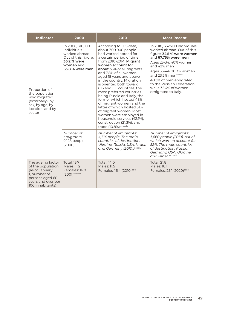| <b>Indicator</b>                                                                                                                      | 2000                                                                                                                     | 2010                                                                                                                                                                                                                                                                                                                                                                                                                                                                                                                                                                                                                | <b>Most Recent</b>                                                                                                                                                                                                                                                                                               |
|---------------------------------------------------------------------------------------------------------------------------------------|--------------------------------------------------------------------------------------------------------------------------|---------------------------------------------------------------------------------------------------------------------------------------------------------------------------------------------------------------------------------------------------------------------------------------------------------------------------------------------------------------------------------------------------------------------------------------------------------------------------------------------------------------------------------------------------------------------------------------------------------------------|------------------------------------------------------------------------------------------------------------------------------------------------------------------------------------------------------------------------------------------------------------------------------------------------------------------|
| Proportion of<br>the population<br>who migrated<br>(externally), by<br>sex, by age, by<br>location, and by<br>sector                  | In 2006, 310,100<br>individuals<br>worked abroad.<br>Out of this figure,<br>36.2 % were<br>women and<br>63.8 % were men. | According to LFS data,<br>about 300,000 people<br>had worked abroad for<br>a certain period of time<br>from 2010-2014. Migrant<br>women account for<br>about 35% of all migrants<br>and 7.8% of all women<br>aged 15 years and above<br>in the country. Migration<br>is oriented both toward<br>CIS and EU countries, the<br>most preferred countries<br>being Russia and Italy, the<br>former which hosted 48%<br>of migrant women and the<br>latter of which hosted 31%<br>of migrant women. Most<br>women were employed in<br>household services (43.1%),<br>construction (21.3%), and<br>trade (10.8%). ccxxxiv | In 2018, 352,700 individuals<br>worked abroad. Out of this<br>figure, 32.5 % were women<br>and 67.75% were men.<br>Ages 25-34: 40% women<br>and 42% men<br>Ages 35-44: 20.3% women<br>and 23.2% menccxxxv<br>48.3% of men emigrated<br>to the Russian Federation,<br>while 35.4% of women<br>emigrated to Italy. |
|                                                                                                                                       | Number of<br>emigrants:<br>9,128 people<br>(2000)                                                                        | Number of emigrants:<br>4,714 people. The main<br>countries of destination:<br>Ukraine, Russia, USA, Israel,<br>and Germany (2010). ccxxxvii                                                                                                                                                                                                                                                                                                                                                                                                                                                                        | Number of emigrants:<br>3,660 people (2019), out of<br>which women account for<br>52%. The main countries<br>of destination: Russia,<br>Germany, USA, Ukraine,<br>and Israel. ccxxviii                                                                                                                           |
| The ageing factor<br>of the population<br>(as of January<br>1, number of<br>persons aged 60<br>years and over per<br>100 inhabitants) | <b>Total: 13.7</b><br>Males: 11.2<br>Females: 16.0<br>$(2001)^{ccxxxx}$                                                  | Total: 14.0<br>Males: 11.5<br>Females: 16.4 (2010) <sup>ccxl</sup>                                                                                                                                                                                                                                                                                                                                                                                                                                                                                                                                                  | <b>Total: 21.8</b><br>Males: 18.1<br>Females: 25.1 (2020) <sup>ccxli</sup>                                                                                                                                                                                                                                       |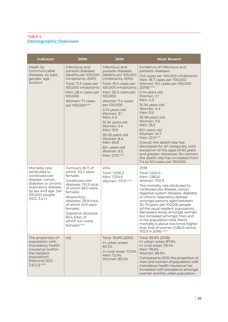#### TABLE 4. **Demographic Overview**

| <b>Indicator</b>                                                                                                                                                              | 2000                                                                                                                                                                                                                                                                               | 2010                                                                                                                                                                                                                                                                                                                                                                                              | <b>Most Recent</b>                                                                                                                                                                                                                                                                                                                                                                                                                                                                                                                                                                           |
|-------------------------------------------------------------------------------------------------------------------------------------------------------------------------------|------------------------------------------------------------------------------------------------------------------------------------------------------------------------------------------------------------------------------------------------------------------------------------|---------------------------------------------------------------------------------------------------------------------------------------------------------------------------------------------------------------------------------------------------------------------------------------------------------------------------------------------------------------------------------------------------|----------------------------------------------------------------------------------------------------------------------------------------------------------------------------------------------------------------------------------------------------------------------------------------------------------------------------------------------------------------------------------------------------------------------------------------------------------------------------------------------------------------------------------------------------------------------------------------------|
| Death by<br>communicable<br>diseases, by type,<br>gender, age,<br>location                                                                                                    | Infectious and<br>parasite diseases<br>(deaths per 100,000<br>inhabitants, 2001):<br>Total: 17.3 cases per<br>100,000 inhabitants<br>Men: 28.4 cases per<br>100,000<br>Women: 7.1 cases<br>per 100,000ccxlii                                                                       | Infectious and<br>parasite diseases<br>(deaths per 100,000<br>inhabitants, 2010):<br>Total: 16.5 cases per<br>100,000 inhabitants<br>Men: 26.3 cases per<br>100,000<br>Women: 7.4 cases<br>per 100,000<br>0-14 years old<br>Women: 3.1<br>Men: 4.3<br>15-34 years old<br>Women: 5.4<br>Men: 15.9<br>35-59 years old<br>Women: 8.4<br>Men: 65.8<br>60+ years old<br>Women: 9.5<br>Men: 27.5ccxliii | Incidence of infectious and<br>parasitic diseases:<br>13.6 cases per 100,000 inhabitants<br>Men: 18.7 cases per 100,000<br>Women: 9.0 cases per 100,000<br>$(2019)^{c}$ cxliv<br>0-14 years old<br>Women: 2.1<br>Men: 4.3<br>15-34 years old<br>Women: 4.4<br>Men: 5.9<br>35-59 years old<br>Women: 11.6<br>Men: 35.2<br>60+ years old<br>Women: 14.7<br>Men: 22.5ccxlv<br>Overall, the death rate has<br>decreased for all categories, with<br>exception of the ages of 60 years<br>and greater. Moreover, for women,<br>the death rate has increased from<br>7.4 to 9.0 cases per 100,000. |
| Mortality rate,<br>attributed to<br>cardiovascular<br>disease, cancer,<br>diabetes or chronic<br>respiratory disease,<br>by sex and age per<br>100,000 people<br>(SDG 3.4.1.) | Tumours: 81.7, of<br>which 62.2 were<br>females<br>Cardiovascular<br>diseases: 110.5 total,<br>of which 58.0 were<br>females<br>Respiratory<br>diseases: 28.8 total,<br>of which 10.9 were<br>females<br>Digestive diseases:<br>69.4 total, of<br>which 44.1 were<br>femalescoxivi | 2014<br>Total: 1,006.3<br>Men: 1,324.6<br>Women: 717.5ccxlvii                                                                                                                                                                                                                                                                                                                                     | 2018<br>Total: 1,024.5<br>Men: 1,382.6<br>Women: 702.9<br>The mortality rate attributed to<br>cardiovascular disease, cancer,<br>digestive system diseases, diabetes<br>or chronic respiratory disease<br>amongst persons aged between<br>30-70 years, per 100,000 people<br>(of the usual resident population),<br>decreased slowly amongst women,<br>but increased amongst men and<br>in the population total. Men's<br>mortality is about two times higher<br>than that of women (1,382.6 versus<br>702.9 in 2018). CCXIVIII                                                              |
| The proportion of<br>population with<br>mandatory health<br>insurance (within<br>the resident<br>population)<br>(National SDG<br>$3.8.2.2$ ) ccxlix                           | n/a                                                                                                                                                                                                                                                                                | Total: 76.8% (2010)<br>In urban areas:<br>83.3%<br>In rural areas: 72.0%<br>Men: 72.9%<br>Women: 80.2%                                                                                                                                                                                                                                                                                            | Total: 82.6% (2018)<br>In urban areas: 87.9%<br>In rural areas: 78.4%<br>Men: 78.6%<br>Women: 85.9%<br>Compared to 2010, the proportion of<br>men and women of population with<br>mandatory health insurance has<br>increased, with prevalence amongst<br>women and the urban population.                                                                                                                                                                                                                                                                                                    |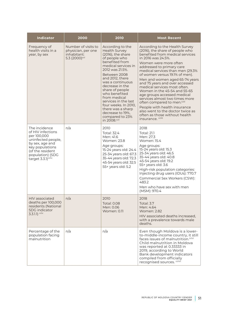| <b>Indicator</b>                                                                                                                                                                        | 2000                                                                                  | 2010                                                                                                                                                                                                                                                                                                                                                                                                 | <b>Most Recent</b>                                                                                                                                                                                                                                                                                                                                                                                                                                                                                                                                                                                                               |
|-----------------------------------------------------------------------------------------------------------------------------------------------------------------------------------------|---------------------------------------------------------------------------------------|------------------------------------------------------------------------------------------------------------------------------------------------------------------------------------------------------------------------------------------------------------------------------------------------------------------------------------------------------------------------------------------------------|----------------------------------------------------------------------------------------------------------------------------------------------------------------------------------------------------------------------------------------------------------------------------------------------------------------------------------------------------------------------------------------------------------------------------------------------------------------------------------------------------------------------------------------------------------------------------------------------------------------------------------|
| Frequency of<br>health visits in a<br>year, by sex                                                                                                                                      | Number of visits to<br>physician, per one<br>inhabitant:<br>5.3 (2000) <sup>ccl</sup> | According to the<br><b>Health Survey</b><br>(2016), the share<br>of people who<br>benefited from<br>medical services in<br>2012 was 21.5%.<br>Between 2008<br>and 2012, there<br>was a continuous<br>decrease in the<br>share of people<br>who benefited<br>from medical<br>services in the last<br>four weeks. In 2010,<br>there was a sharp<br>decrease to 19%,<br>compared to 23%<br>in 2008.ccli | According to the Health Survey<br>(2016), the share of people who<br>benefited from medical services<br>in 2016 was 24.5%.<br>Women were more often<br>addressed to primary care<br>medical services than men (29.3%<br>of women versus 19.1% of men).<br>Men and women aged 65-74 years<br>and 75 years and over accessed<br>medical services most often.<br>Women in the 45-54 and 55-65<br>age groups accessed medical<br>services almost two times more<br>often compared to men. <sup>cclii</sup><br>People with health insurance<br>also went to the doctor twice as<br>often as those without health<br>insurance. ccliii |
| The incidence<br>of HIV infections<br>per 100,000<br>uninfected people,<br>by sex, age and<br>key populations<br>(of the resident<br>population) (SDG<br>target 3.3.1) <sup>ccliv</sup> | n/a                                                                                   | 2010<br>Total: 32.4<br>Men: 41.6<br>Women: 23.8<br>Age groups:<br>15-24 years old: 24.4<br>25-34 years old: 67.3<br>35-44 years old: 72.3<br>45-54 years old: 32.5<br>55+ years old: 5.2                                                                                                                                                                                                             | 2018<br><b>Total: 21.1</b><br>Men: 27.3<br>Women: 15.4<br>Age groups:<br>15-24 years old: 15.3<br>25-34 years old: 46.5<br>35-44 years old: 40.8<br>45-54 years old: 19.2<br>55+ years old: 3.6<br>High-risk population categories:<br>Injecting drug users (IDUs): 770.7<br>Commercial Sex Workers (CSW):<br>483.2<br>Men who have sex with men<br>(MSM): 970.4                                                                                                                                                                                                                                                                 |
| <b>HIV</b> associated<br>deaths per 100,000<br>residents (National<br><b>SDG</b> indicator<br>$3.3.1.1$ ) cclv                                                                          | n/a                                                                                   | 2010<br>Total: 0.08<br>Men: 0.06<br><b>Women: 0.11</b>                                                                                                                                                                                                                                                                                                                                               | 2018<br>Total: 3.7<br>Men: 4.64<br><b>Women: 2.82</b><br>HIV associated deaths increased,<br>with a prevalence towards male<br>deaths.                                                                                                                                                                                                                                                                                                                                                                                                                                                                                           |
| Percentage of the<br>population facing<br>malnutrition                                                                                                                                  | n/a                                                                                   | n/a                                                                                                                                                                                                                                                                                                                                                                                                  | Even though Moldova is a lower-<br>to-middle-income country, it still<br>faces issues of malnutrition. <sup>cclvi</sup><br>Child malnutrition in Moldova<br>was reported at 0.333333 in<br>2019, according to World<br>Bank development indicators<br>compiled from officially<br>recognised sources. colvii                                                                                                                                                                                                                                                                                                                     |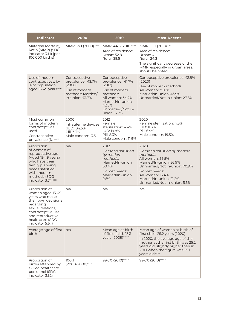| <b>Indicator</b>                                                                                                                                                                                  | 2000                                                                                                  | 2010                                                                                                                                                             | <b>Most Recent</b>                                                                                                                                                                                                                 |
|---------------------------------------------------------------------------------------------------------------------------------------------------------------------------------------------------|-------------------------------------------------------------------------------------------------------|------------------------------------------------------------------------------------------------------------------------------------------------------------------|------------------------------------------------------------------------------------------------------------------------------------------------------------------------------------------------------------------------------------|
| <b>Maternal Mortality</b><br>Ratio (MMR) (SDG<br>indicator 3.1.1) (per<br>100,000 births)                                                                                                         | MMR: 27.1 (2000) cclviii                                                                              | MMR: 44.5 (2010) <sup>cclix</sup><br>Area of residence:<br>Urban: 52.8<br><b>Rural: 39.5</b>                                                                     | MMR: 15.3 (2018) <sup>cclx</sup><br>Area of residence:<br>Urban: 0<br><b>Rural: 24.3</b><br>The significant decrease of the<br>MMR, especially in urban areas,<br>should be noted.                                                 |
| Use of modern<br>contraceptives, by<br>% of population<br>aged 15-49 yearscolxi                                                                                                                   | Contraceptive<br>prevalence: 43.7%<br>(2000)<br>Use of modern<br>methods: Married/<br>In-union: 43.7% | Contraceptive<br>prevalence: 41.7%<br>(2012)<br>Use of modern<br>methods:<br>All women: 34.2%<br>Married/In-union:<br>42.3%<br>Unmarried/Not in-<br>union: 17.2% | Contraceptive prevalence: 43.9%<br>(2020)<br>Use of modern methods:<br>All women: 39.0%<br>Married/In-union: 43.9%<br>Unmarried/Not in-union: 27.8%                                                                                |
| Most common<br>forms of modern<br>contraceptives<br>used<br>Contraceptive<br>prevalence (%) <sup>cclxii</sup>                                                                                     | 2000<br>Intrauterine devices<br>(IUD): 34.5%<br>Pill: 3.3%<br>Male condom: 3.5                        | 2012<br>Female<br>sterilisation: 4.4%<br><b>IUD: 19.8%</b><br>Pill: 5.3%<br>Male condom: 11.9%                                                                   | 2020<br>Female sterilisation: 4.3%<br><b>IUD: 11.3%</b><br>Pill: 6.9%<br>Male condom: 19.5%                                                                                                                                        |
| Proportion<br>of women of<br>reproductive age<br>(Aged 15-49 years)<br>who have their<br>family planning<br>needs satisfied<br>with modern<br>methods (SDG<br>indicator 3.7.1) <sup>cclxiii</sup> | n/a                                                                                                   | 2012<br>Demand satisfied<br>by modern<br>methods:<br>Married/In-union:<br>60.4%<br>Unmet needs:<br>Married/In-union:<br>9.5%                                     | 2020<br>Demand satisfied by modern<br>methods:<br>All women: 59.5%<br>Married/In-union: 56.9%<br>Unmarried/Not in-union: 70.9%<br>Unmet needs:<br>All women: 16.4%<br>Married/In-union: 21.2%<br>Unmarried/Not in-union: 5.6%      |
| Proportion of<br>women aged 15-49<br>years who make<br>their own decisions<br>regarding<br>sexual relations,<br>contraceptive use<br>and reproductive<br>healthcare (SDG<br>indicator 5.6.1)      | n/a                                                                                                   | n/a                                                                                                                                                              | n/a                                                                                                                                                                                                                                |
| Average age of first<br>birth                                                                                                                                                                     | n/a                                                                                                   | Mean age at birth<br>of first child: 23.3<br>years (2009) <sup>cclxiv</sup>                                                                                      | Mean age of women at birth of<br>first child: 25.2 years (2020)<br>In 2020, the average age of the<br>mother at the first birth was 25.2<br>years old, slightly higher than in<br>2019 when the figure was 25.1<br>years old.cclxv |
| Proportion of<br>births attended by<br>skilled healthcare<br>personnel (SDG<br>indicator 3.1.2)                                                                                                   | 100%<br>(2000-2008) <sup>cclxvi</sup>                                                                 | 99.6% (2010) <sup>cclxvii</sup>                                                                                                                                  | 99.6% (2018) <sup>cclxviii</sup>                                                                                                                                                                                                   |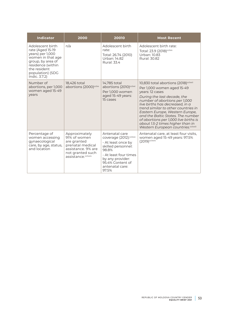| <b>Indicator</b>                                                                                                                                                             | 2000                                                                                                                             | 20010                                                                                                                                                                                      | <b>Most Recent</b>                                                                                                                                                                                                                                                                                                                                                                                                                                  |
|------------------------------------------------------------------------------------------------------------------------------------------------------------------------------|----------------------------------------------------------------------------------------------------------------------------------|--------------------------------------------------------------------------------------------------------------------------------------------------------------------------------------------|-----------------------------------------------------------------------------------------------------------------------------------------------------------------------------------------------------------------------------------------------------------------------------------------------------------------------------------------------------------------------------------------------------------------------------------------------------|
| Adolescent birth<br>rate (Aged 15-19<br>years) per 1,000<br>women in that age<br>group, by area of<br>residence (within<br>the resident<br>population) (SDG<br>Indic. 3.7.2) | n/a                                                                                                                              | Adolescent birth<br>rate:<br>Total: 26.74 (2010)<br>Urban: 14.82<br><b>Rural: 33.4</b>                                                                                                     | Adolescent birth rate:<br>Total: 23.9 (2018) <sup>cclxix</sup><br>Urban: 10.83<br>Rural: 30.82                                                                                                                                                                                                                                                                                                                                                      |
| Number of<br>abortions, per 1,000<br>women aged 15-49<br>years                                                                                                               | 18,426 total<br>abortions (2000) <sup>cclxx</sup>                                                                                | 14,785 total<br>abortions (2010) <sup>cclxxi</sup><br>Per 1,000 women<br>aged 15-49 years:<br>15 cases                                                                                     | 10,830 total abortions (2018) <sup>cclxxii</sup><br>Per 1,000 women aged 15-49<br>years: 12 cases<br>During the last decade, the<br>number of abortions per 1,000<br>live births has decreased, in a<br>trend similar to other countries in<br>Eastern Europe, Western Europe,<br>and the Baltic States. The number<br>of abortions per 1,000 live births is<br>about 1.5-2 times higher than in<br>Western European countries. <sup>cclxxiii</sup> |
| Percentage of<br>women accessing<br>gynaecological<br>care, by age, status,<br>and location                                                                                  | Approximately<br>91% of women<br>are granted<br>prenatal medical<br>assistance, 9% are<br>not granted such<br>assistance.colxxiv | Antenatal care<br>coverage (2012):cclxxv<br>- At least once by<br>skilled personnel:<br>98.8%<br>- At least four times<br>by any provider:<br>95.4% Content of<br>antenatal care:<br>97.5% | Antenatal care, at least four visits,<br>women aged 15-49 years: 97.5%<br>(2019) <sup>cclxxiv</sup>                                                                                                                                                                                                                                                                                                                                                 |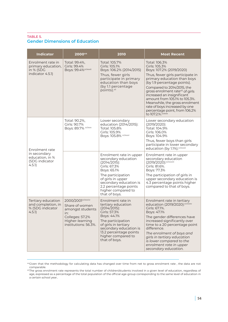#### TABLE 5. **Gender Dimensions of Education**

| <b>Indicator</b>                                                         | 200044                                                                                                                       | 2010                                                                                                                                                                                                                                 | <b>Most Recent</b>                                                                                                                                                                                                                                                                                                                                                                                                                  |
|--------------------------------------------------------------------------|------------------------------------------------------------------------------------------------------------------------------|--------------------------------------------------------------------------------------------------------------------------------------------------------------------------------------------------------------------------------------|-------------------------------------------------------------------------------------------------------------------------------------------------------------------------------------------------------------------------------------------------------------------------------------------------------------------------------------------------------------------------------------------------------------------------------------|
| Enrolment rate in<br>primary education,<br>in % (SDG<br>indicator 4.5.1) | Total: 99.4%,<br>Girls: 99.4%<br>Boys: 99.4% cclxxvii                                                                        | Total: 105.7%<br>Girls: 105.1%<br>Boys: 106.2% (2014/2015)<br>Thus, fewer girls<br>participate in primary<br>education than boys<br>(by 1.1 percentage)<br>points).vii                                                               | Total: 106.3%<br>Girls: 105.3%<br>Boys: 107.2% (2019/2020)<br>Thus, fewer girls participate in<br>primary education than boys<br>(by 1.9 percentage points).<br>Compared to 2014/2015, the<br>gross enrolment rate <sup>45</sup> of girls<br>increased an insignificant<br>amount from 105.1% to 105.3%.<br>Meanwhile, the gross enrolment<br>rate of boys increased by one<br>percentage point, from 106.2%<br>to 107.2.%. cclxxix |
| Enrolment rate                                                           | Total: 90.2%,<br>Girls: 90.7%<br>Boys: 89.7% cclxxx                                                                          | Lower secondary<br>education (2014/2015):<br>Total: 105.8%<br>Girls: 105.9%<br>Boys: 105.8% cclxxxi                                                                                                                                  | Lower secondary education<br>$(2019/2020)$ :<br>Total: 104.9%<br>Girls: 106.0%<br>Boys: 104.9%<br>Thus, fewer boys than girls<br>participate in lower secondary<br>education (by 1.1%). <sup>cclxxxii</sup>                                                                                                                                                                                                                         |
| in secondary<br>education, in %<br>(SDG indicator<br>4.5.1)              |                                                                                                                              | Enrolment rate in upper<br>secondary education<br>$(2014/2015)$ :<br>Girls: 67.3%<br>Boys: 65.1%<br>The participation<br>of girls in upper<br>secondary education is<br>2.2 percentage points<br>higher compared to<br>that of boys. | Enrolment rate in upper<br>secondary education<br>(2019/2020): cclxxxiii<br>Girls: 81.6%.<br>Boys: 77.3%<br>The participation of girls in<br>upper secondary education is<br>4.3 percentage points higher<br>compared to that of boys.                                                                                                                                                                                              |
| Tertiary education<br>and completion, in<br>% (SDG indicator<br>4.5.1)   | 2000/2001cclxxxiv<br>Share of women<br>amongst students<br>in:<br>Colleges: 57.2%<br>Higher-learning<br>institutions: 56.3%. | Enrolment rate in<br>tertiary education<br>$(2014/2015)$ :<br>Girls: 57.3%<br>Boys: 44.1%<br>The participation<br>of girls in tertiary<br>secondary education is<br>13.2 percentage points<br>higher compared to<br>that of boys.    | Enrolment rate in tertiary<br>education (2019/2020):cclxxxv<br>Girls: 67.1%.<br>Boys: 47.1%<br>The gender differences have<br>increased significantly over<br>time to a 20 percentage point<br>difference.<br>The enrolment of boys and<br>girls in tertiary education<br>is lower compared to the<br>enrolment rate in upper<br>secondary education.                                                                               |

<sup>44</sup>Given that the methodology for calculating data has changed over time from net to gross enrolment rate , the data are not comparable.

<sup>45</sup>The gross enrolment rate represents the total number of children/students involved in a given level of education, regardless of age, expressed as a percentage of the total population of the official age-group corresponding to the same level of education in a certain school year..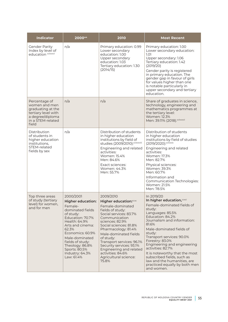| <b>Indicator</b>                                                                                                             | 200044                                                                                                                                                                                                                                                                             | 2010                                                                                                                                                                                                                                                                                                                                                                                   | <b>Most Recent</b>                                                                                                                                                                                                                                                                                                                                                                                                                                       |
|------------------------------------------------------------------------------------------------------------------------------|------------------------------------------------------------------------------------------------------------------------------------------------------------------------------------------------------------------------------------------------------------------------------------|----------------------------------------------------------------------------------------------------------------------------------------------------------------------------------------------------------------------------------------------------------------------------------------------------------------------------------------------------------------------------------------|----------------------------------------------------------------------------------------------------------------------------------------------------------------------------------------------------------------------------------------------------------------------------------------------------------------------------------------------------------------------------------------------------------------------------------------------------------|
| <b>Gender Parity</b><br>Index by level of<br>education cclxxxvi                                                              | n/a                                                                                                                                                                                                                                                                                | Primary education: 0.99<br>Lower secondary<br>education: 1.00<br>Upper secondary<br>education: 1.03<br>Tertiary education: 1.30<br>(2014/15)                                                                                                                                                                                                                                           | Primary education: 1.00<br>Lower secondary education:<br>1.01<br>Upper secondary: 1.06<br>Tertiary education: 1.42<br>(2019/20)<br>Gender parity is registered<br>in primary education. The<br>gender gap in favour of girls<br>for values higher than one<br>is notable particularly in<br>upper secondary and tertiary<br>education.                                                                                                                   |
| Percentage of<br>women and men<br>graduating at the<br>tertiary level with<br>a degree/diploma<br>in a STEM-related<br>field | n/a                                                                                                                                                                                                                                                                                | n/a                                                                                                                                                                                                                                                                                                                                                                                    | Share of graduates in science,<br>technology, engineering and<br>mathematics programmes at<br>the tertiary level:<br>Women: 12.3%<br>Men: 39.11% (2018).cclxxxvii                                                                                                                                                                                                                                                                                        |
| Distribution<br>of students in<br>higher education<br>institutions,<br>STEM-related<br>fields by sex                         | n/a                                                                                                                                                                                                                                                                                | Distribution of students<br>in higher education<br>institutions by field of<br>studies (2009/2010): cclxxxviii<br>Engineering and related<br>activities:<br>Women: 15.4%<br>Men: 84.6%<br>Exact sciences:<br>Women: 44.3%<br>Men: 55.7%                                                                                                                                                | Distribution of students<br>in higher education<br>institutions by field of studies<br>(2019/2020): cclxxxix<br>Engineering and related<br>activities:<br>Women: 17.3%<br>Men: 82.7%<br>Physical sciences:<br>Women: 39.3%<br>Men: 60.7%<br>Information and<br>Communication Technologies:<br>Women: 21.5%<br>Men: 78.5%                                                                                                                                 |
| Top three areas<br>of study (tertiary<br>level) for women,<br>and for men                                                    | 2000/2001<br><b>Higher education:</b><br>Female-<br>dominated fields<br>of study:<br>Education: 70.7%<br>Health: 64.9%<br>Arts and cinema:<br>62.3%<br>Economics: 60.9%<br>Male-dominated<br>fields of study:<br>Theology: 86.8%<br>Sports: 80.5%<br>Industry: 64.3%<br>Law: 61.4% | 2009/2010<br>Higher education: <sup>coxc</sup><br>Female-dominated<br>fields of study:<br>Social services: 83.7%<br>Communication<br>sciences: 82.9%<br>Social sciences: 81.8%<br>Pharmacology: 81.4%<br>Male-dominated fields<br>of study:<br>Transport services: 96.1%<br>Security services: 93.1%<br>Engineering and related<br>activities: 84.6%<br>Agricultural science:<br>75.8% | In 2019/20<br>In higher education, coxet<br>Female-dominated fields of<br>study:<br>Languages: 85.5%<br>Education: 84.2%<br>Journalism and information:<br>81.6%<br>Male-dominated fields of<br>study:<br>Transport services: 90.0%<br>Forestry: 83.0%<br>Engineering and engineering<br>activities: 82.7%<br>It is noteworthy that the most<br>subscribed fields, such as<br>law and the humanities, are<br>practiced equally by both men<br>and women. |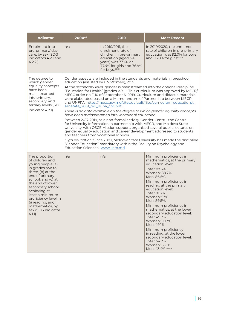| <b>Indicator</b>                                                                                                                                                                                                                                                                                                       | 200044                                                           | 2010                                                                                                                                                                                                                                                                                                                                                                                                                                                                                                                                                                                                                                                                                                                                                                                                                                                                                                                                                                                                                                                                                                                                                             | <b>Most Recent</b>                                                                                                                                                                                                                                                                                                                                                                                                                                                                                                       |  |
|------------------------------------------------------------------------------------------------------------------------------------------------------------------------------------------------------------------------------------------------------------------------------------------------------------------------|------------------------------------------------------------------|------------------------------------------------------------------------------------------------------------------------------------------------------------------------------------------------------------------------------------------------------------------------------------------------------------------------------------------------------------------------------------------------------------------------------------------------------------------------------------------------------------------------------------------------------------------------------------------------------------------------------------------------------------------------------------------------------------------------------------------------------------------------------------------------------------------------------------------------------------------------------------------------------------------------------------------------------------------------------------------------------------------------------------------------------------------------------------------------------------------------------------------------------------------|--------------------------------------------------------------------------------------------------------------------------------------------------------------------------------------------------------------------------------------------------------------------------------------------------------------------------------------------------------------------------------------------------------------------------------------------------------------------------------------------------------------------------|--|
| Enrolment into<br>pre-primary/day<br>care, by sex (SDG<br>indicators 4.2.1 and<br>4.2.2.                                                                                                                                                                                                                               | n/a                                                              | In 2010/2011, the<br>enrolment rate of<br>children in pre-primary<br>education (aged 3-6<br>years) was 77.1%, or<br>77.4% for girls and 76.9%<br>for boys.coxcii                                                                                                                                                                                                                                                                                                                                                                                                                                                                                                                                                                                                                                                                                                                                                                                                                                                                                                                                                                                                 | In 2019/2020, the enrolment<br>rate of children in pre-primary<br>education was 92.0% for boys<br>and 96.0% for girlscoxcili                                                                                                                                                                                                                                                                                                                                                                                             |  |
| The degree to<br>which gender<br>equality concepts<br>have been<br>mainstreamed<br>into primary,<br>secondary, and<br>tertiary levels (SDG<br>indicator 4.7.1)                                                                                                                                                         | sanatate_2019_red_dupa_cnc.pdf<br>Education Sciences. www.usm.md | Gender aspects are included in the standards and materials in preschool<br>education (assisted by UN Women), 2019.<br>At the secondary level, gender is mainstreamed into the optional discipline<br>"Education for Health" (grades V-XII). This curriculum was approved by MECR/<br>MECC order no. 1110 of September 6, 2019. Curriculum and didactic materials<br>were elaborated based on a Memorandum of Partnership between MECR<br>and UNFPA https://mecc.gov.md/sites/default/files/curriculum_educatie_pt_<br>There is no data available on the degree to which gender equality concepts<br>have been mainstreamed into vocational education.<br>Between 2017-2019, as a non-formal activity, Gender-Centru, the Centre<br>for University Information in partnership with MECR, and Moldova State<br>University, with OSCE Mission support, organised several public lectures on<br>gender equality education and career development addressed to students<br>and teachers from vocational schools.<br>High education: Since 2003, Moldova State University has made the discipline<br>"Gender Education" mandatory within the Faculty on Psychology and |                                                                                                                                                                                                                                                                                                                                                                                                                                                                                                                          |  |
| The proportion<br>of children and<br>young people (a)<br>in grades two to<br>three, (b) at the<br>end of primary<br>school, and (c) at<br>the end of lower<br>secondary school,<br>achieving at<br>least a minimum<br>proficiency level in<br>(i) reading, and (ii)<br>mathematics, by<br>sex (SDG indicator<br>4.1.1) | n/a                                                              | n/a                                                                                                                                                                                                                                                                                                                                                                                                                                                                                                                                                                                                                                                                                                                                                                                                                                                                                                                                                                                                                                                                                                                                                              | Minimum proficiency in<br>mathematics, at the primary<br>education level:<br>Total: 87.6%,<br>Women: 88.7%<br>Men: 86.5%.<br>Minimum proficiency in<br>reading, at the primary<br>education level:<br>Total: 91.3%<br>Women: 93%<br>Men: 89.5%.<br>Minimum proficiency in<br>mathematics, at the lower<br>secondary education level:<br>Total: 49.7%<br>Women: 50.3%<br>Men: 49.1%<br>Minimum proficiency<br>in reading, at the lower<br>secondary education level:<br>Total: 54.2%<br>Women: 65.1%<br>Men: 43.4% ccxciv |  |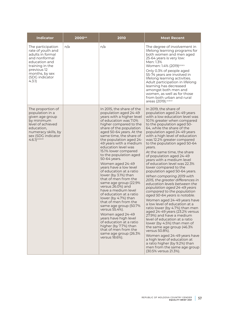| <b>Indicator</b>                                                                                                                                                             | 200044 | 2010                                                                                                                                                                                                                                                                                                                                                                                                                                                                                                                                                                                                                                                                                                                                                                                                                                                       | <b>Most Recent</b>                                                                                                                                                                                                                                                                                                                                                                                                                                                                                                                                                                                                                                                                                                                                                                                                                                                                                                                                                                                                                                                                                                                              |
|------------------------------------------------------------------------------------------------------------------------------------------------------------------------------|--------|------------------------------------------------------------------------------------------------------------------------------------------------------------------------------------------------------------------------------------------------------------------------------------------------------------------------------------------------------------------------------------------------------------------------------------------------------------------------------------------------------------------------------------------------------------------------------------------------------------------------------------------------------------------------------------------------------------------------------------------------------------------------------------------------------------------------------------------------------------|-------------------------------------------------------------------------------------------------------------------------------------------------------------------------------------------------------------------------------------------------------------------------------------------------------------------------------------------------------------------------------------------------------------------------------------------------------------------------------------------------------------------------------------------------------------------------------------------------------------------------------------------------------------------------------------------------------------------------------------------------------------------------------------------------------------------------------------------------------------------------------------------------------------------------------------------------------------------------------------------------------------------------------------------------------------------------------------------------------------------------------------------------|
| The participation<br>rate of youth and<br>adults in formal<br>and nonformal<br>education and<br>training in the<br>previous 12<br>months, by sex<br>(SDG indicator<br>4.3.1) | n/a    | n/a                                                                                                                                                                                                                                                                                                                                                                                                                                                                                                                                                                                                                                                                                                                                                                                                                                                        | The degree of involvement in<br>lifelong learning programs for<br>both women and men aged<br>25-64 years is very low:<br>Men: 1.3%<br>Women: 1.4% (2019) <sup>ccxcv</sup><br>Only 0.3% of people aged<br>55-74 years are involved in<br>lifelong learning activities.<br>Adult participation in lifelong<br>learning has decreased<br>amongst both men and<br>women, as well as for those<br>from both urban and rural<br>areas (2019). CCXCVi                                                                                                                                                                                                                                                                                                                                                                                                                                                                                                                                                                                                                                                                                                  |
| The proportion of<br>population in a<br>given age group<br>by minimum<br>level of achieved<br>education,<br>numeracy skills, by<br>sex (SDG indicator<br>$4.6.1$ ) ccxcvii   |        | In 2015, the share of the<br>population aged 24-49<br>years with a higher level<br>of education was 7.0%<br>higher compared to the<br>share of the population<br>aged 50-64 years. At the<br>same time, the share of<br>the population aged 24-<br>49 years with a medium<br>education level was<br>15.1% lower compared<br>to the population aged<br>50-64 years.<br>Women aged 24-49<br>years have a low level<br>of education at a ratio<br>lower (by 3.1%) than<br>that of men from the<br>same age group (22.9%<br>versus 26.0%) and<br>have a medium level<br>of education at a ratio<br>lower (by 4.7%) than<br>that of men from the<br>same age group (50.7%<br>versus 55.4%).<br>Women aged 24-49<br>years have high level<br>of education at a ratio<br>higher (by 7.7%) than<br>that of men from the<br>same age group (26.3%<br>versus 18.6%). | In 2019, the share of<br>population aged 24-49 years<br>with a low education level was<br>10.1% greater when compared<br>to the population aged 50-<br>64, while the share of the<br>population aged 24-49 years<br>with a high level of education<br>was 12.2% greater compared<br>to the population aged 50-64<br>years.<br>At the same time, the share<br>of population aged 24-49<br>years with a medium level<br>of education level was 22.3%<br>lower compared to the<br>population aged 50-64 years.<br>When comparing 2019 with<br>2015, the greater differences in<br>education levels between the<br>population aged 24-49 years<br>compared to the population<br>aged 50-64 years is notable.<br>Women aged 24-49 years have<br>a low level of education at a<br>ratio lower (by 4.7%) than men<br>aged 24-49 years (23.2% versus<br>27.9%) and have a medium<br>level of education at a ratio<br>lower (by 4.5%) than men of<br>the same age group (46.3%<br>versus 50.8%).<br>Women aged 24-49 years have<br>a high level of education at<br>a ratio higher (by 9.2%) than<br>men from the same age group<br>(30.5% versus 21.3%). |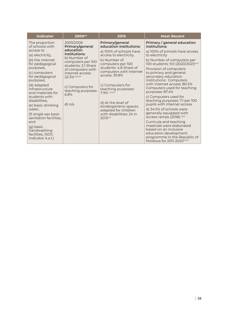| <b>Indicator</b>                                   | 200044                                                         | 2010                                                        | <b>Most Recent</b>                                                                                 |
|----------------------------------------------------|----------------------------------------------------------------|-------------------------------------------------------------|----------------------------------------------------------------------------------------------------|
| The proportion<br>of schools with                  | 2005/2006<br>Primary/general                                   | Primary/general<br>education institutions:                  | Primary / general education<br>institutions:                                                       |
| access to<br>(a) electricity,                      | education<br>institutions:                                     | a) 100% of schools have<br>access to electricity            | a) 100% of schools have access<br>to electricity                                                   |
| (b) the internet<br>for pedagogical<br>purposes,   | b) Number of<br>computers per 100<br>students: 2.1 Share       | b) Number of<br>computers per 100<br>students: 4.8 Share of | b) Number of computers per<br>100 students: 9.0 (2020/2021) <sup>ccci</sup>                        |
| (c) computers<br>for pedagogical<br>purposes,      | of computers with<br>internet access:<br><b>22.3% ccxcviii</b> | computers with internet<br>access: 39.8%                    | Provision of computers<br>to primary and general<br>secondary education<br>institutions: Computers |
| (d) adapted<br>infrastructure<br>and materials for | c) Computers for<br>teaching purposes:                         | c) Computers for<br>teaching purposes:<br>7.9% ccxcix       | with internet access: 80.2%<br>Computers used for teaching<br>purposes: 87.4%                      |
| students with<br>disabilities.                     | 6.8%<br>d) n/a                                                 | d) At the level of                                          | c) Computers used for<br>teaching purposes: 7.1 per 100<br>pupils with internet access             |
| (e) basic drinking<br>water.                       |                                                                | kindergartens: spaces<br>adapted for children               | d) 34.5% of schools were                                                                           |
| (f) single sex basic<br>sanitation facilities.     |                                                                | with disabilities: 24 in<br>2013 <sup>ccc</sup>             | generally equipped with<br>access ramps (2018). <sup>cccii</sup>                                   |
| and                                                |                                                                |                                                             | Curricula and teaching<br>materials were elaborated                                                |
| (g) basic<br>handwashing<br>facilities, (SDG       |                                                                |                                                             | based on an inclusive<br>education development<br>programme in the Republic of                     |
| indicator 4.a.l.)                                  |                                                                |                                                             | Moldova for 2011-2020 <sup>ccciii</sup>                                                            |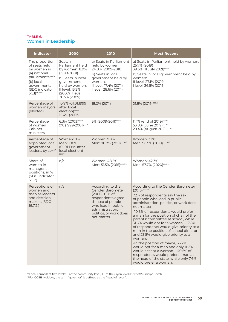### TABLE 6. **Women in Leadership**

| <b>Indicator</b>                                                                                                                                         | 2000                                                                                                                                                                        | 2010                                                                                                                                                                               | <b>Most Recent</b>                                                                                                                                                                                                                                                                                                                                                                                                                                                                                                                                                                                                                                                                                           |
|----------------------------------------------------------------------------------------------------------------------------------------------------------|-----------------------------------------------------------------------------------------------------------------------------------------------------------------------------|------------------------------------------------------------------------------------------------------------------------------------------------------------------------------------|--------------------------------------------------------------------------------------------------------------------------------------------------------------------------------------------------------------------------------------------------------------------------------------------------------------------------------------------------------------------------------------------------------------------------------------------------------------------------------------------------------------------------------------------------------------------------------------------------------------------------------------------------------------------------------------------------------------|
| The proportion<br>of seats held<br>by women in<br>(a) national<br>parliaments, ccciv<br>(b) local<br>governments<br>(SDG indicator<br>$5.5.1$ ) 46, cccv | Seats in<br>Parliament held<br>by women: 8.9%<br>$(1998 - 2001)$<br>b) Seats in local<br>government<br>held by women:<br>II level: 13.2%<br>(2007) I level:<br>26.5% (2007) | a) Seats in Parliament<br>held by women:<br>24.8% (2009-2010)<br>b) Seats in local<br>government held by<br>women:<br>II level: 17.4% (2011)<br>I level: 28.6% (2011)              | a) Seats in Parliament held by women:<br>25.7% (2019)<br>39.6% (11 July 2021) <sup>cccvi</sup><br>b) Seats in local government held by<br>women:<br>II level: 27.1% (2019)<br>I level: 36.5% (2019)                                                                                                                                                                                                                                                                                                                                                                                                                                                                                                          |
| Percentage of<br>women mayors<br>(elected)                                                                                                               | 10.9% (01.01.1999<br>after local<br>election) <sup>cccvii</sup><br>15.4% (2003)                                                                                             | 18.0% (2011)                                                                                                                                                                       | 21.8% (2019) cccviii                                                                                                                                                                                                                                                                                                                                                                                                                                                                                                                                                                                                                                                                                         |
| Percentage<br>of women<br>Cabinet<br>ministers                                                                                                           | 6.3% (2003) <sup>cccix</sup><br>9% (1999-2001) <sup>cccx</sup>                                                                                                              | 5% (2009-2011) <sup>cccxi</sup>                                                                                                                                                    | 11.1% (end of 2019) <sup>cccxii</sup><br>53.8% (June 2019) <sup>cccxiii</sup><br>29.4% (August 2021) cccxiv                                                                                                                                                                                                                                                                                                                                                                                                                                                                                                                                                                                                  |
| Percentage of<br>appointed local<br>government<br>leaders, by sex <sup>47</sup>                                                                          | Women: 0%<br>Men: 100%<br>(01.01.1999 after<br>local election)<br>CCCXV                                                                                                     | Women: 9.3%<br>Men: 90.7% (2011) <sup>cccxvi</sup>                                                                                                                                 | Women: 3.1%<br>Men: 96.9% (2019) <sup>cccxvii</sup>                                                                                                                                                                                                                                                                                                                                                                                                                                                                                                                                                                                                                                                          |
| Share of<br>women in<br>managerial<br>positions, in %<br>(SDG indicator<br>5.5.2                                                                         | n/a                                                                                                                                                                         | Women: 48.5%<br>Men: 51.5% (2015) <sup>cccxviii</sup>                                                                                                                              | Women: 42.3%<br>Men: 57.7% (2020) cccxix                                                                                                                                                                                                                                                                                                                                                                                                                                                                                                                                                                                                                                                                     |
| Perceptions of<br>women and<br>men as leaders<br>and decision-<br>makers (SDG<br>16.7.2.                                                                 | n/a                                                                                                                                                                         | According to the<br>Gender Barometer<br>(2006): 61% of<br>respondents agree<br>the sex of people<br>who lead in public<br>administration,<br>politics, or work does<br>not matter. | According to the Gender Barometer<br>$(2016)$ : $ccexx$<br>72% of respondents say the sex<br>of people who lead in public<br>administration, politics, or work does<br>not matter.<br>-10.8% of respondents would prefer<br>a man for the position of chair of the<br>parents' committee at school, while<br>31.6% would opt for a woman. - 17.8%<br>of respondents would give priority to a<br>man in the position of school director<br>and 23.5% would give priority to a<br>woman.<br>-In the position of mayor, 33.2%<br>would opt for a man and only 11.7%<br>would accept a woman. - 40.5% of<br>respondents would prefer a man at<br>the head of the state, while only 7.6%<br>would prefer a woman. |

<sup>46</sup>Local councils at two levels: I- at the community level, II – at the rayon level (District/Municipal level).

 $^{47}$ For CGEB Moldova, the term "governor" is defined as the "head of rayon".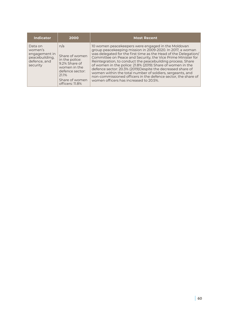| Indicator                                                                         | 2000                                                                                                                                      | <b>Most Recent</b>                                                                                                                                                                                                                                                                                                                                                                                                                                                                                                                                                                                                    |
|-----------------------------------------------------------------------------------|-------------------------------------------------------------------------------------------------------------------------------------------|-----------------------------------------------------------------------------------------------------------------------------------------------------------------------------------------------------------------------------------------------------------------------------------------------------------------------------------------------------------------------------------------------------------------------------------------------------------------------------------------------------------------------------------------------------------------------------------------------------------------------|
| Data on<br>women's<br>engagement in<br>peacebuilding,<br>defence, and<br>security | n/a<br>Share of women<br>in the police:<br>9.2% Share of<br>women in the<br>defence sector:<br>21.1%<br>Share of women<br>officers: 11.8% | 10 women peacekeepers were engaged in the Moldovan<br>group peacekeeping mission in 2009-2020. In 2017, a woman<br>was delegated for the first time as the Head of the Delegation/<br>Committee on Peace and Security, the Vice Prime Minister for<br>Reintegration, to conduct the peacebuilding process. Share<br>of women in the police: 21.8% (2019) Share of women in the<br>defence sector: 20.3% (2019) Despite the decreased share of<br>women within the total number of soldiers, sergeants, and<br>non-commissioned officers in the defence sector, the share of<br>women officers has increased to 20.5%. |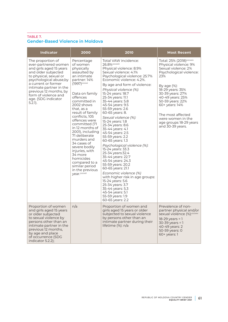## TABLE 7. **Gender-Based Violence in Moldova**

| <b>Indicator</b>                                                                                                                                                                                                                                                                          | 2000                                                                                                                                                                                                                                                                                                                                                                                                                                                                                     | 2010                                                                                                                                                                                                                                                                                                                                                                                                                                                                                                                                                                                                                                                                                                                                                                                                                                                   | <b>Most Recent</b>                                                                                                                                                                                                                                                                                                                  |
|-------------------------------------------------------------------------------------------------------------------------------------------------------------------------------------------------------------------------------------------------------------------------------------------|------------------------------------------------------------------------------------------------------------------------------------------------------------------------------------------------------------------------------------------------------------------------------------------------------------------------------------------------------------------------------------------------------------------------------------------------------------------------------------------|--------------------------------------------------------------------------------------------------------------------------------------------------------------------------------------------------------------------------------------------------------------------------------------------------------------------------------------------------------------------------------------------------------------------------------------------------------------------------------------------------------------------------------------------------------------------------------------------------------------------------------------------------------------------------------------------------------------------------------------------------------------------------------------------------------------------------------------------------------|-------------------------------------------------------------------------------------------------------------------------------------------------------------------------------------------------------------------------------------------------------------------------------------------------------------------------------------|
| The proportion of<br>ever-partnered women<br>and girls aged 15 years<br>and older subjected<br>to physical, sexual or<br>psychological abuse, by<br>a current or former<br>intimate partner in the<br>previous 12 months, by<br>form of violence and<br>age. (SDG indicator<br>$5.2.1$ ). | Percentage<br>of women<br>physically<br>assaulted by<br>an intimate<br>partner: 14%<br>(1997) <sup>cccxxi</sup><br>Data on family<br>offences<br>committed in<br>2002 shows<br>that, as a<br>result of family<br>conflicts, 105<br>offences were<br>committed (71<br>in 12 months of<br>2001), including<br>71 deliberate<br>murders and<br>34 cases of<br>severe bodily<br>injuries, with<br>34 more<br>homicides<br>compared to a<br>similar period<br>in the previous<br>year.cccxxii | Total VAW incidence:<br>26.8% <sup>cccxxiii</sup><br>Physical violence: 8.9%<br>Sexual violence: 4.1%<br>Psychological violence: 25.7%<br>Economic violence: 4.2%.<br>By age and form of violence:<br>Physical violence (%):<br>15-24 years: 18.7<br>25-34 years: 11.1<br>35-44 years: 5.8<br>45-54 years: 9.5<br>55-59 years: 2.6<br>60-65 years: 8.<br>Sexual violence (%):<br>15-24 years: 1.8<br>25-34 years: 8.6<br>35-44 years: 4.1<br>45-54 years: 2.5<br>55-59 years: 2.2<br>60-65 years: 1.3<br>Psychological violence (%):<br>15-24 years: 33.3<br>25-34 years: 32.4<br>35-44 years: 22.7<br>45-54 years: 24.3<br>55-59 years: 20.2<br>60-65 years: 21.1<br>Economic violence (%)<br>with higher risk in age groups:<br>15-24 years: 5.6<br>25-34 years: 3.7<br>35-44 years: 5.3<br>45-54 years: 5.1<br>55-59 years: 1.9<br>60-65 years: 2.2 | Total: 25% (2018) <sup>cccxxiv</sup><br>Physical violence: 9%<br>Sexual violence: 2%<br>Psychological violence:<br>23%<br>By age $(\%)$ :<br>18-29 years: 35%<br>30-39 years: 27%<br>40-49 years: 25%<br>50-59 years: 22%<br>60+ years: 14%<br>The most affected<br>were women in the<br>age groups 18-29 years<br>and 30-39 years. |
| Proportion of women<br>and girls aged 15 years<br>or older subjected<br>to sexual violence by<br>persons other than an<br>intimate partner in the<br>previous 12 months,<br>by age and place<br>of occurrence (SDG<br>indicator 5.2.2);                                                   | n/a                                                                                                                                                                                                                                                                                                                                                                                                                                                                                      | Proportion of women and<br>girls aged 15 years or older<br>subjected to sexual violence<br>by persons other than an<br>intimate partner during their<br>lifetime (%): n/a                                                                                                                                                                                                                                                                                                                                                                                                                                                                                                                                                                                                                                                                              | Prevalence of non-<br>partner physical and/or<br>sexual violence (%): <sup>cccxxv</sup><br>$18-29$ years = 1<br>30-39 years = 1<br>40-49 years: 2<br>50-59 years: 0<br>60+ years: 1                                                                                                                                                 |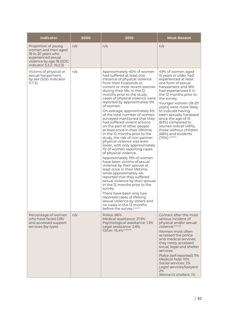| <b>Indicator</b>                                                                                                                              | 2000 | 2010                                                                                                                                                                                                                                                                                                                                                                                                                                                                                                                                                                                                                                                                                                                                                                                                                                                                                                                                                                                                                                                                                                                       | <b>Most Recent</b>                                                                                                                                                                                                                                                                                                                                                                                                         |
|-----------------------------------------------------------------------------------------------------------------------------------------------|------|----------------------------------------------------------------------------------------------------------------------------------------------------------------------------------------------------------------------------------------------------------------------------------------------------------------------------------------------------------------------------------------------------------------------------------------------------------------------------------------------------------------------------------------------------------------------------------------------------------------------------------------------------------------------------------------------------------------------------------------------------------------------------------------------------------------------------------------------------------------------------------------------------------------------------------------------------------------------------------------------------------------------------------------------------------------------------------------------------------------------------|----------------------------------------------------------------------------------------------------------------------------------------------------------------------------------------------------------------------------------------------------------------------------------------------------------------------------------------------------------------------------------------------------------------------------|
| Proportion of young<br>women and men aged<br>18 to 20 years who<br>experienced sexual<br>violence by age 18 (SDG<br>indicator 5.2.2.; 16.2.3) | n/a  | n/a                                                                                                                                                                                                                                                                                                                                                                                                                                                                                                                                                                                                                                                                                                                                                                                                                                                                                                                                                                                                                                                                                                                        | n/a                                                                                                                                                                                                                                                                                                                                                                                                                        |
| Victims of physical or<br>sexual harassment,<br>by sex (SDG indicator<br>11.7.2)                                                              | n/a  | Approximately 40% of women<br>had suffered at least one<br>instance of physical violence<br>from their husbands or<br>current or most recent partner<br>during their life. In the 12<br>months prior to the study,<br>cases of physical violence were<br>reported by approximately 9%<br>of women.<br>On average, approximately 6%<br>of the total number of women<br>surveyed mentioned that they<br>had suffered violent actions<br>on the part of other people<br>at least once in their lifetime.<br>In the 12 months prior to the<br>study, the risk of non-partner<br>physical violence was even<br>lower, with only approximately<br>1% of women reporting cases<br>of physical violence.<br>Approximately 19% of women<br>have been victims of sexual<br>violence by their spouse at<br>least once in their lifetime.<br>while approximately 4%<br>reported that they suffered<br>sexual violence by their spouse<br>in the 12 months prior to the<br>survey.<br>There have been only two<br>reported cases of lifelong<br>sexual violence by others and<br>no cases in the 12 months<br>before the survey.cccxxvi | 49% of women aged<br>15 years or older had<br>experienced at least<br>one form of sexual<br>harassment and 18%<br>had experienced it in<br>the 12 months prior to<br>the survey.<br>Younger women (18-29<br>years) were more likely<br>to indicate having<br>been sexually harassed<br>since the age of 15<br>(63%) compared to<br>women overall (49%),<br>those without children<br>(68%) and students<br>(70%). cccxxvii |
| Percentage of women<br>who have faced GBV<br>and accessed support<br>services (by type)                                                       | n/a  | Police: 86%<br>Medical assistance: 21.9%<br>Psychological assistance: 1.3%<br>Legal assistance: 2.8%<br>Other: 15.4% cccxxviii                                                                                                                                                                                                                                                                                                                                                                                                                                                                                                                                                                                                                                                                                                                                                                                                                                                                                                                                                                                             | Contact after the most<br>serious incident of<br>physical and/or sexual<br>violence: <sup>cccxxix</sup><br>Women most often<br>accessed the police<br>and medical services;<br>they rarely accessed<br>social, legal and shelter<br>services.<br>Police (self-reported): 11%<br>Medical help: 10%<br>Social services: 2%<br>Legal services/lawyers:<br>2%<br>Women's shelters: 1%                                          |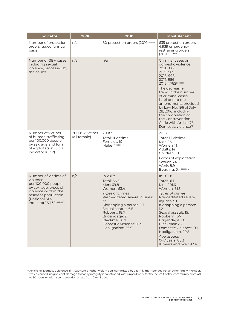| <b>Indicator</b>                                                                                                                                                                           | 2000                            | 2010                                                                                                                                                                                                                                                                           | <b>Most Recent</b>                                                                                                                                                                                                                                                                                                                                                                                            |
|--------------------------------------------------------------------------------------------------------------------------------------------------------------------------------------------|---------------------------------|--------------------------------------------------------------------------------------------------------------------------------------------------------------------------------------------------------------------------------------------------------------------------------|---------------------------------------------------------------------------------------------------------------------------------------------------------------------------------------------------------------------------------------------------------------------------------------------------------------------------------------------------------------------------------------------------------------|
| Number of protection<br>orders issued (annual<br>basis)                                                                                                                                    | n/a                             | 80 protection orders (2010) <sup>cccxxx</sup>                                                                                                                                                                                                                                  | 635 protection orders<br>4,939 emergency<br>restraining orders<br>$(2020)$ cccxxxi                                                                                                                                                                                                                                                                                                                            |
| Number of GBV cases,<br>including sexual<br>violence, processed by<br>the courts.                                                                                                          | n/a                             | n/a                                                                                                                                                                                                                                                                            | Criminal cases on<br>domestic violence:<br>2020: 866<br>2019: 969<br>2018: 998<br>2017: 956<br>2016: 1,782 <sup>cccxxxii</sup><br>The decreasing<br>trend in the number<br>of criminal cases<br>is related to the<br>amendments provided<br>by Law No. 196 of July<br>28, 2016, including<br>the completion of<br>the Contravention<br>Code with Article 78 <sup>1</sup><br>Domestic violence <sup>48</sup> . |
| Number of victims<br>of human trafficking<br>per 100,000 people,<br>by sex, age and form<br>of exploitation (SDG<br>indicator 16.2.2)                                                      | 2000: 6 victims<br>(all female) | 2008:<br>Total: 11 victims<br>Females: 10<br>Males: 1cccxxxiii                                                                                                                                                                                                                 | 2018:<br>Total: 13 victims<br>Men: 16<br>Women: 11<br>Adults: 14<br>Children: 10<br>Forms of exploitation:<br>Sexual: 3.4<br><b>Work: 8.9</b><br>Begging: 0.4 <sup>cccxxxiv</sup>                                                                                                                                                                                                                             |
| Number of victims of<br>violence<br>per 100 000 people<br>by sex, age, types of<br>violence (within the<br>resident population)<br>(National SDG<br>indicator 16.1.3.1) <sup>cccxxxv</sup> | n/a                             | In 2013:<br><b>Total: 66.5</b><br>Men: 69.8<br>Women: 63.4<br>Types of crimes<br>Premeditated severe injuries:<br>3.5<br>Kidnapping a person: 1.7<br>Sexual assault: 6.5<br>Robbery: 18.7<br>Brigandage: 2.1<br>Blackmail: 0.7<br>Domestic violence: 16.9<br>Hooliganism: 16.5 | In 2018:<br><b>Total: 91.1</b><br>Men: 101.6<br><b>Women: 81.3</b><br>Types of crimes<br>Premeditated severe<br>injuries: 5.1<br>Kidnapping a person:<br>1.2<br>Sexual assault: 15.<br>Robbery: 16.7<br>Brigandage: 1.8<br>Blackmail: 2.2<br>Domestic violence: 19.1<br>Hooliganism: 29.5<br>Age groups<br>0-17 years: 85.3<br>18 years and over: 92.4                                                        |

<sup>48</sup>Article 78<sup>1</sup> Domestic violence: Ill-treatment or other violent acts committed by a family member against another family member, which caused insignificant damage to bodily integrity is sanctioned with unpaid work for the benefit of the community from 40 to 60 hours or with a contravention arrest from 7 to 15 days.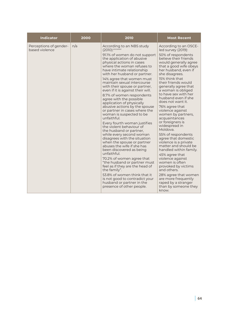| <b>Indicator</b>                         | 2000 | 2010                                                                                                                                                                                                                                                                                                                                                                                                                                                                                                                                                                                                                                                                                                                                                                                                                                   | <b>Most Recent</b>                                                                                                                                                                                                                                                                                                                                                                                                                                                                                                                                                                                                 |
|------------------------------------------|------|----------------------------------------------------------------------------------------------------------------------------------------------------------------------------------------------------------------------------------------------------------------------------------------------------------------------------------------------------------------------------------------------------------------------------------------------------------------------------------------------------------------------------------------------------------------------------------------------------------------------------------------------------------------------------------------------------------------------------------------------------------------------------------------------------------------------------------------|--------------------------------------------------------------------------------------------------------------------------------------------------------------------------------------------------------------------------------------------------------------------------------------------------------------------------------------------------------------------------------------------------------------------------------------------------------------------------------------------------------------------------------------------------------------------------------------------------------------------|
| Perceptions of gender-<br>based violence | n/a  | According to an NBS study<br>$(2010)$ : cccxxxvi<br>91.1% of women do not support<br>the application of abusive<br>physical actions in cases<br>where the woman refuses to<br>have intimate relationship<br>with her husband or partner.                                                                                                                                                                                                                                                                                                                                                                                                                                                                                                                                                                                               | According to an OSCE-<br>led survey (2019):<br>50% of respondents<br>believe their friends<br>would generally agree<br>that a good wife obeys<br>her husband, even if<br>she disagrees.                                                                                                                                                                                                                                                                                                                                                                                                                            |
|                                          |      | 14% agree that women must<br>maintain sexual intercourse<br>with their spouse or partner,<br>even if it is against their will.<br>8.7% of women respondents<br>agree with the possible<br>application of physically<br>abusive actions by the spouse<br>or partner in cases where the<br>woman is suspected to be<br>unfaithful.<br>Every fourth woman justifies<br>the violent behaviour of<br>the husband or partner,<br>while every second woman<br>disagrees with the situation<br>when the spouse or partner<br>abuses the wife if she has<br>been discovered as being<br>unfaithful.<br>70.2% of women agree that<br>"the husband or partner must<br>feel as if they are the head of<br>the family".<br>53.8% of women think that it<br>is not good to contradict your<br>husband or partner in the<br>presence of other people. | 15% think that<br>their friends would<br>generally agree that<br>a woman is obliged<br>to have sex with her<br>husband even if she<br>does not want it.<br>76% agree that<br>violence against<br>women by partners,<br>acquaintances<br>or foreigners is<br>widespread in<br>Moldova.<br>55% of respondents<br>agree that domestic<br>violence is a private<br>matter and should be<br>handled within family.<br>45% agree that<br>violence against<br>women is often<br>provoked by victims<br>and others.<br>28% agree that women<br>are more frequently<br>raped by a stranger<br>than by someone they<br>know. |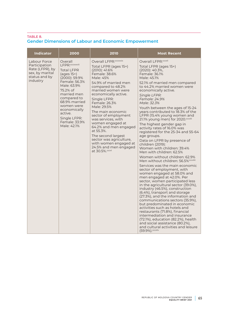### TABLE 8. **Gender Dimensions of Labour and Economic Empowerment**

| <b>Indicator</b>                                                                                 | 2000                                                                                                                                                                                                                                                                        | 2010                                                                                                                                                                                                                                                                                                                                                                                                                                                                                         | <b>Most Recent</b>                                                                                                                                                                                                                                                                                                                                                                                                                                                                                                                                                                                                                                                                                                                                                                                                                                                                                                                                                                                                                                                                                                                                                                                                                                                                                              |
|--------------------------------------------------------------------------------------------------|-----------------------------------------------------------------------------------------------------------------------------------------------------------------------------------------------------------------------------------------------------------------------------|----------------------------------------------------------------------------------------------------------------------------------------------------------------------------------------------------------------------------------------------------------------------------------------------------------------------------------------------------------------------------------------------------------------------------------------------------------------------------------------------|-----------------------------------------------------------------------------------------------------------------------------------------------------------------------------------------------------------------------------------------------------------------------------------------------------------------------------------------------------------------------------------------------------------------------------------------------------------------------------------------------------------------------------------------------------------------------------------------------------------------------------------------------------------------------------------------------------------------------------------------------------------------------------------------------------------------------------------------------------------------------------------------------------------------------------------------------------------------------------------------------------------------------------------------------------------------------------------------------------------------------------------------------------------------------------------------------------------------------------------------------------------------------------------------------------------------|
| Labour Force<br>Participation<br>Rate (LFPR), by<br>sex, by marital<br>status and by<br>industry | Overall<br>LFPR: ccxxxviii<br><b>Total LFPR</b><br>$(\text{ages }15+)$<br>(2000): 59.9%<br>Female: 56.3%<br>Male: 63.9%<br>75.2% of<br>married men<br>compared to<br>68.9% married<br>women were<br>economically<br>active.<br>Single LFPR:<br>Female: 33.9%<br>Male: 42.1% | Overall LFPR: cccxxxix<br>Total LFPR (ages 15+)<br>(2010): 41.6%<br>Female: 38.6%<br>Male: 45%<br>54.9% of married men<br>compared to 48.2%<br>married women were<br>economically active.<br>Single LFPR:<br>Female: 26.3%<br>Male: 29.5%<br>The main economic<br>sector of employment<br>was services, with<br>women engaged at<br>64.2% and men engaged<br>at 55.3%.<br>The second largest<br>sector was agriculture,<br>with women engaged at<br>24.5% and men engaged<br>at 30.5%. CCCXI | Overall LFPR: cccxli<br>Total LFPR (ages 15+)<br>(2020): 40.3%,<br>Female: 36.1%<br>Male: 45.1%<br>52.1% of married men compared<br>to 44.2% married women were<br>economically active.<br>Single LFPR:<br>Female: 24.9%<br>Male: 32.3%<br>Youth between the ages of 15-24<br>years contributed to 18.3% of the<br>LFPR (15.4% young women and<br>21.1% young men) for 2020.cccxlii<br>The highest gender gap in<br>activity rates of 16.0% was<br>registered for the 25-34 and 55-64<br>age groups.<br>Data on LFPR by presence of<br>children (2019):<br>Women with children: 39.4%<br>Men with children: 62.5%<br>Women without children: 62.9%<br>Men without children: 56.5% cccxliii<br>Services was the main economic<br>sector of employment, with<br>women engaged at 58.0% and<br>men engaged at 42.0%. Per<br>sector, women participated less<br>in the agricultural sector (39.0%),<br>industry (46.5%), construction<br>(6.4%), transport and storage<br>(27.3%), and the information and<br>communications sectors (35.9%),<br>but predominated in economic<br>activities such as hotels and<br>restaurants (71.8%), financial<br>intermediation and insurance<br>(72.1%), education (82.2%), health<br>and social assistance (80.2%),<br>and cultural activities and leisure<br>(59.9%). cccxliv |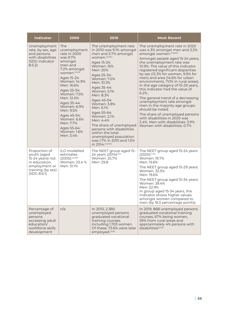| <b>Indicator</b>                                                                                                       | 2000                                                                                                                                                                                                                                                                                                                            | 2010                                                                                                                                                                                                                                                                                                                                                                                                                                                                                       | <b>Most Recent</b>                                                                                                                                                                                                                                                                                                                                                                                                                                                                                                                                                                                                                                                                                                        |
|------------------------------------------------------------------------------------------------------------------------|---------------------------------------------------------------------------------------------------------------------------------------------------------------------------------------------------------------------------------------------------------------------------------------------------------------------------------|--------------------------------------------------------------------------------------------------------------------------------------------------------------------------------------------------------------------------------------------------------------------------------------------------------------------------------------------------------------------------------------------------------------------------------------------------------------------------------------------|---------------------------------------------------------------------------------------------------------------------------------------------------------------------------------------------------------------------------------------------------------------------------------------------------------------------------------------------------------------------------------------------------------------------------------------------------------------------------------------------------------------------------------------------------------------------------------------------------------------------------------------------------------------------------------------------------------------------------|
| Unemployment<br>rate, by sex, age<br>and persons<br>with disabilities<br>(SDG indicator<br>8.5.2)                      | The<br>unemployment<br>rate in 2000<br>was 9.7%<br>amongst<br>men and<br>7.2% amongst<br>women.cccxlv<br>Ages 15-24:<br>Women: 14.9%<br>Men: 16.6%<br>Ages 25-34:<br>Women: 7.5%<br>Men: 12.0%<br>Ages 35-44:<br>Women: 6.9%<br>Men: 9.5%<br>Ages 45-54:<br>Women: 6.6%<br>Men: 7.7%<br>Ages 55-64:<br>Women: 1.6%<br>Men: 3.4% | The unemployment rate<br>in 2010 was 9.1% amongst<br>men and 5.7% amongst<br>women. <sup>cccxlvi</sup><br>Ages 15-24:<br><b>Women: 15%</b><br>Men: 20%<br>Ages 25-34:<br>Women: 7.0%<br>Men: 10.3%<br>Ages 35-44:<br>Women: 5.1%<br>Men: 8.3%<br>Ages 45-54:<br>Women: 3.8%<br>Men: 6.1%<br>Ages 55-64:<br>Women: 2.1%<br>Men: 4.4%<br>The share of unemployed<br>persons with disabilities<br>within the total<br>unemployed population<br>was 1.7% in 2015 and 1.5%<br>in 2014. cccxlvii | The unemployment rate in 2020<br>was 4.3% amongst men and 3.2%<br>amongst women. <sup>cccxlviii</sup><br>Amongst people aged 15-24 years,<br>the unemployment rate was<br>10.9%. The value of this indicator<br>registered significant disparities<br>by sex (12.3% for women, 9.9% for<br>men) and area (14.6% for urban<br>environments, 7.0% in rural areas).<br>In the age category of 15-29 years,<br>this indicator had the value of<br>$6.2\%$ .<br>The general trend of a decreasing<br>unemployment rate amongst<br>men in the majority age groups<br>should be noted.<br>The share of unemployed persons<br>with disabilities in 2020 was<br>2.4%. Men with disabilities: 3.9%<br>Women with disabilities: 0.7% |
| Proportion of<br>youth (aged<br>15-24 years) not<br>in education,<br>employment or<br>training (by sex)<br>(SDG 8.6.1) | ILO modelled<br>estimates<br>$(2005)$ : cccxlix<br>Women: 23.4 %<br>Men: 31.1%                                                                                                                                                                                                                                                  | The NEET group aged 15-<br>24 years (2014) <sup>cccl</sup><br>Women: 25.7%<br>Men: 29.8                                                                                                                                                                                                                                                                                                                                                                                                    | The NEET group aged 15-24 years<br>(2020):cccli<br>Women: 19.7%<br>Men: 15.6%<br>The NEET group aged 15-29 years:<br>Women: 32.5%<br>Men: 19.6%<br>The NEET group aged 15-34 years:<br>Women: 39.4%<br>Men: 22.9%<br>In group aged 15-34 years, the<br>indicator shows higher values<br>amongst women compared to<br>men (by 16.5 percentage points).                                                                                                                                                                                                                                                                                                                                                                     |
| Percentage of<br>unemployed<br>persons<br>accessing adult<br>education/<br>workforce skills<br>development             | n/a                                                                                                                                                                                                                                                                                                                             | In 2010, 2,380<br>unemployed persons<br>graduated vocational<br>training courses,<br>including 1,703 women.<br>Of these, 73.6% were later<br>employed.ccclii                                                                                                                                                                                                                                                                                                                               | In 2019, 868 unemployed persons<br>graduated vocational training<br>courses, 67% being women,<br>59% from rural areas and<br>approximately 4% persons with<br>disabilities <sup>cccliii</sup>                                                                                                                                                                                                                                                                                                                                                                                                                                                                                                                             |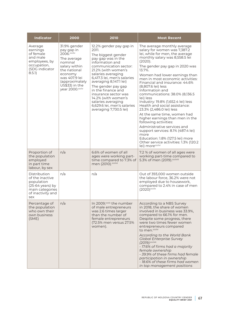| <b>Indicator</b>                                                                                                           | 2000                                                                                                                                                                                    | 2010                                                                                                                                                                                                                                                                                                                                                                                                     | <b>Most Recent</b>                                                                                                                                                                                                                                                                                                                                                                                                                                                                                                                                                                                                                                                                                                                                                 |
|----------------------------------------------------------------------------------------------------------------------------|-----------------------------------------------------------------------------------------------------------------------------------------------------------------------------------------|----------------------------------------------------------------------------------------------------------------------------------------------------------------------------------------------------------------------------------------------------------------------------------------------------------------------------------------------------------------------------------------------------------|--------------------------------------------------------------------------------------------------------------------------------------------------------------------------------------------------------------------------------------------------------------------------------------------------------------------------------------------------------------------------------------------------------------------------------------------------------------------------------------------------------------------------------------------------------------------------------------------------------------------------------------------------------------------------------------------------------------------------------------------------------------------|
| Average<br>earnings<br>of female<br>and male<br>employees, by<br>occupation,<br>(SDG indicator<br>8.5.1)                   | 31.9% gender<br>pay gap in<br>2006.cccliv<br>The average<br>nominal<br>salary within<br>the national<br>economy<br>was 407.9 lei<br>(approximately<br>US\$33) in the<br>year 2000.ccclv | 12.2% gender pay gap in<br>2011.<br>The biggest gender<br>pay gap was in the<br>information and<br>communication sector:<br>21.2% (with women's<br>salaries averaging<br>6,417.3 lei, men's salaries<br>averaging 8,147.1 lei)<br>The gender pay gap<br>in the finance and<br>insurance sector was<br>14.2% (with women's<br>salaries averaging<br>6,629.6 lei, men's salaries<br>averaging 7,730.5 lei) | The average monthly average<br>salary for women was 7,387.2<br>lei, while for men, the average<br>monthly salary was 8,558.5 lei<br>(2020).<br>The gender pay gap in 2020 was<br>13.7%.<br>Women had lower earnings than<br>men in most economic activities:<br>Financial and insurance: 44.6%<br>(8,807.6 lei) less<br>Information and<br>communications: 38.0% (8,136.5<br>lei) less<br>Industry: 19.8% (1,652.4 lei) less<br>Health and social assistance:<br>23.3% (2,486.0 lei) less<br>At the same time, women had<br>higher earnings than men in the<br>following activities:<br>Administrative services and<br>support services: 8.1% (487.4 lei)<br>more<br>Education: 1.8% (127.5 lei) more<br>Other service activities: 1.3% (120.2)<br>lei) moreccclvi |
| Proportion of<br>the population<br>employed<br>in part time<br>labour, by sex                                              | n/a                                                                                                                                                                                     | 6.6% of women of all<br>ages were working part-<br>time compared to 7.3% of<br>men (2010).ccclvii                                                                                                                                                                                                                                                                                                        | 7.2 % of women of all ages were<br>working part-time compared to<br>5.3% of men (2019). ccclviii                                                                                                                                                                                                                                                                                                                                                                                                                                                                                                                                                                                                                                                                   |
| Distribution<br>of the inactive<br>population<br>$(25-64 \text{ years})$ by<br>main categories<br>of inactivity and<br>sex | n/a                                                                                                                                                                                     | n/a                                                                                                                                                                                                                                                                                                                                                                                                      | Out of 393,000 women outside<br>the labour force, 36.2% were not<br>employed due to housework,<br>compared to 2.4% in case of men<br>$(2020)$ <sub>ccclix</sub>                                                                                                                                                                                                                                                                                                                                                                                                                                                                                                                                                                                                    |
| Percentage of<br>the population<br>who own their<br>own business<br>(SME)                                                  | n/a                                                                                                                                                                                     | In 2009, <sup>ccclx</sup> the number<br>of male entrepreneurs<br>was 2.6 times larger<br>than the number of<br>female entrepreneurs<br>(72.5% men versus 27.5%<br>women).                                                                                                                                                                                                                                | According to a NBS Survey<br>in 2018, the share of women<br>involved in business was 33.9%,<br>compared to 66.1% for men.<br>Despite some progress, there<br>were two times fewer women<br>entrepreneurs compared<br>to men. <sup>ccclxi</sup><br>According to the World Bank<br><b>Global Enterprise Survey</b><br>(2019):ccclxii<br>- 17.6% of firms had a majority<br>female ownership<br>- 39.9% of these firms had female<br>participation in ownership<br>- 18.6% of these firms had women<br>in top management positions                                                                                                                                                                                                                                    |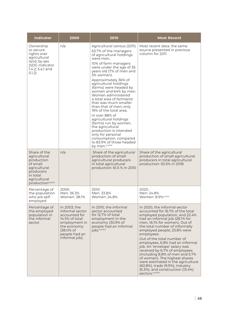| <b>Indicator</b>                                                                                                                                 | 2000                                                                                                                                               | 2010                                                                                                                                                                                                                                                                                                                                                                                                                                                                                                                                                                                                                                          | <b>Most Recent</b>                                                                                                                                                                                                                                                                                                                                                                                                                                                                                                                                                                                  |
|--------------------------------------------------------------------------------------------------------------------------------------------------|----------------------------------------------------------------------------------------------------------------------------------------------------|-----------------------------------------------------------------------------------------------------------------------------------------------------------------------------------------------------------------------------------------------------------------------------------------------------------------------------------------------------------------------------------------------------------------------------------------------------------------------------------------------------------------------------------------------------------------------------------------------------------------------------------------------|-----------------------------------------------------------------------------------------------------------------------------------------------------------------------------------------------------------------------------------------------------------------------------------------------------------------------------------------------------------------------------------------------------------------------------------------------------------------------------------------------------------------------------------------------------------------------------------------------------|
| Ownership<br>or secure<br>rights over<br>agricultural<br>land, by sex<br>(SDG Indicator<br>1.4.2; 5.a.1 and<br>5.1.2)                            | n/a                                                                                                                                                | Agricultural census (2011):<br>63.7% of the managers<br>of agricultural holdings<br>were men.<br>10% of farm managers<br>were under the age of 35<br>years old (7% of men and<br>3% women).<br>Approximately 36% of<br>agricultural holdings<br>(farms) were headed by<br>women and 64% by men.<br>Women administered<br>a total area of farmland<br>that was much smaller<br>than that of men; only<br>19% of the total area.<br>In over 88% of<br>agricultural holdings<br>(farms) run by women,<br>the agricultural<br>production is intended<br>only for personal<br>consumption, compared<br>to 83.9% of those headed<br>by men.ccclxiii | Most recent data: the same<br>source presented in previous<br>column for 2011.                                                                                                                                                                                                                                                                                                                                                                                                                                                                                                                      |
| Share of the<br>agricultural<br>production<br>of small<br>agricultural<br>producers<br>in total<br>agricultural<br>production <sup>ccclxiv</sup> | n/a                                                                                                                                                | Share of the agricultural<br>production of small<br>agricultural producers<br>in total agricultural<br>production: 61.5 % in 2010                                                                                                                                                                                                                                                                                                                                                                                                                                                                                                             | Share of the agricultural<br>production of small agricultural<br>producers in total agricultural<br>production: 50.5% in 2018                                                                                                                                                                                                                                                                                                                                                                                                                                                                       |
| Percentage of<br>the population<br>who are self-<br>employed                                                                                     | 2000:<br>Men: 36.3%<br>Women: 38.1%                                                                                                                | 2010:<br>Men: 33.8%<br>Women: 24.8%                                                                                                                                                                                                                                                                                                                                                                                                                                                                                                                                                                                                           | 2020:<br>Men: 24.8%<br>Women: 8.9% <sup>ccclxv</sup>                                                                                                                                                                                                                                                                                                                                                                                                                                                                                                                                                |
| Percentage of<br>the employed<br>population in<br>the informal<br>sector                                                                         | In 2003, the<br>informal sector<br>accounted for<br>14.5% of total<br>employment in<br>the economy<br>(38.0% of<br>people had an<br>informal job). | In 2010, the informal<br>sector accounted<br>for 12.7% of total<br>employment in the<br>economy (30.9% of<br>people had an informal<br>job).ccclxvi                                                                                                                                                                                                                                                                                                                                                                                                                                                                                           | In 2020, the informal sector<br>accounted for 16.7% of the total<br>employed population, and 22.4%<br>had an informal job (28.1% for<br>men, 16.1% for women). Out of<br>the total number of informally<br>employed people, 23.8% were<br>employees.<br>Out of the total number of<br>employees, 6.8% had an informal<br>job. An 'envelope' salary was<br>received by 6.7% of employees<br>(including 8.8% of men and 5.7%)<br>of women). The highest shares<br>were estimated in the agriculture<br>(60.8%), trade (9.9%), industry<br>$(6.3\%)$ , and construction $(13.4\%)$<br>sectors.ccclxvii |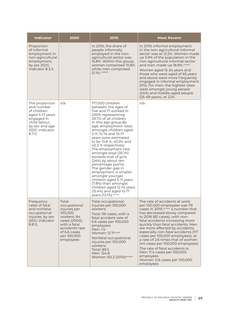| <b>Indicator</b>                                                                                                                            | 2000                                                                                                                                                           | 2010                                                                                                                                                                                                                                                                                                                                                                                                                                                                                                                                                                                                                  | <b>Most Recent</b>                                                                                                                                                                                                                                                                                                                                                                                                                                                                                                                                                     |
|---------------------------------------------------------------------------------------------------------------------------------------------|----------------------------------------------------------------------------------------------------------------------------------------------------------------|-----------------------------------------------------------------------------------------------------------------------------------------------------------------------------------------------------------------------------------------------------------------------------------------------------------------------------------------------------------------------------------------------------------------------------------------------------------------------------------------------------------------------------------------------------------------------------------------------------------------------|------------------------------------------------------------------------------------------------------------------------------------------------------------------------------------------------------------------------------------------------------------------------------------------------------------------------------------------------------------------------------------------------------------------------------------------------------------------------------------------------------------------------------------------------------------------------|
| Proportion<br>of informal<br>employment in<br>non-agricultural<br>employment,<br>by sex (SDG<br>indicator 8.3.1)                            | $\overline{a}$                                                                                                                                                 | In 2010, the share of<br>people informally<br>employed in the non-<br>agricultural sector was<br>15.8%. Within this group,<br>women comprised 10.8%<br>while men comprised<br>21.1%. ccclxviii                                                                                                                                                                                                                                                                                                                                                                                                                        | In 2019, informal employment<br>in the non-agricultural informal<br>sector was at 12.2%. Women made<br>up 5.9% of the population in the<br>non-agricultural informal sector<br>and men made up 18.8%.ccclxix<br>Women aged 15-24 years and<br>those who were aged of 65 years<br>and above were more frequently<br>engaged in informal employment<br>(9%). For men, the highest rates<br>were amongst young people<br>(24%) and middle-aged people<br>(25-49 years), at 22%.                                                                                           |
| The proportion<br>and number<br>of children<br>aged 5-17 years<br>engaged in<br>child labour,<br>by sex and age<br>(SDG indicator<br>8.7.1) | n/a                                                                                                                                                            | 177,000 children<br>between the ages of<br>five and 17 worked in<br>2009, representing<br>29.7% of all children<br>in this age group.By<br>age, employment rates<br>amongst children aged<br>5-11, 12-14 and 15-17<br>years were estimated<br>to be 13.8 %, 43.3% and<br>42.3 % respectively.<br>The employment rate<br>amongst boys (35.1%)<br>exceeds that of girls<br>(24%) by about ten<br>percentage points.<br>The gender gap in<br>employment is smaller<br>amongst younger<br>children aged 5-11 years<br>(7.8%) than amongst<br>children aged 12-14 years<br>(15.4%) and aged 15-17<br>years (13.1%). ccclxx | n/a                                                                                                                                                                                                                                                                                                                                                                                                                                                                                                                                                                    |
| Frequency<br>rates of fatal<br>and nonfatal<br>occupational<br>injuries, by sex<br>(SDG indicator<br>$8.8.1$ ).                             | Total<br>occupational<br>injuries per<br>100,000<br>workers: 84<br>cases (2000),<br>with a fatal<br>accidents rate<br>of 6.6 cases<br>per 100,000<br>employees | Total occupational<br>injuries per 100,000<br>workers:<br>Total: 96 cases, with a<br>fatal accident rate of<br>6.6 cases per 100,000<br>employees<br>Men: 1.5<br>Women: 12.7ccclxxi<br>Nonfatal occupational<br>injuries per 100,000<br>workers:<br><b>Total: 89.5</b><br>Men: 124.8<br>Women: 60.2 (2010) ccclxxii                                                                                                                                                                                                                                                                                                   | The rate of accidents at work<br>per 100,000 employees was 79<br>cases in 2019, ccclixxiii a number that<br>has decreased slowly compared<br>to 2018 (82 cases), with non-<br>fatal accidents increasing more<br>quickly than fatal accidents. Men<br>are more affected by accidents,<br>especially non-fatal accidents (117<br>cases per 100,000 employees), at<br>a rate of 2.6 times that of women<br>(44 cases per 100,000 employees).<br>The rate of fatal accidents is:<br>Men: 11.4 cases per 100,000<br>employees<br>Women: 0.6 cases per 100,000<br>employees |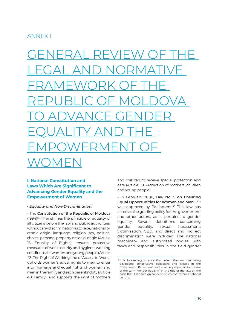## ANNEX 1

GENERAL REVIEW OF THE LEGAL AND NORMATIVE FRAMEWORK OF THE REPUBLIC OF MOLDOVA TO ADVANCE GENDER EQUALITY AND THE EMPOWERMENT OF WOMEN

## **I. National Constitution and Laws Which Are Significant to Advancing Gender Equality and the Empowerment of Women**

#### *• Equality and Non-Discrimination:*

- The **Constitution of the Republic of Moldova**  (1994)<sup>ccclxxiv</sup> enshrines the principle of equality of all citizens before the law and public authorities, without any discrimination as to race, nationality, ethnic origin, language, religion, sex, political choice, personal property or social origin (Article 16. Equality of Rights); ensures protective measures of work security and hygiene, working conditions for women and young people (Article 43. The Right of Working and of Access to Work); upholds women's equal rights to men to enter into marriage and equal rights of woman and men in the family and each parents' duty (Article 48. Family); and supports the right of mothers and children to receive special protection and care (Article 50. Protection of mothers, children and young people).

- In February 2006, **Law No. 5 on Ensuring Equal Opportunities for Women and Men**<sup>ccclxxv</sup> was approved by Parliament.<sup>49</sup> This law has acted as the guiding policy for the government and other actors, as it pertains to gender equality. Several definitions concerning gender equality, sexual harassment, victimisation, GBD, and direct and indirect discrimination were included. The national machinery and authorised bodies with tasks and responsibilities in the field gender

<sup>49</sup>It is interesting to note that when the law was being developed, conservative politicians and groups in the Government, Parliament, and in society objected to the use of the term "gender equality" in the title of the law, on the basis that it is a foreign concept which contravenes national culture.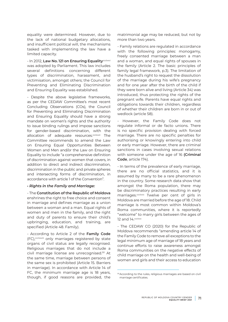equality were determined. However, due to the lack of national budgetary allocations, and insufficient political will, the mechanisms tasked with implementing the law have a limited capacity.

- In 2012, Law No. 121 on Ensuring Equality<sup>ccclxxvi</sup> was adopted by Parliament. This law includes several definitions concerning different types of discrimination, harassment, and victimisation, amongst others; the Council for Preventing and Eliminating Discrimination and Ensuring Equality was established.

- Despite the above legislative frameworks, as per the CEDAW Committee's most recent Concluding Observations (COs), the Council for Preventing and Eliminating Discrimination and Ensuring Equality should have a strong mandate on women's rights and the authority to issue binding rulings and impose sanctions for gender-based discrimination, with the allocation of adequate resources.<sup>ccclxxvii</sup> The Committee recommends to amend the Law on Ensuring Equal Opportunities Between Women and Men and/or the Law on Ensuring Equality to include "a comprehensive definition of discrimination against women that covers, in addition to direct and indirect discrimination, discrimination in the public and private spheres and intersecting forms of discrimination, in accordance with article 1 of the Convention".

#### *• Rights in the Family and Marriage:*

- The **Constitution of the Republic of Moldova** enshrines the right to free choice and consent in marriage and defines marriage as a union between a woman and a man. Equal rights of women and men in the family, and the right and duty of parents to ensure their child's upbringing, education, and training, are specified (Article 48. Family).

- According to Article 2 of the **Family Code**  (FC), ccclxxviii only marriages registered by state organs of civil status are legally recognised. Religious marriages that do not include a civil marriage license are unrecognised.50 At the same time, marriage between persons of the same sex is prohibited (Article 15. Barriers in marriage). In accordance with Article 14 of FC, the minimum marriage age is 18 years, though, if good reasons are provided, the matrimonial age may be reduced, but not by more than two years.

- Family relations are regulated in accordance with the following principles: monogamy, freely consented marriage between a man and a woman, and equal rights of spouses in the family (Article 2. The basic principles of family legal framework, p.3). The limitation of the husband's right to request the dissolution of the marriage during his wife's pregnancy and for one year after the birth of the child if they were born alive and living (Article 34) was introduced, thus protecting the rights of the pregnant wife. Parents have equal rights and obligations towards their children, regardless of whether their children are born in or out of wedlock (article 58).

- However, the Family Code does not regulate informal or de facto unions. There is no specific provision dealing with forced marriage. There are no specific penalties for authorising or knowingly entering into child or early marriage. However, there are criminal sanctions in cases involving sexual relations with someone under the age of 16 **(Criminal Code**, article 174).

- In terms of the prevalence of early marriage, there are no official statistics, and it is assumed by many to be a rare phenomenon in the country. Some research data show that amongst the Roma population, there may be discriminatory practices resulting in early marriages.<sup>ccclxxix</sup> Twelve per cent of girls in Moldova are married before the age of 18. Child marriage is most common within Moldova's Roma communities, where it is reportedly "welcome" to marry girls between the ages of 12 and 14. ccclxxx

- The CEDAW CO (2020) for the Republic of Moldova recommends "amending article 14 of the Family Code to remove all exceptions to the legal minimum age of marriage of 18 years and continue efforts to raise awareness amongst Roma communities on the negative effects of child marriage on the health and well-being of women and girls and their access to education

<sup>50</sup>According to the rules, religious marriages are based on civil marriage certificates.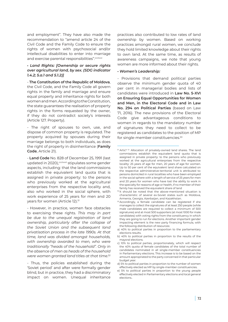and employment". They have also made the recommendation to "amend article 24 of the Civil Code and the Family Code to ensure the rights of women with psychosocial and/or intellectual disabilities to enter into marriage and exercise parental responsibilities".ccclxxxi

#### *• Land Rights: [Ownership or secure rights over agricultural land, by sex. (SDG indicator 1.4.2; 5.a.1 and 5.1.2)]*

- **The Constitution of the Republic of Moldova**, the Civil Code, and the Family Code all govern rights in the family and marriage and ensure equal property and inheritance rights for both women and men. According to the Constitution, the state guarantees the realisation of property rights in the forms requested by the owner, if they do not contradict society's interests (Article 127. Property).

- The right of spouses to own, use, and dispose of common property is regulated. The property acquired by spouses during their marriage belongs to both individuals, as does the right of property in disinheritance (**Family Code**, Article 21).

- **Land Code** No. 828 of December 25, 1991 (last updated in 2020), ccclxxxii stipulates some gender aspects, including: that the land commissions establish the equivalent land quota that is assigned in private property: to the persons who previously worked at the agricultural enterprises from the respective locality and, also who worked in the social sphere, with work experience of 25 years for men and 20 years for women (Article 12).<sup>51</sup>

- However, in practice, women face obstacles to exercising these rights. *This may in part be due to the unequal registration of land ownership, particularly after the collapse of the Soviet Union and the subsequent land privatisation process in the late 1990s. At that time, land was divided amongst households, with ownership awarded to men, who were traditionally "heads of the household". Only in the absence of men as heads of the household were women granted land titles at that time*. 52

- Thus, the policies established during the 'Soviet period' and after were formally gender blind, but in practice, they had a discriminatory impact on women. Unequal inheritance practices also contributed to low rates of land ownership by women. Based on working practices amongst rural women, we conclude they hold limited knowledge about their rights to own land. At the same time, as results of awareness campaigns, we note that young women are more informed about their rights.

#### *• Women's Leadership:*

- Provisions that demand political parties observe the minimum gender quota of 40 per cent in managerial bodies and lists of candidates were introduced in **Law No. 5-XVI on Ensuring Equal Opportunities for Women and Men, in the Electoral Code and in Law No. 294 on Political Parties** (based on Law 71, 2016). The new provisions of the Electoral Code give advantageous conditions to women in regards to the mandatory number of signatures they need to collect to be registered as candidates to the position of MP for single-member constituencies.<sup>53</sup>

- b) 40% to political parties in proportion to the results of the mayoral elections.
- c) 10% to political parties, proportionately, which will respect the 40% quota of female candidates of the total number of candidates nominated in all single-member constituencies in Parliamentary elections. This increase is to be based on the amount appropriated to the party concerned in that particular budget year.
- d) 5% to political parties in proportion to the number of women effectively elected as MP by single-member constituencies.
- e) 5% to political parties in proportion to the young people effectively elected in Parliamentary elections and local general elections..

<sup>51</sup> Article 12: Allocation of privately-owned land shares. The land commissions establish the equivalent land quota that is assigned in private property: to the persons who previously worked at the agricultural enterprises from the respective locality: 25 years of age for men, 20 years of age for women. Up to 50 per cent of the equivalent land share calculated on the respective administrative-territorial unit is attributed to: persons domiciled in rural localities who have been employed in the social sphere with a length of service of 25 years for men and 20 years for women who have lost the ability to work in the specialty for reasons of age or health, if no member of their family has received the equivalent share of land

 $52$  It should be noted that the above-mentioned situation is characteristic of several ex-Soviet states such as Moldova, Armenia, Georgia, Azerbaijan, and Kazakhstan.

<sup>53</sup> Accordingly, a female candidate can be registered if she manages to collect the signatures of at least 250 people (while male candidates are required to collect a minimum of 500 signatures) and at most 500 supporters (at most 1000 for male candidates) with voting rights from the constituency in which they are going to run for elections. Another important gender impacting element is the new party financing formula, with the following distribution of resources:

a) 40% to political parties in proportion to the parliamentary elections results.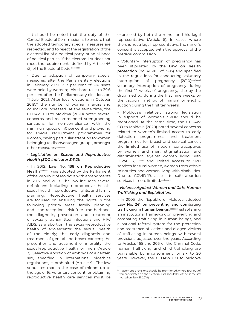- It should be noted that the duty of the Central Electoral Commission is to ensure that the adopted temporary special measures are respected, and to reject the registration of the electoral list of a political party, or an alliance of political parties, if the electoral list does not meet the requirements defined by Article 46 (3) of the Electoral Code.<sup>ccclxxxiii</sup>

- Due to adoption of temporary special measures, after the Parliamentary elections in February 2019, 25.7 per cent of MP seats were held by women; this share rose to 39.6 per cent after the Parliamentary elections on 11 July, 2021. After local elections in October 2019,54 the number of women mayors and councillors increased. At the same time, the CEDAW CO to Moldova (2020) noted several concerns and recommended strengthening sanctions for non-compliance with the minimum quota of 40 per cent, and providing for special recruitment programmes for women, paying particular attention to women belonging to disadvantaged groups, amongst other measures.ccclxxxiv

#### *• Legislation on Sexual and Reproductive Health (SDG indicator 5.6.2):*

- In 2012, **Law No. 138 on Reproductive**  Health<sup>ccclxxxv</sup> was adopted by the Parliament of the Republic of Moldova with amendments in 2017 and 2018. The law includes several definitions including reproductive health, sexual health, reproductive rights, and family planning. Reproductive health services are focused on ensuring the rights in the following priority areas: family planning and contraception; risk-free motherhood; the diagnosis, prevention and treatment of sexually transmitted infections and HIV/ AIDS; safe abortion; the sexual-reproductive health of adolescents; the sexual health of the elderly; the early diagnosis and treatment of genital and breast cancers; the prevention and treatment of infertility; the sexual-reproductive health of men (Article 3). Selective abortion of embryos of a certain sex, specified in international bioethics regulations, is prohibited (Article 9). The law stipulates that in the case of minors up to the age of 16, voluntary consent for obtaining reproductive health care services must be

expressed by both the minor and his legal representative (Article 6). In cases where there is not a legal representative, the minor's consent is accepted with the approval of the medical commission.

- Voluntary interruption of pregnancy has been stipulated by the **Law on health protection** (no. 411-XIII of 1995) and specified in the regulations for conducting voluntary interruption of pregnancy (2010):ccclxxxvi voluntary interruption of pregnancy during the first 12 weeks of pregnancy, also by the drug method during the first nine weeks, by the vacuum method of manual or electric suction during the first ten weeks.

Moldova's relatively strong legislation in support of women's SRHR should be mentioned. At the same time, the CEDAW CO to Moldova (2020) noted several concerns related to women's limited access to early detection programmes and treatment programmes for breast and cervical cancer, the limited use of modern contraceptives by women and men, stigmatization and discrimination against women living with HIV/AIDS.<sup>ccclxxxvii</sup> and limited access to SRH services for rural women, women from ethnic minorities, and women living with disabilities. Due to COVID-19, access to safe abortion services is more limited.<sup>ccclxxxviii</sup>

#### *• Violence Against Women and Girls, Human Trafficking and Exploitation:*

- In 2005, the Republic of Moldova adopted **Law No. 241 on preventing and combating**  trafficking in human beings, <sup>ccclxxxix</sup> establishing an institutional framework on preventing and combating trafficking in human beings, and a national referral system for the protection and assistance of victims and alleged victims of trafficking in human beings, with several provisions adjusted over the years. According to Articles 165 and 206 of the Criminal Code, human trafficking and child trafficking are punishable by imprisonment for six to 20 years. However, the CEDAW CO to Moldova

<sup>54</sup>Placement provisions should be mentioned, where four out of ten candidates on the electoral lists should be of the same sex (voted on July 31, 2019).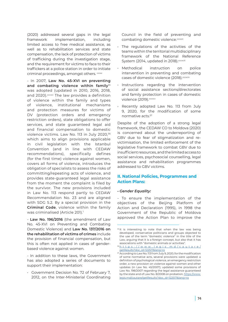(2020) addressed several gaps in the legal framework implementation, including limited access to free medical assistance, as well as to rehabilitation services and state compensation, the lack of protection of victims of trafficking during the investigation stage, and the requirement for victims to face to their traffickers at a police station in order to initiate criminal proceedings, amongst others. <sup>cccxc</sup>

- In 2007, **Law No. 45-XVI on preventing**  and combating violence within family<sup>55</sup> was adopted (updated in 2010, 2016, 2018, and 2020).<sup>cccxci</sup> The law provides a definition of violence within the family and types of violence, institutional mechanisms and protection measures for victims of DV (protection orders and emergency restriction orders), state obligations to offer services, and state guaranteed legal aid and financial compensation to domestic violence victims. Law No. 113 in July 2020,<sup>56</sup> which aims to align provisions applicable in civil legislation with the Istanbul Convention (and in line with CEDAW recommendations), specifically defines (for the first time) violence against women, covers all forms of violence, introduces the obligation of specialists to assess the risks of committing/repeating acts of violence, and provides state-guaranteed legal assistance from the moment the complaint is filed by the survivor. The new provisions included in Law No. 113 respond partly to CEDAW Recommendation No. 23 and are aligned with SDG 5.2. By a special provision in the **Criminal Code**, violence within the family was criminalised (Article 201).<sup>1</sup>

- **Law No. 196/2016** (the amendment of Law No. 45-XVI on Preventing and Combating Domestic Violence) and **Law No. 137/2016 on the rehabilitation of victims of crimes** include the provision of financial compensation, but this is often not applied in cases of genderbased violence against women.

- In addition to these laws, the Government has also adopted a series of documents to support their implementation:

• Government Decision No. 72 of February 7, 2012, on the Inter-Ministerial Coordinating Council in the field of preventing and combating domestic violence.<sup>cccxcii</sup>

- The regulations of the activities of the teams within the territorial multidisciplinary framework of the National Reference System (2014, updated in 2018). CCCXCIII
- Methodical instruction on police intervention in preventing and combating cases of domestic violence (2018). CCCXCiv
- Instructions regarding the intervention of social assistance sections/directorates and family protection in cases of domestic violence (2019). cccxcv
- Recently adopted Law No. 113 from July 9, 2020, for the modification of some normative acts.57

Despite of the adoption of a strong legal framework, the CEDAW CO to Moldova (2020) is concerned about the underreporting of GBV due to fear of stigmatization and revictimisation, the limited enforcement of the legislative framework to combat GBV due to insufficient resources, and the limited access to social services, psychosocial counselling, legal assistance and rehabilitation programmes addressed to GBV victims.

#### **II. National Policies, Programmes and Action Plans:**

#### *• Gender Equality:*

- To ensure the implementation of the objectives of the Beijing Platform of Action and Declaration (1995), in 1998 the Government of the Republic of Moldova approved the Action Plan to improve the

<sup>&</sup>lt;sup>55</sup> It is interesting to note that when the law was being developed, conservative politicians and groups objected to the use of the term "domestic violence" in the title of the Law, arguing that it is a foreign concept, but also that it has associations with "domestic animals or activities".

<sup>56</sup>[https://www.legis.md/cautare/](https://www.legis.md/cautare/getResults?doc_id=122517&lang=ro) [getResults?doc\\_id=122517&lang=ro](https://www.legis.md/cautare/getResults?doc_id=122517&lang=ro)

<sup>57</sup> According to Law No. 113 from July 9, 2020, for the modification of some normative acts, several provisions were updated: a definition of psychological violence, an emergency restriction order, a new provision on violence against women and other updates (in Law No. 45/2007); updated some provisions of Law No. 198/2007 regarding the legal assistance guaranteed by the state and of Law No. 8/2008 on probation. [https://www.](https://www.legis.md/cautare/getResults?doc_id=122517&lang=ro) [legis.md/cautare/getResults?doc\\_id=122517&lang=ro](https://www.legis.md/cautare/getResults?doc_id=122517&lang=ro)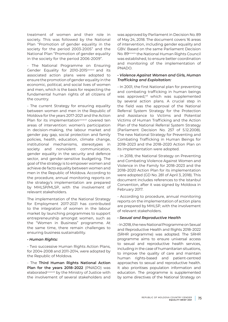treatment of women and their role in society. This was followed by the National Plan "Promotion of gender equality in the society for the period 2003-2005" and the National Plan "Promotion of gender equality in the society for the period 2006-2009".

- The National Programme on Ensuring Gender Equality for 2010-2015<sup>cccxcvi</sup> and its associated action plans were adopted to ensure the promotion of gender equality in the economic, political, and social lives of women and men, which is the basis for respecting the fundamental human rights of all citizens of the country.

- The current Strategy for ensuring equality between women and men in the Republic of Moldova for the years 2017-2021 and the Action Plan for its implementation<sup>cccxcvii</sup> covered ten areas of intervention: women's participation in decision-making, the labour market and gender pay gap, social protection and family policies, health, education, climate change, institutional mechanisms, stereotypes in society and nonviolent communication, gender equality in the security and defence sector, and gender-sensitive budgeting. The goal of the strategy is to empower women and achieve de facto equality between women and men in the Republic of Moldova. According to the procedure, annual monitoring reports on the strategy's implementation are prepared by MHLSP/MLSP, with the involvement of relevant stakeholders.

The implementation of the National Strategy for Employment 2017-2021 has contributed to the integration of women in the labour market by launching programmes to support entrepreneurship amongst women, such as the "Women in Business" programme. At the same time, there remain challenges to ensuring business sustainability.

#### *• Human Rights:*

- Two successive Human Rights Action Plans, for 2004-2008 and 2011-2014, were adopted by the Republic of Moldova.

- The **Third Human Rights National Action Plan for the years 2018–2022** (PNADO) was elaborated<sup>cccxcviii</sup> by the Ministry of Justice with the involvement of several stakeholders and

was approved by Parliament in Decision No. 89 of May 24, 2018. The document covers 16 areas of intervention, including gender equality and GBV. Based on the same Parliament Decision No. 89cccxcix the National Human Rights Council was established, to ensure better coordination and monitoring of the implementation of PNADO.

#### *• Violence Against Women and Girls, Human Trafficking and Exploitation:*

- In 2001, the first National plan for preventing and combating trafficking in human beings was approved,<sup>cd</sup> which was supplemented by several action plans. A crucial step in the field was the approval of the National Referral System Strategy for the Protection and Assistance to Victims and Potential Victims of Human Trafficking and the Action Plan of the National Referral System Strategy (Parliament Decision No. 257 of 5.12.2008). The new National Strategy for Preventing and Combating Trafficking in Human Beings for 2018–2023 and the 2018–2020 Action Plan on its implementation were adopted.

- In 2018, the National Strategy on Preventing and Combating Violence Against Women and Violence in the Family for 2018–2023 and the 2018–2020 Action Plan for its implementation were adopted (GD No. 281 of April 3, 2018). This document includes references to the Istanbul Convention, after it was signed by Moldova in February 2017.

- According to procedure, annual monitoring reports on the implementation of action plans are prepared by MHLSP, with the involvement of relevant stakeholders.

#### *• Sexual and Reproductive Health*

- In 2018, the new National Programme on Sexual and Reproductive Health and Rights 2018–2022 (SRHR programme) was adopted. The SRHR programme aims to ensure universal access to sexual and reproductive health services, including in the case of humanitarian situations, to improve the quality of care and maintain human rights-based and patient-centred approaches to sexual and reproductive health. It also prioritises population information and education. The programme is supplemented by some directives of the National Strategy on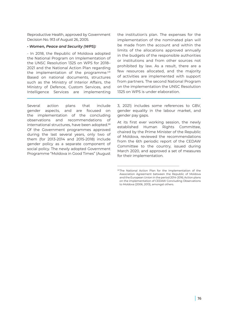Reproductive Health, approved by Government Decision No. 913 of August 26, 2005.

#### *• Women, Peace and Security (WPS):*

- In 2018, the Republic of Moldova adopted the National Program on Implementation of the UNSC Resolution 1325 on WPS for 2018– 2021 and the National Action Plan regarding the implementation of the programme.<sup>cdi</sup> Based on national documents, structures such as the Ministry of Interior Affairs, the Ministry of Defence, Custom Services, and Intelligence Services are implementing

Several action plans that include gender aspects, and are focused on the implementation of the concluding observations and recommendations of international structures, have been adopted.<sup>58</sup> Of the Government programmes approved during the last several years, only two of them (for 2013-2014 and 2015-2018) include gender policy as a separate component of social policy. The newly adopted Government Programme "Moldova in Good Times" (August the institution's plan. The expenses for the implementation of the nominated plan will be made from the account and within the limits of the allocations approved annually in the budgets of the responsible authorities or institutions and from other sources not prohibited by law. As a result, there are a few resources allocated, and the majority of activities are implemented with support from partners. The second National Program on the implementation the UNSC Resolution 1325 on WPS is under elaboration.

3, 2021) includes some references to GBV, gender equality in the labour market, and gender pay gaps.

At its first ever working session, the newly established Human Rights Committee, chaired by the Prime Minister of the Republic of Moldova, reviewed the recommendations from the 6th periodic report of the CEDAW Committee to the country, issued during March 2020, and approved a set of measures for their implementation.

<sup>58</sup> The National Action Plan for the Implementation of the Association Agreement between the Republic of Moldova and the European Union in the period 2014-2016; Action plans on the implementation of CEDAW Concluding Observations to Moldova (2006, 2013), amongst others.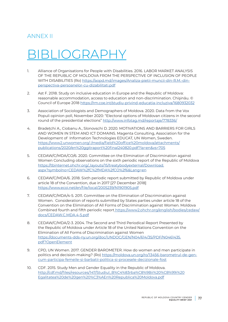### ANNEX II

## BLIOGRAPH

- 1. Alliance of Organisations for People with Disabilities. 2016. LABOR MARKET ANALYSIS OF THE REPUBLIC OF MOLDOVA FROM THE PERSPECTIVE OF INCLUSION OF PEOPLE WITH DISABILITIES (Ro) [https://aopd.md/images/Analiza-pietii-muncii-din-R.M.-din](https://aopd.md/images/Analiza-pietii-muncii-din-R.M.-din-perspectiva-persoanelor-cu-dizabilitati.pd)[perspectiva-persoanelor-cu-dizabilitati.pdf](https://aopd.md/images/Analiza-pietii-muncii-din-R.M.-din-perspectiva-persoanelor-cu-dizabilitati.pd)
- 2. Ast F. 2018. Study on inclusive education in Europe and the Republic of Moldova: reasonable accommodation, access to education and non-discrimination. Chişinău. © Council of Europe 2018 <https://rm.coe.int/studiu-privind-educatia-incluziva/1680932032>
- 3. Association of Sociologists and Demographers of Moldova. 2020. Data from the Vox Populi opinion poll, November 2020: "Electoral options of Moldovan citizens in the second round of the presidential elections" [http://www.infotag.md/reportaje/778336/](http://www.infotag.md/reportaje/778336/ )
- 4. Bradețchi A., Ciobanu A., Slonovschi D. 2020. MOTIVATIONS AND BARRIERS FOR GIRLS AND WOMEN IN STEM AND ICT DOMAINS. Magenta Consulting, Association for the Development of Information Technologies EDUCAT, UN Women, Sweden. [https://www2.unwomen.org/-/media/field%20office%20moldova/attachments/](https://www2.unwomen.org/-/media/field%20office%20moldova/attachments/publications/2020/en%20ggitrap) [publications/2020/en%20ggitraport%20final240820.pdf?la=en&vs=705](https://www2.unwomen.org/-/media/field%20office%20moldova/attachments/publications/2020/en%20ggitrap)
- 5. CEDAW/C/MDA/CO/6. 2020. Committee on the Elimination of Discrimination against Women Concluding observations on the sixth periodic report of the Republic of Moldova [https://tbinternet.ohchr.org/\\_layouts/15/treatybodyexternal/Download.](https://tbinternet.ohchr.org/_layouts/15/treatybodyexternal/Download.aspx?symbolno=CEDAW%2fC%2fMDA%2) [aspx?symbolno=CEDAW%2fC%2fMDA%2fCO%2f6&Lang=en](https://tbinternet.ohchr.org/_layouts/15/treatybodyexternal/Download.aspx?symbolno=CEDAW%2fC%2fMDA%2)
- 6. CEDAW/C/MDA/6. 2018. Sixth periodic report submitted by Republic of Moldova under article 18 of the Convention, due in 2017 [27 December 2018] <https://www.ecoi.net/en/file/local/2005239/N1901905.pdf>
- 7. CEDAW/C/MDA/4-5. 2011. Committee on the Elimination of Discrimination against Women. Consideration of reports submitted by States parties under article 18 of the Convention on the Elimination of All Forms of Discrimination against Women. Moldova Combined fourth and fifth periodic report [https://www2.ohchr.org/english/bodies/cedaw/](https://www2.ohchr.org/english/bodies/cedaw/docs/CEDAW.C.MDA.4-5.pdf) [docs/CEDAW.C.MDA.4-5.pdf](https://www2.ohchr.org/english/bodies/cedaw/docs/CEDAW.C.MDA.4-5.pdf)
- 8. CEDAW/C/MDA/2-3. 2004. The Second and Third Periodical Report Presented by the Republic of Moldova under Article 18 of the United Nations Convention on the Elimination of All Forms of Discrimination against Women [https://documents-dds-ny.un.org/doc/UNDOC/GEN/N04/614/35/PDF/N0461435.](https://documents-dds-ny.un.org/doc/UNDOC/GEN/N04/614/35/PDF/N0461435.pdf?OpenElement) [pdf?OpenElement](https://documents-dds-ny.un.org/doc/UNDOC/GEN/N04/614/35/PDF/N0461435.pdf?OpenElement)
- 9. CPD, UN Women. 2017. GENDER BAROMETER. How do women and men participate in politics and decision-making? (Ro) [https://moldova.un.org/ro/13456-barometrul-de-gen](https://moldova.un.org/ro/13456-barometrul-de-gen-cum-participa-femeile-si-barbatii-politica-si-procesele-decizionale-fost)[cum-participa-femeile-si-barbatii-politica-si-procesele-decizionale-fost](https://moldova.un.org/ro/13456-barometrul-de-gen-cum-participa-femeile-si-barbatii-politica-si-procesele-decizionale-fost)
- 10. CDF. 2015. Study Men and Gender Equality in the Republic of Moldova. [http://cdf.md/files/resources/147/Studiul\\_B%C4%83rba%C8%9Bii%20%C8%99i%20](http://cdf.md/files/resources/147/Studiul_B%C4%83rba%C8%9Bii%20%C8%99i%20Egalitatea%20de%20gen%20%C3) [Egalitatea%20de%20gen%20%C3%AEn%20Republica%20Moldova.pdf](http://cdf.md/files/resources/147/Studiul_B%C4%83rba%C8%9Bii%20%C8%99i%20Egalitatea%20de%20gen%20%C3)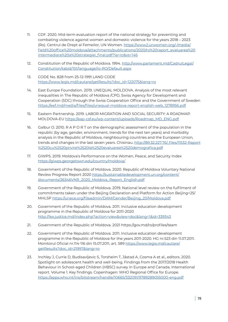- 11. CDF. 2020. Mid-term evaluation report of the national strategy for preventing and combating violence against women and domestic violence for the years 2018 – 2023 (Ro). Centrul de Drept al Femeilor, UN Women. [https://www2.unwomen.org/-/media/](https://www2.unwomen.org/-/media/field%20office%20moldova/attachments/publications/2020/ro%20raport_) [field%20office%20moldova/attachments/publications/2020/ro%20raport\\_evaluarea%20](https://www2.unwomen.org/-/media/field%20office%20moldova/attachments/publications/2020/ro%20raport_) [intermediara%20a%20strategiei\\_final.pdf?la=ro&vs=146](https://www2.unwomen.org/-/media/field%20office%20moldova/attachments/publications/2020/ro%20raport_)
- 12. Constitution of the Republic of Moldova. 1994. [http://www.parlament.md/CadrulLegal/](http://www.parlament.md/CadrulLegal/Constitution/tabid/151/language/ro-RO/Default.aspx) [Constitution/tabid/151/language/ro-RO/Default.aspx](http://www.parlament.md/CadrulLegal/Constitution/tabid/151/language/ro-RO/Default.aspx)
- 13. CODE No. 828 from 25-12-1991 LAND CODE [https://www.legis.md/cautare/getResults?doc\\_id=122075&lang=ro](https://www.legis.md/cautare/getResults?doc_id=122075&lang=ro )
- 14. East Europe Foundation. 2019. UNEQUAL MOLDOVA. Analysis of the most relevant inequalities in The Republic of Moldova /CPD, Swiss Agency for Development and Cooperation (SDC) through the Swiss Cooperation Office and the Government of Sweden [https://eef.md/media/files/files/unequal-moldova-report-english-web\\_1278956.pdf](https://eef.md/media/files/files/unequal-moldova-report-english-web_1278956.pdf )
- 15. Eastern Partnership. 2019. LABOR MIGRATION AND SOCIAL SECURITY: A ROADMAP. MOLDOVA-EU [https://eap-csf.eu/wp-content/uploads/Roadmap\\_MD\\_ENG.pdf](https://eap-csf.eu/wp-content/uploads/Roadmap_MD_ENG.pdf)
- 16. Galbur O. 2010. R A P O R T on the demographic assessment of the population in the republic (by age, gender, environment, trends for the next ten years) and morbidity analysis in the Republic of Moldova, neighbouring countries and the European Union, trends and changes in the last seven years. Chisinau. [http://89.32.227.76/\\_files/11532-Raport](http://89.32.227.76/_files/11532-Raport%2520cu%2520privire%2520la%2520evaluarea%2520demografica.pdf) [%2520cu%2520privire%2520la%2520evaluarea%2520demografica.pdf](http://89.32.227.76/_files/11532-Raport%2520cu%2520privire%2520la%2520evaluarea%2520demografica.pdf)
- 17. GIWPS. 2019. Moldova's Performance on the Women, Peace, and Security Index <https://giwps.georgetown.edu/country/moldova/>
- 18. Government of the Republic of Moldova. 2020. Republic of Moldova Voluntary National Review Progress Report 2020 [https://sustainabledevelopment.un.org/content/](https://sustainabledevelopment.un.org/content/documents/26346VNR_2020_Moldova_Report_English.pdf) [documents/26346VNR\\_2020\\_Moldova\\_Report\\_English.pdf](https://sustainabledevelopment.un.org/content/documents/26346VNR_2020_Moldova_Report_English.pdf)
- 19. Government of the Republic of Moldova. 2019. National level review on the fulfilment of commitments taken under the Beijing Declaration and Platform for Action Beijing+25/ MHLSP [https://unece.org/fileadmin/DAM/Gender/Beijing\\_20/Moldova.pdf](https://unece.org/fileadmin/DAM/Gender/Beijing_20/Moldova.pdf)
- 20. Government of the Republic of Moldova. 2011. Inclusive education development programme in the Republic of Moldova for 2011-2020 <http://lex.justice.md/index.php?action=view&view=doc&lang=1&id=339343>
- 21. Government of the Republic of Moldova. 2021 https://gov.md/ro/profiles/team
- 22. Government of the Republic of Moldova. 2011. Inclusive education development programme in the Republic of Moldova for the years 2011-2020. HG nr.523 din 11.07.2011. Monitorul Oficial nr.114-116 din 15.07.2011, art. 589 [https://www.legis.md/cautare/](https://www.legis.md/cautare/getResults?doc_id=21997&lang=ro) [getResults?doc\\_id=21997&lang=ro](https://www.legis.md/cautare/getResults?doc_id=21997&lang=ro)
- 23. Inchley J, Currie D, Budisavljevic S, Torsheim T, Jåstad A, Cosma A et al., editors. 2020. Spotlight on adolescent health and well-being. Findings from the 2017/2018 Health Behaviour in School-aged Children (HBSC) survey in Europe and Canada. International report. Volume 1. Key findings. Copenhagen: WHO Regional Office for Europe. <https://apps.who.int/iris/bitstream/handle/10665/332091/9789289055000-eng.pdf>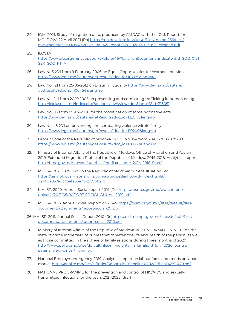- 24. IOM. 2021. Study of migration data, produced by GMDAC with the IOM. Report for MOLDOVA 22 April 2021 (Ro) [https://moldova.iom.int/sites/g/files/tmzbdl266/files/](https://moldova.iom.int/sites/g/files/tmzbdl266/files/documents/MOLDOVA%20GMDAC%20Report%202021_RO-130521-cleaned.pdf) [documents/MOLDOVA%20GMDAC%20Report%202021\\_RO-130521-cleaned.pdf](https://moldova.iom.int/sites/g/files/tmzbdl266/files/documents/MOLDOVA%20GMDAC%20Report%202021_RO-130521-cleaned.pdf)
- 25. ILOSTAT [https://www.ilo.org/shinyapps bulkexplorer46/?lang=en&segment=indicator&id=SDG\\_0131\\_](https://www.ilo.org/shinyapps bulkexplorer46/?lang=en&segment=indicator&id=SDG_0131_SEX_SOC_RT_A) [SEX\\_SOC\\_RT\\_A](https://www.ilo.org/shinyapps bulkexplorer46/?lang=en&segment=indicator&id=SDG_0131_SEX_SOC_RT_A)
- 26. Law No5-XVI from 9 February 2006 on Equal Opportunities for Women and Men [https://www.legis.md/cautare/getResults?doc\\_id=107179&lang=ro](https://www.legis.md/cautare/getResults?doc_id=107179&lang=ro)
- 27. Law No. 121 from 25-05-2012 on Ensuring Equality [https://www.legis.md/cautare/](https://www.legis.md/cautare/getResults?doc_id=106454&lang=ro ) [getResults?doc\\_id=106454&lang=ro](https://www.legis.md/cautare/getResults?doc_id=106454&lang=ro )
- 28. Law No. 241 from 20.10.2005 on preventing and combating trafficking in human beings <http://lex.justice.md/index.php?action=view&view=doc&lang=1&id=313051>
- 29. Law No. 113 from 09-07-2020 for the modification of some normative acts [https://www.legis.md/cautare/getResults?doc\\_id=122517&lang=ro](https://www.legis.md/cautare/getResults?doc_id=122517&lang=ro)
- 30. Law No. 45-XVI on preventing and combating violence within family [https://www.legis.md/cautare/getResults?doc\\_id=110200&lang=ro](https://www.legis.md/cautare/getResults?doc_id=110200&lang=ro)
- 31. Labour Code of the Republic of Moldova. CODE No. 154 from 28-03-2003, art.299 [https://www.legis.md/cautare/getResults?doc\\_id=126038&lang=ro](https://www.legis.md/cautare/getResults?doc_id=126038&lang=ro)
- 32. Ministry of Internal Affairs of the Republic of Moldova, Office of Migration and Asylum. 2019. Extended Migration Profile of the Republic of Moldova 2014-2018. Analytical report [http://bma.gov.md/sites/default/files/media/ra\\_pme\\_2014-2018\\_0.pdf](http://bma.gov.md/sites/default/files/media/ra_pme_2014-2018_0.pdf)
- 33. MHLSP. 2021. COVID-19 in the Republic of Moldova: current situation (Ro) [https://gismoldova.maps.arcgis.com/apps/opsdashboard/index.html#/](https://gismoldova.maps.arcgis.com/apps/opsdashboard/index.html#/d274da857ed345efa66e1fbc959b021b) [d274da857ed345efa66e1fbc959b021b](https://gismoldova.maps.arcgis.com/apps/opsdashboard/index.html#/d274da857ed345efa66e1fbc959b021b)
- 34. MHLSP. 2020. Annual Social report 2019 (Ro) [https://msmps.gov.md/wp-content/](https://msmps.gov.md/wp-content/uploads/2021/05/RAPORT-SOCIAL-ANUAL_2019.pdf) [uploads/2021/05/RAPORT-SOCIAL-ANUAL\\_2019.pdf](https://msmps.gov.md/wp-content/uploads/2021/05/RAPORT-SOCIAL-ANUAL_2019.pdf)
- 35. MHLSP. 2013. Annual Social Report 2012 (Ro) [https://msmps.gov.md/sites/default/files/](https://msmps.gov.md/sites/default/files/document/attachments/raport-social-2012.pdf) [document/attachments/raport-social-2012.pdf](https://msmps.gov.md/sites/default/files/document/attachments/raport-social-2012.pdf)
- 36. MHLSP. 2011. Annual Social Report 2010 (Ro[\)https://old.msmps.gov.md/sites/default/files/](https://old.msmps.gov.md/sites/default/files/document/attachments/raport-social-2010.pdf) [document/attachments/raport-social-2010.pdf](https://old.msmps.gov.md/sites/default/files/document/attachments/raport-social-2010.pdf)
- 36. Ministry of Internal Affairs of the Republic of Moldova. 2020. NFORMATION NOTE on the state of crime in the field of crimes that threaten the life and health of the person, as well as those committed in the sphere of family relations during three months of 2020 [http://www.politia.md/sites/default/files/ni\\_violenta\\_in\\_familie\\_3\\_luni\\_2020\\_pentru\\_](http://www.politia.md/sites/default/files/ni_violenta_in_familie_3_luni_2020_pentru_pagina_web-konvertirovan.pdf) [pagina\\_web-konvertirovan.pdf](http://www.politia.md/sites/default/files/ni_violenta_in_familie_3_luni_2020_pentru_pagina_web-konvertirovan.pdf)
- 37. National Employment Agency. 2019. Analytical report on labour force and trends on labour market <https://anofm.md/files/elfinder/Raportul%20analitic%202019final%2811%29.pdf>
- 38. NATIONAL PROGRAMME for the prevention and control of HIV/AIDS and sexually transmitted infections for the years 2021-2025 (draft)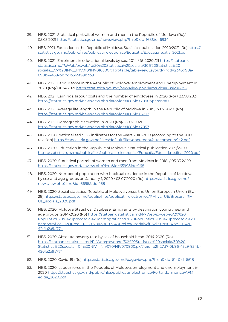- 39. NBS. 2021. Statistical portrait of women and men in the Republic of Moldova (Ro)/ 05.03.2021 [https://statistica.gov.md/newsview.php?l=ro&idc=168&id=6934](https://statistica.gov.md/newsview.php?l=ro&idc=168&id=6934 )
- 40. NBS. 2021. Education in the Republic of Moldova. Statistical publication 2020/2021 (Ro) [https://](https://statistica.gov.md/public/files/publicatii_electronice/Educatia/Educatia_editia_2021.pdf ) [statistica.gov.md/public/files/publicatii\\_electronice/Educatia/Educatia\\_editia\\_2021.pdf](https://statistica.gov.md/public/files/publicatii_electronice/Educatia/Educatia_editia_2021.pdf )
- 40. NBS. 2021. Enrolment in educational levels by sex, 2014 / 15-2020 /21 [https://statbank.](https://statbank.statistica.md/PxWeb/pxweb/ro/30%20Statistica%20sociala/30%20Statistica%20sociala__0) [statistica.md/PxWeb/pxweb/ro/30%20Statistica%20sociala/30%20Statistica%20](https://statbank.statistica.md/PxWeb/pxweb/ro/30%20Statistica%20sociala/30%20Statistica%20sociala__0) [sociala\\_\\_07%20INV\\_\\_INV010/INV010300rcl.px/table/tableViewLayout1/?rxid=2345d98a-](https://statbank.statistica.md/PxWeb/pxweb/ro/30%20Statistica%20sociala/30%20Statistica%20sociala__0)[890b-4459-bb1f-9b565f99b3b9](https://statbank.statistica.md/PxWeb/pxweb/ro/30%20Statistica%20sociala/30%20Statistica%20sociala__0)
- 41. NBS. 2021. Labour force in the Republic of Moldova: employment and unemployment in 2020 (Ro)/ 01.04.2021 [https://statistica.gov.md/newsview.php?l=ro&idc=168&id=6952](https://statistica.gov.md/newsview.php?l=ro&idc=168&id=6952 )
- 42. NBS. 2021. Earnings, labour costs and the number of employees in 2020 (Ro) / 23.08.2021 <https://statistica.gov.md/newsview.php?l=ro&idc=168&id=7090&parent=0>
- 43. NBS. 2021. Average life length in the Republic of Moldova in 2019, 17.07.2020. (Ro) <https://statistica.gov.md/newsview.php?l=ro&idc=168&id=6703>
- 44. NBS. 2021. Demographic situation in 2020 (Ro)/ 22.07.2021 <https://statistica.gov.md/newsview.php?l=ro&idc=168&id=7057>
- 45. NBS. 2020. Nationalised SDG indicators for the years 2010-2018 (according to the 2019 revision)<https://cancelaria.gov.md/sites/default/files/document/attachments/142.pdf>
- 46. NBS. 2020. Education in the Republic of Moldova. Statistical publication 2019/2020 [https://statistica.gov.md/public/files/publicatii\\_electronice/Educatia/Educatia\\_editia\\_2020.pdf](https://statistica.gov.md/public/files/publicatii_electronice/Educatia/Educatia_editia_2020.pdf)
- 47. NBS. 2020. Statistical portrait of women and men from Moldova in 2018. / 05.03.2020 <https://statistica.gov.md/libview.php?l=ro&id=6599&idc=168>
- 48. NBS. 2020. Number of population with habitual residence in the Republic of Moldova by sex and age groups on January 1, 2020 / 03.07.2020 (Ro) [https://statistica.gov.md/](https://statistica.gov.md/newsview.php?l=ro&id=6695&idc=168) [newsview.php?l=ro&id=6695&idc=168](https://statistica.gov.md/newsview.php?l=ro&id=6695&idc=168)
- 49. NBS. 2020. Social statistics. Republic of Moldova versus the Union European Union (EU-28) [https://statistica.gov.md/public/files/publicatii\\_electronice/RM\\_vs.\\_UE/Brosura\\_RM\\_](https://statistica.gov.md/public/files/publicatii_electronice/RM_vs._UE/Brosura_RM_UE_sociala_2020.pdf) [UE\\_sociala\\_2020.pdf](https://statistica.gov.md/public/files/publicatii_electronice/RM_vs._UE/Brosura_RM_UE_sociala_2020.pdf)
- 50. NBS. 2020. Moldova Statistical Database. Emigrants by destination country, sex and age groups, 2014-2020 (Ro) [https://statbank.statistica.md/PxWeb/pxweb/ro/20%20](https://statbank.statistica.md/PxWeb/pxweb/ro/20%20Populatia%20si%20procesele%20demografice/20%20Pop) [Populatia%20si%20procesele%20demografice/20%20Populatia%20si%20procesele%20](https://statbank.statistica.md/PxWeb/pxweb/ro/20%20Populatia%20si%20procesele%20demografice/20%20Pop) [demografice\\_\\_POPrec\\_\\_POP070/POP070400rcl.px/?rxid=b2ff27d7-0b96-43c9-934b-](https://statbank.statistica.md/PxWeb/pxweb/ro/20%20Populatia%20si%20procesele%20demografice/20%20Pop)[42e1a2a9a774](https://statbank.statistica.md/PxWeb/pxweb/ro/20%20Populatia%20si%20procesele%20demografice/20%20Pop)
- 51. NBS. 2020. Absolute poverty rate by sex of household head, 2014-2020 (Ro) [https://statbank.statistica.md/PxWeb/pxweb/ro/30%20Statistica%20sociala/30%20](https://statbank.statistica.md/PxWeb/pxweb/ro/30%20Statistica%20sociala/30%20Statistica%20sociala__0) [Statistica%20sociala\\_\\_04%20NIV\\_\\_NIV070/NIV070900.px/?rxid=b2ff27d7-0b96-43c9-934b-](https://statbank.statistica.md/PxWeb/pxweb/ro/30%20Statistica%20sociala/30%20Statistica%20sociala__0)[42e1a2a9a774](https://statbank.statistica.md/PxWeb/pxweb/ro/30%20Statistica%20sociala/30%20Statistica%20sociala__0)
- 52. NBS. 2020. Сovid-19 (Ro) [https://statistica.gov.md/pageview.php?l=en&idc=614&id=6618](https://statistica.gov.md/pageview.php?l=en&idc=614&id=6618 )
- 53. NBS. 2020. Labour force in the Republic of Moldova: employment and unemployment in 2020 [https://statistica.gov.md/public/files/publicatii\\_electronice/Forta\\_de\\_munca/AFM\\_](https://statistica.gov.md/public/files/publicatii_electronice/Forta_de_munca/AFM_editia_2020.pdf) [editia\\_2020.pdf](https://statistica.gov.md/public/files/publicatii_electronice/Forta_de_munca/AFM_editia_2020.pdf)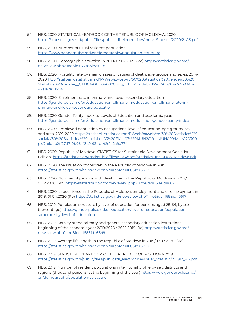- 54. NBS. 2020. STATISTICAL YEARBOOK OF THE REPUBLIC OF MOLDOVA, 2020 [https://statistica.gov.md/public/files/publicatii\\_electronice/Anuar\\_Statistic/2020/2\\_AS.pdf](https://statistica.gov.md/public/files/publicatii_electronice/Anuar_Statistic/2020/2_AS.pdf)
- 55. NBS, 2020. Number of usual resident population. [https://www.genderpulse.md/en/demography/population-structure](https://www.genderpulse.md/en/demography/population-structure )
- 56. NBS. 2020. Demographic situation in 2019/ 03.07.2020 (Ro) [https://statistica.gov.md/](https://statistica.gov.md/newsview.php?l=ro&id=6696&idc=168) [newsview.php?l=ro&id=6696&idc=168](https://statistica.gov.md/newsview.php?l=ro&id=6696&idc=168)
- 57. NBS. 2020. Mortality rate by main classes of causes of death, age groups and sexes, 2014- 2020 [http://statbank.statistica.md/PxWeb/pxweb/ro/50%20Statistica%20gender/50%20](http://statbank.statistica.md/PxWeb/pxweb/ro/50%20Statistica%20gender/50%20Statistica%20gender__GEN0) [Statistica%20gender\\_\\_GEN04/GEN040890pop\\_rcl.px/?rxid=b2ff27d7-0b96-43c9-934b-](http://statbank.statistica.md/PxWeb/pxweb/ro/50%20Statistica%20gender/50%20Statistica%20gender__GEN0)[42e1a2a9a774](http://statbank.statistica.md/PxWeb/pxweb/ro/50%20Statistica%20gender/50%20Statistica%20gender__GEN0)
- 58. NBS. 2020. Enrolment rate in primary and lower secondary education [https://genderpulse.md/en/education/enrollment-in-education/enrollment-rate-in](https://genderpulse.md/en/education/enrollment-in-education/enrollment-rate-in-primary-and-lower-sec)[primary-and-lower-secondary-education](https://genderpulse.md/en/education/enrollment-in-education/enrollment-rate-in-primary-and-lower-sec)
- 59. NBS. 2020. Gender Parity Index by Levels of Education and academic years <https://genderpulse.md/en/education/enrollment-in-education/gender-parity-index>
- 60. NBS. 2020. Employed population by occupations, level of education, age groups, sex and area, 2019-2020 [https://statbank.statistica.md/PxWeb/pxweb/en/30%20Statistica%20](https://statbank.statistica.md/PxWeb/pxweb/en/30%20Statistica%20sociala/30%20Statistica%20sociala__0) [sociala/30%20Statistica%20sociala\\_\\_03%20FM\\_\\_03%20MUN2019\\_\\_MUN020/MUN120300.](https://statbank.statistica.md/PxWeb/pxweb/en/30%20Statistica%20sociala/30%20Statistica%20sociala__0) [px/?rxid=b2ff27d7-0b96-43c9-934b-42e1a2a9a774](https://statbank.statistica.md/PxWeb/pxweb/en/30%20Statistica%20sociala/30%20Statistica%20sociala__0)
- 61. NBS. 2020. Republic of Moldova. STATISTICS for Sustainable Development Goals. Ist Edition. [https://statistica.gov.md/public/files/SDG/docs/Statistics\\_for\\_SDGS\\_Moldova.pdf](https://statistica.gov.md/public/files/SDG/docs/Statistics_for_SDGS_Moldova.pdf)
- 62. NBS. 2020. The situation of children in the Republic of Moldova in 2019 <https://statistica.gov.md/newsview.php?l=ro&idc=168&id=6662>
- 63. NBS. 2020. Number of persons with disabilities in the Republic of Moldova in 2019/ 01.12.2020. (Ro)<https://statistica.gov.md/newsview.php?l=ro&idc=168&id=6827>
- 64. NBS. 2020. Labour force in the Republic of Moldova: employment and unemployment in 2019, 01.04.2020 (Ro)<https://statistica.gov.md/newsview.php?l=ro&idc=168&id=6617>
- 65. NBS. 2019. Population structure by level of education for persons aged 25-64, by sex (percentage) [https://genderpulse.md/en/education/level-of-education/population](https://genderpulse.md/en/education/level-of-education/population-structure-by-level-of-education)[structure-by-level-of-education](https://genderpulse.md/en/education/level-of-education/population-structure-by-level-of-education)
- 66. NBS. 2019. Activity of the primary and general secondary education institutions, beginning of the academic year 2019/2020 / 26.12.2019 (Ro) [https://statistica.gov.md/](https://statistica.gov.md/newsview.php?l=ro&idc=168&id=6549) [newsview.php?l=ro&idc=168&id=6549](https://statistica.gov.md/newsview.php?l=ro&idc=168&id=6549)
- 67. NBS. 2019. Average life length in the Republic of Moldova in 2019/ 17.07.2020. (Ro) <https://statistica.gov.md/newsview.php?l=ro&idc=168&id=6703>
- 68. NBS. 2019. STATISTICAL YEARBOOK OF THE REPUBLIC OF MOLDOVA 2019 [https://statistica.gov.md/public/files/publicatii\\_electronice/Anuar\\_Statistic/2019/2\\_AS.pdf](https://statistica.gov.md/public/files/publicatii_electronice/Anuar_Statistic/2019/2_AS.pdf)
- 69. NBS. 2019. Number of resident populations in territorial profile by sex, districts and regions (thousand persons, at the beginning of the year) [https://www.genderpulse.md/](https://www.genderpulse.md/en/demography/population-structure ) [en/demography/population-structure](https://www.genderpulse.md/en/demography/population-structure )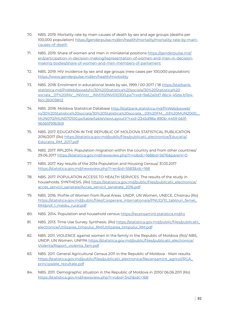- 70. NBS. 2019. Mortality rate by main causes of death by sex and age groups (deaths per 100,000 population) [https://genderpulse.md/en/health/mortality/mortality-rate-by-main](https://genderpulse.md/en/health/mortality/mortality-rate-by-main-causes-of-death)[causes-of-death](https://genderpulse.md/en/health/mortality/mortality-rate-by-main-causes-of-death)
- 71. NBS. 2019. Share of women and men in ministerial positions [https://genderpulse.md/](https://genderpulse.md/en/participation-in-decision-making/representation-of-women-and-men-in-decisi) [en/participation-in-decision-making/representation-of-women-and-men-in-decision](https://genderpulse.md/en/participation-in-decision-making/representation-of-women-and-men-in-decisi)[making-bodies/share-of-women-and-men-members-of-parliament](https://genderpulse.md/en/participation-in-decision-making/representation-of-women-and-men-in-decisi)
- 72. NBS. 2019. HIV incidence by sex and age groups (new cases per 100,000 population) <https://www.genderpulse.md/en/health/morbidity>
- 73. NBS. 2018. Enrolment in educational levels by sex, 1999 / 00-2017 / 18 [https://statbank.](https://statbank.statistica.md/PxWeb/pxweb/ro/30%20Statistica%20sociala/30%20Statistica%20sociala__0) [statistica.md/PxWeb/pxweb/ro/30%20Statistica%20sociala/30%20Statistica%20](https://statbank.statistica.md/PxWeb/pxweb/ro/30%20Statistica%20sociala/30%20Statistica%20sociala__0) [sociala\\_\\_07%20INV\\_\\_INVintr\\_\\_INV010/INV010300.px/?rxid=9a62a0d7-86c4-45da-b7e4](https://statbank.statistica.md/PxWeb/pxweb/ro/30%20Statistica%20sociala/30%20Statistica%20sociala__0) [fecc26003802](https://statbank.statistica.md/PxWeb/pxweb/ro/30%20Statistica%20sociala/30%20Statistica%20sociala__0)
- 74. NBS. 2018. Moldova Statistical Database [http://statbank.statistica.md/PxWeb/pxweb/](http://statbank.statistica.md/PxWeb/pxweb/ro/30%20Statistica%20sociala/30%20Statistica%20sociala__03) [ro/30%20Statistica%20sociala/30%20Statistica%20sociala\\_\\_03%20FM\\_\\_03%20MUN2000\\_\\_](http://statbank.statistica.md/PxWeb/pxweb/ro/30%20Statistica%20sociala/30%20Statistica%20sociala__03) [MUN070/MUN070100.px/table/tableViewLayout1/?rxid=2345d98a-890b-4459-bb1f-](http://statbank.statistica.md/PxWeb/pxweb/ro/30%20Statistica%20sociala/30%20Statistica%20sociala__03)[9b565f99b3b9](http://statbank.statistica.md/PxWeb/pxweb/ro/30%20Statistica%20sociala/30%20Statistica%20sociala__03)
- 75. NBS. 2017. EDUCATION IN THE REPUBLIC OF MOLDOVA STATISTICAL PUBLICATION 2016/2017 (Ro) [https://statistica.gov.md/public/files/publicatii\\_electronice/Educatia/](https://statistica.gov.md/public/files/publicatii_electronice/Educatia/Educatia_RM_2017.pdf) [Educatia\\_RM\\_2017.pdf](https://statistica.gov.md/public/files/publicatii_electronice/Educatia/Educatia_RM_2017.pdf)
- 76. NBS. 2017. RPL2014: Population migration within the country and from other countries/ 29.06.2017 <https://statistica.gov.md/newsview.php?l=ro&idc=168&id=5676&parent=0>
- 77. NBS. 2017. Key results of the 2014 Population and Housing Census/ 31.03.2017 <https://statistica.gov.md/newsview.php?l=en&id=5583&idc=168>
- 78. NBS. 2017. POPULATION ACCESS TO HEALTH SERVICES. The results of the study in households. SYNTHESIS. (Ro) [https://statistica.gov.md/public/files/publicatii\\_electronice/](https://statistica.gov.md/public/files/publicatii_electronice/acces_servicii_sanatate/Acces_servicii) [acces\\_servicii\\_sanatate/Acces\\_servicii\\_sanatate\\_2016.pdf](https://statistica.gov.md/public/files/publicatii_electronice/acces_servicii_sanatate/Acces_servicii)
- 79. NBS. 2016. Profile of Women from Rural Areas. UNDP, UN Women, UNECE, Chisinau (Ro) [https://statistica.gov.md/public/files/Cooperare\\_internationala/PNUD/10\\_tablouri\\_femei\\_](https://statistica.gov.md/public/files/Cooperare_internationala/PNUD/10_tablouri_femei_RM/prof_1_mediu_rural.pdf) [RM/prof\\_1\\_mediu\\_rural.pdf](https://statistica.gov.md/public/files/Cooperare_internationala/PNUD/10_tablouri_femei_RM/prof_1_mediu_rural.pdf)
- 80. NBS. 2014. Population and household census<https://recensamint.statistica.md/ro>
- 81. NBS. 2013. Time Use Survey. Synthesis. (Ro) [https://statistica.gov.md/public/files/publicatii\\_](https://statistica.gov.md/public/files/publicatii_electronice/Utilizarea_timpului_RM/Utilizarea_timpului_RM.pdf) [electronice/Utilizarea\\_timpului\\_RM/Utilizarea\\_timpului\\_RM.pdf](https://statistica.gov.md/public/files/publicatii_electronice/Utilizarea_timpului_RM/Utilizarea_timpului_RM.pdf)
- 82. NBS. 2011. VIOLENCE against women in the family in the Republic of Moldova (Ro)/ NBS, UNDP, UN Women, UNFPA [https://statistica.gov.md/public/files/publicatii\\_electronice/](https://statistica.gov.md/public/files/publicatii_electronice/Violenta/Raport_violenta_fam.pdf) [Violenta/Raport\\_violenta\\_fam.pdf](https://statistica.gov.md/public/files/publicatii_electronice/Violenta/Raport_violenta_fam.pdf)
- 83. NBS. 2011. General Agricultural Census 2011 in the Republic of Moldova Main results. [https://statistica.gov.md/public/files/publicatii\\_electronice/Recensamint\\_agricol/RGA\\_](https://statistica.gov.md/public/files/publicatii_electronice/Recensamint_agricol/RGA_principalele_rezultate.pdf) [principalele\\_rezultate.pdf](https://statistica.gov.md/public/files/publicatii_electronice/Recensamint_agricol/RGA_principalele_rezultate.pdf)
- 84. NBS. 2011. Demographic situation in the Republic of Moldova in 2010/ 06.06.2011 (Ro) <https://statistica.gov.md/newsview.php?l=ro&id=3421&idc=168>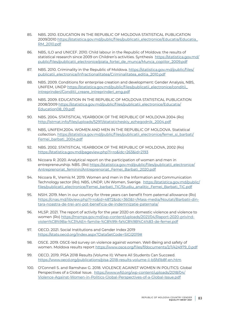- 85. NBS. 2010. EDUCATION IN THE REPUBLIC OF MOLDOVA STATISTICAL PUBLICATION 2009/2010 [https://statistica.gov.md/public/files/publicatii\\_electronice/Educatia/Educatia\\_](https://statistica.gov.md/public/files/publicatii_electronice/Educatia/Educatia_RM_2010.pdf) [RM\\_2010.pdf](https://statistica.gov.md/public/files/publicatii_electronice/Educatia/Educatia_RM_2010.pdf)
- 86. NBS, ILO and UNICEF. 2010. Child labour in the Republic of Moldova: the results of statistical research since 2009 on Children's activities. Synthesis [https://statistica.gov.md/](https://statistica.gov.md/public/files/publicatii_electronice/piata_fortei_de_munca/Munca_copiilor_2009.pdf) [public/files/publicatii\\_electronice/piata\\_fortei\\_de\\_munca/Munca\\_copiilor\\_2009.pdf](https://statistica.gov.md/public/files/publicatii_electronice/piata_fortei_de_munca/Munca_copiilor_2009.pdf)
- 87. NBS. 2010. Criminality in the Republic of Moldova. [https://statistica.gov.md/public/files/](https://statistica.gov.md/public/files/publicatii_electronice/Infractionalitatea/Criminalitatea_editia_2010.pdf) [publicatii\\_electronice/Infractionalitatea/Criminalitatea\\_editia\\_2010.pdf](https://statistica.gov.md/public/files/publicatii_electronice/Infractionalitatea/Criminalitatea_editia_2010.pdf)
- 88. NBS. 2009. Conditions for enterprise creation and development: Gender Analysis, NBS, UNIFEM, UNDP [https://statistica.gov.md/public/files/publicatii\\_electronice/conditii\\_](https://statistica.gov.md/public/files/publicatii_electronice/conditii_intreprinderi/Conditii_creare_intreprinderi_eng.pdf) [intreprinderi/Conditii\\_creare\\_intreprinderi\\_eng.pdf](https://statistica.gov.md/public/files/publicatii_electronice/conditii_intreprinderi/Conditii_creare_intreprinderi_eng.pdf)
- 89. NBS. 2009. EDUCATION IN THE REPUBLIC OF MOLDOVA STATISTICAL PUBLICATION 2008/2009 [https://statistica.gov.md/public/files/publicatii\\_electronice/Educatia/](https://statistica.gov.md/public/files/publicatii_electronice/Educatia/Education08_09.pdf) [Education08\\_09.pdf](https://statistica.gov.md/public/files/publicatii_electronice/Educatia/Education08_09.pdf)
- 90. NBS. 2004. STATISTICAL YEARBOOK OF THE REPUBLIC OF MOLDOVA 2004 (Ro) [http://istmat.info/files/uploads/52911/statisticheskiy\\_ezhegodnik\\_2004.pdf](http://istmat.info/files/uploads/52911/statisticheskiy_ezhegodnik_2004.pdf)
- 91. NBS, UNIFEM.2004. WOMEN AND MEN IN THE REPUBLIC OF MOLDOVA. Statistical collection. [https://statistica.gov.md/public/files/publicatii\\_electronice/femei\\_si\\_barbati/](https://statistica.gov.md/public/files/publicatii_electronice/femei_si_barbati/Femei_barbati_2004.pdf) [Femei\\_barbati\\_2004.pdf](https://statistica.gov.md/public/files/publicatii_electronice/femei_si_barbati/Femei_barbati_2004.pdf)
- 92. NBS. 2002. STATISTICAL YEARBOOK OF THE REPUBLIC OF MOLDOVA, 2002 (Ro) <https://statistica.gov.md/pageview.php?l=ro&idc=263&id=2193>
- 93. Nicoara R. 2020. Analytical report on the participation of women and men in entrepreneurship. NBS. (Ro) [https://statistica.gov.md/public/files/publicatii\\_electronice/](https://statistica.gov.md/public/files/publicatii_electronice/Antreprenoriat_feminin/Antreprenoriat_Femei_Barbati_2020.pdf) [Antreprenoriat\\_feminin/Antreprenoriat\\_Femei\\_Barbati\\_2020.pdf](https://statistica.gov.md/public/files/publicatii_electronice/Antreprenoriat_feminin/Antreprenoriat_Femei_Barbati_2020.pdf)
- 94. Nicoara R., Vremis M. 2019. Women and men in the Information and Communication Technology sector (Ro). NBS, UNDP, UN Women, Sverige. [https://statistica.gov.md/public/](https://statistica.gov.md/public/files/publicatii_electronice/Femei_barbati_TIC/Studiu_analitic_Femei_Barbati_TIC.pdf) [files/publicatii\\_electronice/Femei\\_barbati\\_TIC/Studiu\\_analitic\\_Femei\\_Barbati\\_TIC.pdf](https://statistica.gov.md/public/files/publicatii_electronice/Femei_barbati_TIC/Studiu_analitic_Femei_Barbati_TIC.pdf)
- 95. NSIH. 2019. Men in our country for three years can benefit from paternal allowance (Ro) [https://cnas.md/libview.php?l=ro&id=4872&idc=360&t=/Mass-media/Noutati/Barbatii-din](https://cnas.md/libview.php?l=ro&id=4872&idc=360&t=/Mass-media/Noutati/Barbatii-din-tara-noastra-de-)[tara-noastra-de-trei-ani-pot-beneficia-de-indemnizatie-paternala/](https://cnas.md/libview.php?l=ro&id=4872&idc=360&t=/Mass-media/Noutati/Barbatii-din-tara-noastra-de-)
- 96. MLSP. 2021. The report of activity for the year 2020 on domestic violence and violence to women (Ro) [https://msmps.gov.md/wp-content/uploads/2021/04/Raport-2020-privind](https://msmps.gov.md/wp-content/uploads/2021/04/Raport-2020-privind-violen%C8%9Ba-%C3%AEn-familie-%C8%99i-fa%C8%9B%C4%83-de-femei.pdf)[violen%C8%9Ba-%C3%AEn-familie-%C8%99i-fa%C8%9B%C4%83-de-femei.pdf](https://msmps.gov.md/wp-content/uploads/2021/04/Raport-2020-privind-violen%C8%9Ba-%C3%AEn-familie-%C8%99i-fa%C8%9B%C4%83-de-femei.pdf)
- 97. OECD. 2021. Social Institutions and Gender Index 2019 <https://stats.oecd.org/Index.aspx?DataSetCode=SIGI2019#>
- 98. OSCE. 2019. OSCE-led survey on violence against women. Well-Being and safety of women. Moldova results report [https://www.osce.org/files/f/documents/2/1/424979\\_0.pdf](https://www.osce.org/files/f/documents/2/1/424979_0.pdf)
- 99. OECD. 2019. PISA 2018 Results (Volume II): Where All Students Can Succeed. <https://www.oecd.org/publications/pisa-2018-results-volume-ii-b5fd1b8f-en.htm>
- 100. O'Connell S. and Ramshaw G. 2018. VIOLENCE AGAINST WOMEN IN POLITICS: Global Perspectives of a Global Issue. [https://www.wfd.org/wp-content/uploads/2018/04/](https://www.wfd.org/wp-content/uploads/2018/04/Violence-Against-Women-in-Politics-Global-Perspectives-of-a-Global-Issue.pdf) [Violence-Against-Women-in-Politics-Global-Perspectives-of-a-Global-Issue.pdf](https://www.wfd.org/wp-content/uploads/2018/04/Violence-Against-Women-in-Politics-Global-Perspectives-of-a-Global-Issue.pdf)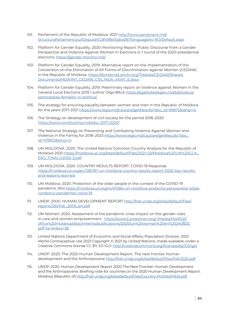- 101. Parliament of the Republic of Moldova. 2021 [http://www.parlament.md/](http://www.parlament.md/StructuraParlamentului/Deputa%C8%9Bii/tabid/87/language/ro-RO/Default.aspx) [StructuraParlamentului/Deputa%C8%9Bii/tabid/87/language/ro-RO/Default.aspx](http://www.parlament.md/StructuraParlamentului/Deputa%C8%9Bii/tabid/87/language/ro-RO/Default.aspx)
- 102. Platform for Gender Equality. 2020. Monitoring Report: Public Discourse from a Gender Perspective and Violence Against Women in Elections in 1 round of the 2020 presidential elections. <https://gender.monitor.md/>
- 103. Platform for Gender Equality. 2019. Alternative report on the implementation of the Convention on the Elimination of All Forms of Discrimination against Women (CEDAW) in the Republic of Moldova. [https://tbinternet.ohchr.org/Treaties/CEDAW/Shared](https://tbinternet.ohchr.org/Treaties/CEDAW/Shared Documents/MDA/INT_CEDAW_CSS_MDA_41047_E.docx)  [Documents/MDA/INT\\_CEDAW\\_CSS\\_MDA\\_41047\\_E.docx](https://tbinternet.ohchr.org/Treaties/CEDAW/Shared Documents/MDA/INT_CEDAW_CSS_MDA_41047_E.docx)
- 104. Platform for Gender Equality. 2019. Preliminary report on Violence against Women in the General Local Elections 2019 / author Olga Bîtcă. [https://egalitatedegen.md/biblioteca/](https://egalitatedegen.md/biblioteca/participarea-femeilor-in-politica/) [participarea-femeilor-in-politica/](https://egalitatedegen.md/biblioteca/participarea-femeilor-in-politica/)
- 105. The strategy for ensuring equality between women and men in the Republic of Moldova for the years 2017-2021 [https://www.legis.md/cautare/getResults?doc\\_id=99875&lang=ro](https://www.legis.md/cautare/getResults?doc_id=99875&lang=ro)
- 106. The Strategy on development of civil society for the period 2018–2020 <https://www.consiliulong.md/sdsc-2017-2020/>
- 107. The National Strategy on Preventing and Combating Violence Against Women and Violence in the Family for 2018–2023 [https://www.legis.md/cautare/getResults?doc\\_](https://www.legis.md/cautare/getResults?doc_id=101802&lang=ro) [id=101802&lang=ro](https://www.legis.md/cautare/getResults?doc_id=101802&lang=ro)
- 108. UN MOLDOVA. 2020. The United Nations Common Country Analysis for the Republic of Moldova 2020 [https://moldova.un.org/sites/default/files/2021-03/Moldova%20UN%20CCA\\_](https://moldova.un.org/sites/default/files/2021-03/Moldova%20UN%20CCA_ENG_FINAL%2030-3.pdf) [ENG\\_FINAL%2030-3.pdf](https://moldova.un.org/sites/default/files/2021-03/Moldova%20UN%20CCA_ENG_FINAL%2030-3.pdf)
- 109. UN MOLDOVA. 2020. COUNTRY RESULTS REPORT. COVID-19 Response. [https://moldova.un.org/en/128787-un-moldova-country-results-report-2020-key-results](https://moldova.un.org/en/128787-un-moldova-country-results-report-2020-key-results-and-lessons-learned)[and-lessons-learned](https://moldova.un.org/en/128787-un-moldova-country-results-report-2020-key-results-and-lessons-learned)
- 110. UN Moldova. 2020. Protection of the older people in the context of the COVID-19 pandemic (Ro) [https://moldova.un.org/ro/47084-un-moldova-protectia-persoanelor-etate](https://moldova.un.org/ro/47084-un-moldova-protectia-persoanelor-etate-contextul-pandemiei-covid-19)[contextul-pandemiei-covid-19](https://moldova.un.org/ro/47084-un-moldova-protectia-persoanelor-etate-contextul-pandemiei-covid-19)
- 111. UNDP. 2000. HUMAN DEVELOPMENT REPORT [http://hdr.undp.org/sites/default/files/](http://hdr.undp.org/sites/default/files/reports/261/hdr_2000_en.pdf) [reports/261/hdr\\_2000\\_en.pdf](http://hdr.undp.org/sites/default/files/reports/261/hdr_2000_en.pdf)
- 112. UN Women. 2020. Assessment of the pandemic crisis impact on the gender roles in care and women empowerment. [https://www2.unwomen.org/-/media/field%20](https://www2.unwomen.org/-/media/field%20office%20moldova/attachments/publications/2020/un%20woman%20en%20240820.pdf?la=en&vs=38) [office%20moldova/attachments/publications/2020/un%20woman%20en%20240820.](https://www2.unwomen.org/-/media/field%20office%20moldova/attachments/publications/2020/un%20woman%20en%20240820.pdf?la=en&vs=38) [pdf?la=en&vs=38](https://www2.unwomen.org/-/media/field%20office%20moldova/attachments/publications/2020/un%20woman%20en%20240820.pdf?la=en&vs=38)
- 113. United Nations Department of Economic and Social Affairs, Population Division. 2021. World Contraceptive Use 2021 Copyright © 2021 by United Nations, made available under a Creative Commons license CC BY 3.0 IGO: <http://creativecommons.org/licenses/by/3.0/igo/>
- 114. UNDP. 2020. The 2020 Human Development Report. The next frontier Human development and the Anthropocene<http://hdr.undp.org/sites/default/files/hdr2020.pdf>
- 115. UNDP. 2020. Human Development Report 2020 The Next Frontier: Human Development and the Anthropocene. Briefing note for countries on the 2020 Human Development Report. Moldova (Republic of)<http://hdr.undp.org/sites/default/files/Country-Profiles/MDA.pdf>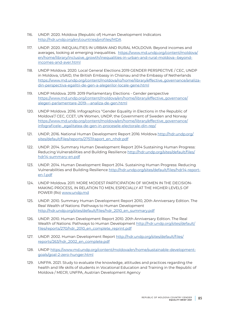- 116. UNDP. 2020. Moldova (Republic of) Human Development Indicators <http://hdr.undp.org/en/countries/profiles/MDA>
- 117. UNDP. 2020. INEQUALITIES IN URBAN AND RURAL MOLDOVA: Beyond incomes and averages, looking at emerging inequalities. [https://www.md.undp.org/content/moldova/](https://www.md.undp.org/content/moldova/en/home/library/inclusive_growth/inequalities-in-urban-and-rural-moldova--beyond-incomes-and-aver.html) [en/home/library/inclusive\\_growth/inequalities-in-urban-and-rural-moldova--beyond](https://www.md.undp.org/content/moldova/en/home/library/inclusive_growth/inequalities-in-urban-and-rural-moldova--beyond-incomes-and-aver.html)[incomes-and-aver.html](https://www.md.undp.org/content/moldova/en/home/library/inclusive_growth/inequalities-in-urban-and-rural-moldova--beyond-incomes-and-aver.html)
- 118. UNDP Moldova. 2020. Local General Elections 2019 GENDER PERSPECTIVE / CEC, UNDP in Moldova, USAID, the British Embassy in Chisinau and the Embassy of Netherlands [https://www.md.undp.org/content/moldova/ro/home/library/effective\\_governance/analiza](https://www.md.undp.org/content/moldova/ro/home/library/effective_governance/analiza-din-perspectiva-egalitii-de-gen-a-alegerilor-locale-gene.html)[din-perspectiva-egalitii-de-gen-a-alegerilor-locale-gene.html](https://www.md.undp.org/content/moldova/ro/home/library/effective_governance/analiza-din-perspectiva-egalitii-de-gen-a-alegerilor-locale-gene.html)
- 119. UNDP Moldova. 2019. 2019 Parliamentary Elections Gender perspective [https://www.md.undp.org/content/moldova/en/home/library/effective\\_governance/](https://www.md.undp.org/content/moldova/en/home/library/effective_governance/alegeri-parlamentare-2019---analiza-de-gen.html) [alegeri-parlamentare-2019---analiza-de-gen.html](https://www.md.undp.org/content/moldova/en/home/library/effective_governance/alegeri-parlamentare-2019---analiza-de-gen.html)
- 120. UNDP Moldova. 2016. Infographics "Gender Equality in Elections in the Republic of Moldova"/ CEC, CCET, UN Women, UNDP, the Government of Sweden and Norway [https://www.md.undp.org/content/moldova/en/home/library/effective\\_governance/](https://www.md.undp.org/content/moldova/en/home/library/effective_governance/infograficele-_egalitatea-de-gen-in-procesele-electorale-din-rep/) [infograficele-\\_egalitatea-de-gen-in-procesele-electorale-din-rep/](https://www.md.undp.org/content/moldova/en/home/library/effective_governance/infograficele-_egalitatea-de-gen-in-procesele-electorale-din-rep/)
- 121. UNDP, 2016. National Human Development Report 2016: Moldova [http://hdr.undp.org/](http://hdr.undp.org/sites/default/files/reports/2757/raport_en_nhdr.pdf) [sites/default/files/reports/2757/raport\\_en\\_nhdr.pdf](http://hdr.undp.org/sites/default/files/reports/2757/raport_en_nhdr.pdf)
- 122. UNDP. 2014. Summary Human Development Report 2014 Sustaining Human Progress: Reducing Vulnerabilities and Building Resilience [http://hdr.undp.org/sites/default/files/](http://hdr.undp.org/sites/default/files/hdr14-summary-en.pdf) [hdr14-summary-en.pdf](http://hdr.undp.org/sites/default/files/hdr14-summary-en.pdf)
- 123. UNDP. 2014. Human Development Report 2014. Sustaining Human Progress: Reducing Vulnerabilities and Building Resilience [http://hdr.undp.org/sites/default/files/hdr14-report](http://hdr.undp.org/sites/default/files/hdr14-report-en-1.pdf )[en-1.pdf](http://hdr.undp.org/sites/default/files/hdr14-report-en-1.pdf )
- 124. UNDP Moldova. 2011. MORE MODEST PARTICIPATION OF WOMEN IN THE DECISION-MAKING PROCESS, IN RELATION TO MEN, ESPECIALLY AT THE HIGHER LEVELS OF POWER (Ro) [www.undp.md](http://www.undp.md)
- 125. UNDP. 2010. Summary Human Development Report 2010, 20th Anniversary Edition. The Real Wealth of Nations: Pathways to Human Development [http://hdr.undp.org/sites/default/files/hdr\\_2010\\_en\\_summary.pdf](http://hdr.undp.org/sites/default/files/hdr_2010_en_summary.pdf)
- 126. UNDP. 2010. Human Development Report 2010. 20th Anniversary Edition. The Real Wealth of Nations: Pathways to Human Development [http://hdr.undp.org/sites/default/](http://hdr.undp.org/sites/default/files/reports/270/hdr_2010_en_complete_reprint.pdf) [files/reports/270/hdr\\_2010\\_en\\_complete\\_reprint.pdf](http://hdr.undp.org/sites/default/files/reports/270/hdr_2010_en_complete_reprint.pdf)
- 127. UNDP. 2002. Human Development Report [http://hdr.undp.org/sites/default/files/](http://hdr.undp.org/sites/default/files/reports/263/hdr_2002_en_complete.pdf) [reports/263/hdr\\_2002\\_en\\_complete.pdf](http://hdr.undp.org/sites/default/files/reports/263/hdr_2002_en_complete.pdf)
- 128. UNDP [https://www.md.undp.org/content/moldova/en/home/sustainable-development](https://www.md.undp.org/content/moldova/en/home/sustainable-development-goals/goal-2-zero-hunger.html)[goals/goal-2-zero-hunger.html](https://www.md.undp.org/content/moldova/en/home/sustainable-development-goals/goal-2-zero-hunger.html)
- 129. UNFPA. 2021. Study to evaluate the knowledge, attitudes and practices regarding the health and life skills of students in Vocational Education and Training in the Republic of Moldova / MECR, UNFPA, Austrian Development Agency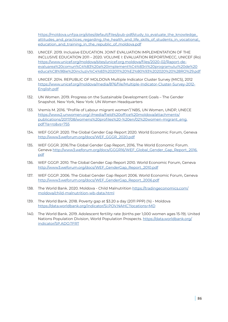[https://moldova.unfpa.org/sites/default/files/pub-pdf/study\\_to\\_evaluate\\_the\\_knowledge\\_](https://moldova.unfpa.org/sites/default/files/pub-pdf/study_to_evaluate_the_knowledge_attitudes_and_practices_regarding_the_health_and_life_skills_of_students_in_vocational_education_and_training_in_the_republic_of_moldova.pdf) [attitudes\\_and\\_practices\\_regarding\\_the\\_health\\_and\\_life\\_skills\\_of\\_students\\_in\\_vocational\\_](https://moldova.unfpa.org/sites/default/files/pub-pdf/study_to_evaluate_the_knowledge_attitudes_and_practices_regarding_the_health_and_life_skills_of_students_in_vocational_education_and_training_in_the_republic_of_moldova.pdf) [education\\_and\\_training\\_in\\_the\\_republic\\_of\\_moldova.pdf](https://moldova.unfpa.org/sites/default/files/pub-pdf/study_to_evaluate_the_knowledge_attitudes_and_practices_regarding_the_health_and_life_skills_of_students_in_vocational_education_and_training_in_the_republic_of_moldova.pdf)

- 130. UNICEF. 2019. Inclusive EDUCATION. JOINT EVALUATION IMPLEMENTATION OF THE INCLUSIVE EDUCATION 2011 – 2020. VOLUME I: EVALUATION REPORT/MECC, UNICEF (Ro) [https://www.unicef.org/moldova/sites/unicef.org.moldova/files/2020-02/Raport-de](https://www.unicef.org/moldova/sites/unicef.org.moldova/files/2020-02/Raport-de-evaluarea%20comun%C4%83%20a%20implement%C4%83rii%20programului%20de%20educa%C8%9Bie%20incluziv%C4%83%202011%20%E2%80%93%202020%20%28RO%29.pdf)[evaluarea%20comun%C4%83%20a%20implement%C4%83rii%20programului%20de%20](https://www.unicef.org/moldova/sites/unicef.org.moldova/files/2020-02/Raport-de-evaluarea%20comun%C4%83%20a%20implement%C4%83rii%20programului%20de%20educa%C8%9Bie%20incluziv%C4%83%202011%20%E2%80%93%202020%20%28RO%29.pdf) [educa%C8%9Bie%20incluziv%C4%83%202011%20%E2%80%93%202020%20%28RO%29.pdf](https://www.unicef.org/moldova/sites/unicef.org.moldova/files/2020-02/Raport-de-evaluarea%20comun%C4%83%20a%20implement%C4%83rii%20programului%20de%20educa%C8%9Bie%20incluziv%C4%83%202011%20%E2%80%93%202020%20%28RO%29.pdf)
- 131. UNICEF. 2014. REPUBLIC OF MOLDOVA Multiple Indicator Cluster Survey (MICS), 2012 [https://www.unicef.org/moldova/media/876/file/Multiple-Indicator-Cluster-Survey-2012-](https://www.unicef.org/moldova/media/876/file/Multiple-Indicator-Cluster-Survey-2012-English.pdf ) [English.pdf](https://www.unicef.org/moldova/media/876/file/Multiple-Indicator-Cluster-Survey-2012-English.pdf )
- 132. UN Women. 2019. Progress on the Sustainable Development Goals The Gender Snapshot. New York, New York: UN Women Headquarters
- 133. Vremis M. 2016. "Profile of Labour migrant women"/ NBS, UN Women, UNDP, UNECE [https://www2.unwomen.org/-/media/field%20office%20moldova/attachments/](https://www2.unwomen.org/-/media/field%20office%20moldova/attachments/publications/2017/08/womens%20) [publications/2017/08/womens%20profiles%20-%20en/02%20women-migrant\\_eng.](https://www2.unwomen.org/-/media/field%20office%20moldova/attachments/publications/2017/08/womens%20) [pdf?la=ro&vs=755](https://www2.unwomen.org/-/media/field%20office%20moldova/attachments/publications/2017/08/womens%20)
- 134. WEF GGGP. 2020. The Global Gender Gap Report 2020. World Economic Forum, Geneva [http://www3.weforum.org/docs/WEF\\_GGGR\\_2020.pdf](http://www3.weforum.org/docs/WEF_GGGR_2020.pdf )
- 135. WEF GGGR. 2016.The Global Gender Gap Report, 2016, The World Economic Forum. Geneva [http://www3.weforum.org/docs/GGGR16/WEF\\_Global\\_Gender\\_Gap\\_Report\\_2016.](http://www3.weforum.org/docs/GGGR16/WEF_Global_Gender_Gap_Report_2016.pdf ) [pdf](http://www3.weforum.org/docs/GGGR16/WEF_Global_Gender_Gap_Report_2016.pdf )
- 136. WEF GGGP. 2010. The Global Gender Gap Report 2010. World Economic Forum, Geneva [http://www3.weforum.org/docs/WEF\\_GenderGap\\_Report\\_2010.pdf](http://www3.weforum.org/docs/WEF_GenderGap_Report_2010.pdf)
- 137. WEF GGGP. 2006. The Global Gender Gap Report 2006. World Economic Forum, Geneva [http://www3.weforum.org/docs/WEF\\_GenderGap\\_Report\\_2006.pdf](http://www3.weforum.org/docs/WEF_GenderGap_Report_2006.pdf)
- 138. The World Bank. 2020. Moldova Child Malnutrition [https://tradingeconomics.com/](https://tradingeconomics.com/moldova/child-malnutrition-wb-data.html) [moldova/child-malnutrition-wb-data.html](https://tradingeconomics.com/moldova/child-malnutrition-wb-data.html)
- 139. The World Bank. 2018. Poverty gap at \$3.20 a day (2011 PPP) (%) Moldova <https://data.worldbank.org/indicator/SI.POV.NAHC?locations=MD>
- 140. The World Bank. 2019. Adolescent fertility rate (births per 1,000 women ages 15-19). United Nations Population Division, World Population Prospects. [https://data.worldbank.org/](https://data.worldbank.org/indicator/SP.ADO.TFRT) [indicator/SP.ADO.TFRT](https://data.worldbank.org/indicator/SP.ADO.TFRT)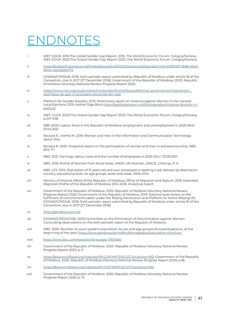# ENDNOTES

- i WEF GGGR. 2016.The Global Gender Gap Report, 2016, The World Economic Forum. Cologny/Geneva; WEF GGGR. 2020.The Global Gender Gap Report 2020, The World Economic Forum. Cologny/Geneva.
- ii [https://statbank.statistica.md/PxWeb/pxweb/ro/30%20Statistica%20sociala/?rxid=b2ff27d7-0b96-43c9-](https://statbank.statistica.md/PxWeb/pxweb/ro/30%20Statistica%20sociala/?rxid=b2ff27d7-0b96-43c9-934) [934b-42e1a2a9a774](https://statbank.statistica.md/PxWeb/pxweb/ro/30%20Statistica%20sociala/?rxid=b2ff27d7-0b96-43c9-934)
- iii CEDAW/C/MDA/6. 2018. Sixth periodic report submitted by Republic of Moldova under article 18 of the Convention, due in 2017 [27 December 2018]; Government of the Republic of Moldova. 2020. Republic of Moldova Voluntary National Review Progress Report 2020.
- iv [https://www.md.undp.org/content/moldova/en/home/library/effective\\_governance/infograficele-\\_](https://www.md.undp.org/content/moldova/en/home/library/effective_governance/infograficele-_egalitatea-de-gen-in-procesele-electorale-din-rep/) [egalitatea-de-gen-in-procesele-electorale-din-rep/](https://www.md.undp.org/content/moldova/en/home/library/effective_governance/infograficele-_egalitatea-de-gen-in-procesele-electorale-din-rep/)
- v Platform for Gender Equality. 2019. Preliminary report on Violence against Women in the General Local Elections 2019, Author Olga Bîtcă [https://egalitatedegen.md/biblioteca/participarea-femeilor-in](https://egalitatedegen.md/biblioteca/participarea-femeilor-in-politica/)[politica/](https://egalitatedegen.md/biblioteca/participarea-femeilor-in-politica/)
- vi WEF GGGR. 2020.The Global Gender Gap Report 2020, The World Economic Forum. Cologny/Geneva, p.247-248
- vii NBS (2021) Labour force in the Republic of Moldova: employment and unemployment in 2020 (Ro)/ 01.04.2021
- viii Nicoara R., Vremis M. 2019. Women and men in the Information and Communication Technology sector (Ro).
- ix Nicoara R. 2020. Analytical report on the participation of women and men in entrepreneurship. NBS. (Ro). P.1
- x NBS. 2021. Earnings, labour costs and the number of employees in 2020 (Ro) / 23.08.2021
- xi NBS. 2016. Profile of Women from Rural Areas. UNDP, UN Women, UNECE, Chisinau, P. 6
- xii NBS, LFS. 2014. Population of 15 years old and over, employed or seeking a job, abroad, by destination country, educational level, on age groups, sexes and areas, 2006-2014.
- xiii Ministry of Internal Affairs of the Republic of Moldova, Office of Migration and Asylum. 2019. Extended Migration Profile of the Republic of Moldova 2014-2018. Analytical report
- xiv Government of the Republic of Moldova. 2020. Republic of Moldova Voluntary National Review Progress Report 2020; Government of the Republic of Moldova. 2019. National level review on the fulfilment of commitments taken under the Beijing Declaration and Platform for Action Beijing+25; CEDAW/C/MDA/6. 2018. Sixth periodic report submitted by Republic of Moldova under article 18 of the Convention, due in 2017 [27 December 2018]
- xv <https://genderpulse.md/>
- xvi CEDAW/C/MDA/CO/6. 2020.Committee on the Elimination of Discrimination against Women. Concluding observations on the sixth periodic report of the Republic of Moldova.
- xvii NBS. 2020. Number of usual resident population, by sex and age groups (thousand persons, at the beginning of the year) [https://www.genderpulse.md/en/demography/population-structure](https://www.genderpulse.md/en/demography/population-structure )
- xviii <https://www.bbc.com/news/world-europe-17601580>
- xix Government of the Republic of Moldova. 2020. Republic of Moldova Voluntary National Review Progress Report 2020, p. 6
- xx [https://data.worldbank.org/indicator/NY.GDP.MKTP.KD.ZG?locations=MD;](https://data.worldbank.org/indicator/NY.GDP.MKTP.KD.ZG?locations=MD) Government of the Republic of Moldova. 2020. Republic of Moldova Voluntary National Review Progress Report 2020, p.36
- xxi <https://data.worldbank.org/indicator/NY.GDP.MKTP.KD.ZG?locations=MD>
- xxii Government of the Republic of Moldova. 2020. Republic of Moldova Voluntary National Review Progress Report 2020, p. 10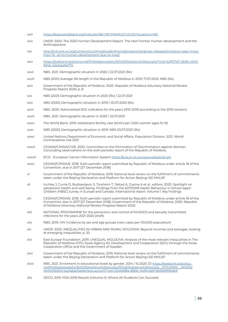- xxiii <https://data.worldbank.org/indicator/BX.TRF.PWKR.DT.GD.ZS?locations=MD>
- xxiv UNDP. 2020. The 2020 Human Development Report. The next frontier Human development and the Anthropocene
- xxv [http://md.one.un.org/content/unct/moldova/en/home/presscenter/press-releases/moldova-loses-more](http://md.one.un.org/content/unct/moldova/en/home/presscenter/press-releases/moldova-loses-more-than)[than-10--of-its-human-development-due-to-ineq/](http://md.one.un.org/content/unct/moldova/en/home/presscenter/press-releases/moldova-loses-more-than)
- xxvi [https://statbank.statistica.md/PxWeb/pxweb/ro/30%20Statistica%20sociala/?rxid=b2ff27d7-0b96-43c9-](https://statbank.statistica.md/PxWeb/pxweb/ro/30%20Statistica%20sociala/?rxid=b2ff27d7-0b96-43c9-934) [934b-42e1a2a9a774](https://statbank.statistica.md/PxWeb/pxweb/ro/30%20Statistica%20sociala/?rxid=b2ff27d7-0b96-43c9-934)
- xxvii NBS. 2021. Demographic situation in 2020 / 22.07.2021 (Ro)
- xxviii NBS (2021) Average life length in the Republic of Moldova in 2019, 17.07.2020. NBS (Ro)
- xxix Government of the Republic of Moldova. 2020. Republic of Moldova Voluntary National Review Progress Report 2020, p. 8
- xxx NBS (2021) Demographic situation in 2020 (Ro) / 22.07.2021
- xxxi NBS (2020) Demographic situation in 2019 / 03.07.2020 (Ro)
- xxxii NBS. 2020. Nationalised SDG indicators for the years 2010-2018 (according to the 2019 revision)
- xxxiii NBS. 2021. Demographic situation in 2020 / 22.07.2021
- xxxiv The World Bank. 2019. Adolescent fertility rate (births per 1,000 women ages 15-19)
- xxxv NBS (2020) Demographic situation in 2019. NBS 03.07.2020 (Ro)
- xxxvi United Nations Department of Economic and Social Affairs, Population Division. 2021. World Contraceptive Use 2021
- xxxvii CEDAW/C/MDA/CO/6. 2020. Committee on the Elimination of Discrimination against Women. Concluding observations on the sixth periodic report of the Republic of Moldova.
- xxxviii ECIS European Cancer Information System <https://ecis.jrc.ec.europa.eu/explorer.ph>
- xxxix CEDAW/C/MDA/6. 2018. Sixth periodic report submitted by Republic of Moldova under article 18 of the Convention, due in 2017 [27 December 2018]
- xl Government of the Republic of Moldova. 2019. National level review on the fulfilment of commitments taken under the Beijing Declaration and Platform for Action Beijing+25/ MHLSP
- xli Inchley J, Currie D, Budisavljevic S, Torsheim T, Jåstad A, Cosma A et al., editors. 2020. Spotlight on adolescent health and well-being. Findings from the 2017/2018 Health Behaviour in School-aged Children (HBSC) survey in Europe and Canada. International report. Volume 1. Key findings
- xlii CEDAW/C/MDA/6. 2018. Sixth periodic report submitted by Republic of Moldova under article 18 of the Convention, due in 2017 [27 December 2018]; Government of the Republic of Moldova. 2020. Republic of Moldova Voluntary National Review Progress Report 2020.
- xliii NATIONAL PROGRAMME for the prevention and control of HIV/AIDS and sexually transmitted infections for the years 2021-2025 (draft)
- xliv NBS. 2019. HIV incidence by sex and age groups (new cases per 100,000 population)
- xlv UNDP. 2020. INEQUALITIES IN URBAN AND RURAL MOLDOVA: Beyond incomes and averages, looking at emerging inequalities. p. 20
- xlvi East Europe Foundation. 2019. UNEQUAL MOLDOVA. Analysis of the most relevant inequalities in The Republic of Moldova /CPD, Swiss Agency for Development and Cooperation (SDC) through the Swiss Cooperation Office and the Government of Sweden
- xlvii Government of the Republic of Moldova. 2019. National level review on the fulfilment of commitments taken under the Beijing Declaration and Platform for Action Beijing+25/ MHLSP
- xlviii NBS. 2021. Enrolment in educational levels by gender, 2014 / 15-2020 /21 [https://statbank.statistica.](https://statbank.statistica.md/PxWeb/pxweb/ro/30%20Statistica%20sociala/30%20Statistica%20sociala__0) [md/PxWeb/pxweb/ro/30%20Statistica%20sociala/30%20Statistica%20sociala\\_\\_07%20INV\\_\\_INV010/](https://statbank.statistica.md/PxWeb/pxweb/ro/30%20Statistica%20sociala/30%20Statistica%20sociala__0) [INV010300rcl.px/table/tableViewLayout1/?rxid=2345d98a-890b-4459-bb1f-9b565f99b3b9](https://statbank.statistica.md/PxWeb/pxweb/ro/30%20Statistica%20sociala/30%20Statistica%20sociala__0)
- xlix OECD. 2019. PISA 2018 Results (Volume II): Where All Students Can Succeed.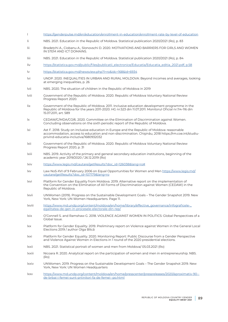- [https://genderpulse.md/en/education/enrollment-in-education/enrollment-rate-by-level-of-education](https://genderpulse.md/en/education/enrollment-in-education/enrollment-rate-by-level-of-education )
- li NBS. 2021. Education in the Republic of Moldova. Statistical publication 2020/2021 (Ro), p. 83
- lii Bradețchi A., Ciobanu A., Slonovschi D. 2020. MOTIVATIONS AND BARRIERS FOR GIRLS AND WOMEN IN STEM AND ICT DOMAINS.
- liii NBS. 2021. Education in the Republic of Moldova. Statistical publication 2020/2021 (Ro), p. 84
- liv [https://statistica.gov.md/public/files/publicatii\\_electronice/Educatia/Educatia\\_editia\\_2021.pdf, p.58](https://statistica.gov.md/public/files/publicatii_electronice/Educatia/Educatia_editia_2021.pdf, p.5)
- lv <https://statistica.gov.md/newsview.php?l=ro&idc=168&id=6934>
- lvi UNDP. 2020. INEQUALITIES IN URBAN AND RURAL MOLDOVA: Beyond incomes and averages, looking at emerging inequalities, p. 26
- lvii NBS. 2020. The situation of children in the Republic of Moldova in 2019
- lviii Government of the Republic of Moldova. 2020. Republic of Moldova Voluntary National Review Progress Report 2020.
- lix Government of the Republic of Moldova. 2011. Inclusive education development programme in the Republic of Moldova for the years 2011-2020. HG nr.523 din 11.07.2011. Monitorul Oficial nr.114-116 din 15.07.2011, art. 589
- lx CEDAW/C/MDA/CO/6. 2020. Committee on the Elimination of Discrimination against Women. Concluding observations on the sixth periodic report of the Republic of Moldova.
- lxi Ast F. 2018. Study on inclusive education in Europe and the Republic of Moldova: reasonable accommodation, access to education and non-discrimination. Chişinău, 2018 https://rm.coe.int/studiuprivind-educatia-incluziva/1680932032
- lxii Government of the Republic of Moldova. 2020. Republic of Moldova Voluntary National Review Progress Report 2020, p. 31
- lxiii NBS. 2019. Activity of the primary and general secondary education institutions, beginning of the academic year 2019/2020 / 26.12.2019 (Ro)
- lxiv [https://www.legis.md/cautare/getResults?doc\\_id=126038&lang=ro#](https://www.legis.md/cautare/getResults?doc_id=126038&lang=ro# )
- lxv Law No5-XVI of 9 February 2006 on Equal Opportunities for Women and Men [https://www.legis.md/](https://www.legis.md/cautare/getResults?doc_id=107179&lang=ro) [cautare/getResults?doc\\_id=107179&lang=ro](https://www.legis.md/cautare/getResults?doc_id=107179&lang=ro)
- lxvi Platform for Gender Equality from Moldova. 2019. Alternative report on the implementation of the Convention on the Elimination of All Forms of Discrimination against Women (CEDAW) in the Republic of Moldova.
- lxvii UNWomen (2019). Progress on the Sustainable Development Goals The Gender Snapshot 2019. New York, New York: UN Women Headquarters. Page 11.
- lxviii [https://www.md.undp.org/content/moldova/en/home/library/effective\\_governance/infograficele-\\_](https://www.md.undp.org/content/moldova/en/home/library/effective_governance/infograficele-_egalitatea-de-gen-in-procesele-electorale-din-rep/) [egalitatea-de-gen-in-procesele-electorale-din-rep/](https://www.md.undp.org/content/moldova/en/home/library/effective_governance/infograficele-_egalitatea-de-gen-in-procesele-electorale-din-rep/)
- lxix O'Connell S. and Ramshaw G. 2018. VIOLENCE AGAINST WOMEN IN POLITICS: Global Perspectives of a Global Issue.
- lxx Platform for Gender Equality. 2019. Preliminary report on Violence against Women in the General Local Elections 2019 / author Olga Bîtcă
- lxxi Platform for Gender Equality. 2020. Monitoring Report: Public Discourse from a Gender Perspective and Violence Against Women in Elections in 1 round of the 2020 presidential elections.
- lxxii NBS. 2021. Statistical portrait of women and men from Moldova/ 05.03.2021 (Ro)
- lxxiii Nicoara R. 2020. Analytical report on the participation of women and men in entrepreneurship. NBS. (Ro)
- lxxiv UNWomen. 2019. Progress on the Sustainable Development Goals The Gender Snapshot 2019. New York, New York: UN Women Headquarters
- lxxv [https://www.md.undp.org/content/moldova/en/home/presscenter/pressreleases/2020/aproximativ-90-](https://www.md.undp.org/content/moldova/en/home/presscenter/pressreleases/2020/aproximativ-90--de-br) [de-brbai-i-femei-sunt-prtinitori-fa-de-femei--po.html](https://www.md.undp.org/content/moldova/en/home/presscenter/pressreleases/2020/aproximativ-90--de-br)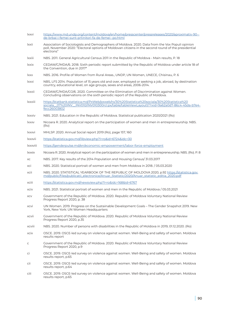- lxxvi [https://www.md.undp.org/content/moldova/en/home/presscenter/pressreleases/2020/aproximativ-90-](https://www.md.undp.org/content/moldova/en/home/presscenter/pressreleases/2020/aproximativ-90--de-br) [de-brbai-i-femei-sunt-prtinitori-fa-de-femei--po.html](https://www.md.undp.org/content/moldova/en/home/presscenter/pressreleases/2020/aproximativ-90--de-br)
- lxxii Association of Sociologists and Demographers of Moldova. 2020. Data from the Vox Populi opinion poll, November 2020: "Electoral options of Moldovan citizens in the second round of the presidential elections"
- lxxiii NBS. 2011. General Agricultural Census 2011 in the Republic of Moldova Main results, P. 18
- lxxix CEDAW/C/MDA/6. 2018. Sixth periodic report submitted by the Republic of Moldova under article 18 of the Convention, due in 2017\*
- lxxx NBS. 2016. Profile of Women from Rural Areas., UNDP, UN Women, UNECE, Chisinau, P. 6
- lxxxi NBS, LFS 2014. Population of 15 years old and over, employed or seeking a job, abroad, by destination country, educational level, on age groups, sexes and areas, 2006-2014.
- lxxxii CEDAW/C/MDA/CO/6. 2020. Committee on the Elimination of Discrimination against Women. Concluding observations on the sixth periodic report of the Republic of Moldova.
- lxxxiii [https://statbank.statistica.md/PxWeb/pxweb/ro/30%20Statistica%20sociala/30%20Statistica%20](https://statbank.statistica.md/PxWeb/pxweb/ro/30%20Statistica%20sociala/30%20Statistica%20sociala__0) [sociala\\_\\_07%20INV\\_\\_INV010/INV010300rcl.px/table/tableViewLayout1/?rxid=9a62a0d7-86c4-45da-b7e4](https://statbank.statistica.md/PxWeb/pxweb/ro/30%20Statistica%20sociala/30%20Statistica%20sociala__0) [fecc26003802](https://statbank.statistica.md/PxWeb/pxweb/ro/30%20Statistica%20sociala/30%20Statistica%20sociala__0)
- lxxxiv NBS. 2021. Education in the Republic of Moldova. Statistical publication 2020/2021 (Ro)
- lxxxv Nicoara R. 2020. Analytical report on the participation of women and men in entrepreneurship. NBS. (Ro)
- lxxxvi MHLSP. 2020. Annual Social report 2019 (Ro), page 157, 160
- lxxxvii <https://statistica.gov.md/libview.php?l=ro&id=6724&idc=30>
- lxxxviii <https://genderpulse.md/en/economic-empowerment/labor-force-employment>
- lxxxix Nicoara R. 2020. Analytical report on the participation of women and men in entrepreneurship. NBS. (Ro). P. 8
- xc NBS. 2017. Key results of the 2014 Population and Housing Census/ 31.03.2017
- xci NBS. 2020. Statistical portrait of women and men from Moldova in 2018. / 05.03.2020
- xcii NBS. 2020. STATISTICAL YEARBOOK OF THE REPUBLIC OF MOLDOVA 2020, p.92 [https://statistica.gov.](https://statistica.gov.md/public/files/publicatii_electronice/Anuar_Statistic/2020/Anuar_statistic_editia_2020.pdf) [md/public/files/publicatii\\_electronice/Anuar\\_Statistic/2020/Anuar\\_statistic\\_editia\\_2020.pdf](https://statistica.gov.md/public/files/publicatii_electronice/Anuar_Statistic/2020/Anuar_statistic_editia_2020.pdf)
- xciii <https://statistica.gov.md/newsview.php?l=ro&idc=168&id=6767>
- xciv NBS. 2021. Statistical portrait of women and men in the Republic of Moldova / 05.03.2021
- xcv Government of the Republic of Moldova. 2020. Republic of Moldova Voluntary National Review Progress Report 2020, p. 38
- xcvi UN Women. 2019. Progress on the Sustainable Development Goals The Gender Snapshot 2019. New York, New York: UN Women Headquarters
- xcvii Government of the Republic of Moldova. 2020. Republic of Moldova Voluntary National Review Progress Report 2020, p.35
- xcviii NBS. 2020. Number of persons with disabilities in the Republic of Moldova in 2019, 01.12.2020. (Ro)
- xcix OSCE. 2019. OSCE-led survey on violence against women. Well-Being and safety of women. Moldova results report
- c Government of the Republic of Moldova. 2020. Republic of Moldova Voluntary National Review Progress Report 2020, p.9
- ci OSCE. 2019. OSCE-led survey on violence against women. Well-Being and safety of women. Moldova results report, p.65
- cii OSCE. 2019. OSCE-led survey on violence against women. Well-Being and safety of women. Moldova results report, p.64
- ciii OSCE. 2019. OSCE-led survey on violence against women. Well-Being and safety of women. Moldova results report, p.65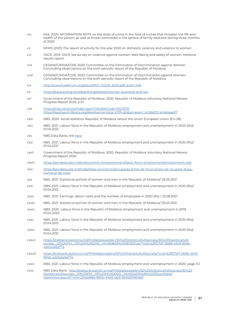- civ MIA. 2020. NFORMATION NOTE on the state of crime in the field of crimes that threaten the life and health of the person, as well as those committed in the sphere of family relations during three months of 2020
- cv MHPS (2021) The report of activity for the year 2020 on domestic violence and violence to women
- cvi OSCE. 2019. OSCE-led survey on violence against women. Well-Being and safety of women. Moldova results report
- cvii CEDAW/C/MDA/CO/6. 2020. Committee on the Elimination of Discrimination against Women. Concluding observations on the sixth periodic report of the Republic of Moldova.
- cviii CEDAW/C/MDA/CO/6. 2020. Committee on the Elimination of Discrimination against Women. Concluding observations on the sixth periodic report of the Republic of Moldova.
- cix [http://www3.weforum.org/docs/WEF\\_GGGR\\_2020.pdf, p.247-248](http://www3.weforum.org/docs/WEF_GGGR_2020.pdf, p.247-248)
- cx <https://datacatalog.worldbank.org/dataset/women-business-and-law>
- cxi Government of the Republic of Moldova. 2020. Republic of Moldova Voluntary National Review Progress Report 2020, p.57
- cxii <https://stats.oecd.org/Index.aspx?DataSetCode=SIGI2019> [https://read.oecd-ilibrary.org/development/sigi-2019-global-report\\_bc56d212-en#page37](https://read.oecd-ilibrary.org/development/sigi-2019-global-report_bc56d212-en#page37 )
- cxiii NBS. 2020. Social statistics. Republic of Moldova versus the Union European Union (EU-28)
- cxiv NBS. 2021. Labour force in the Republic of Moldova: employment and unemployment in 2020 (Ro)/ 01.04.2021
- cxv NBS Data Bank, link [here](http://statbank.statistica.md/PxWeb/pxweb/ro/30%20Statistica%20sociala/30%20Statistica%20sociala__03%20FM__03%20MUN2019__MUN010/MUN110400.px/?rxid=2345d98a-890b-4459-bb1f-9b565f99b3b9)
- cxvi NBS. 2021. Labour force in the Republic of Moldova: employment and unemployment in 2020 (Ro)/ 01.04.2021
- cxvii Government of the Republic of Moldova. 2020. Republic of Moldova Voluntary National Review Progress Report 2020
- cxviii <https://genderpulse.md/en/economic-empowerment/labor-force-employment/employment-rate>
- cxix [https://genderpulse.md/ro/abilitare-economica/ocuparea-fortei-de-munca/rata-de-ocupare-dupa](https://genderpulse.md/ro/abilitare-economica/ocuparea-fortei-de-munca/rata-de-ocupare-dupa-numarul-)[numarul-de-copii](https://genderpulse.md/ro/abilitare-economica/ocuparea-fortei-de-munca/rata-de-ocupare-dupa-numarul-)
- cxx NBS. 2021. Statistical portrait of women and men in the Republic of Moldova/ 05.03.2021
- cxxi NBS. 2021. Labour force in the Republic of Moldova: employment and unemployment in 2020 (Ro)/ 01.04.2021
- cxxii NBS. 2021. Earnings, labour costs and the number of employees in 2020 (Ro) / 23.08.2021
- cxxiii NBS. 2021. Statistical portrait of women and men in the Republic of Moldova/ 05.03.2021
- cxxiv NBS. 2020. Labour force in the Republic of Moldova: employment and unemployment in 2019, 01.04.2020
- cxxv NBS. 2021. Labour force in the Republic of Moldova: employment and unemployment in 2020 (Ro)/ 01.04.2021
- cxxvi NBS. 2021. Labour force in the Republic of Moldova: employment and unemployment in 2020 (Ro)/ 01.04.2021
- cxxvii [https://statbank.statistica.md/PxWeb/pxweb/en/30%20Statistica%20sociala/30%20Statistica%20](https://statbank.statistica.md/PxWeb/pxweb/en/30%20Statistica%20sociala/30%20Statistica%20sociala__0) [sociala\\_\\_03%20FM\\_\\_03%20MUN2019\\_\\_MUN080/MUN180300.px/?rxid=b2ff27d7-0b96-43c9-934b-](https://statbank.statistica.md/PxWeb/pxweb/en/30%20Statistica%20sociala/30%20Statistica%20sociala__0)[42e1a2a9a774](https://statbank.statistica.md/PxWeb/pxweb/en/30%20Statistica%20sociala/30%20Statistica%20sociala__0)
- cxxviii [https://statbank.statistica.md/PxWeb/pxweb/ro/30%20Statistica%20sociala/?rxid=b2ff27d7-0b96-43c9-](https://statbank.statistica.md/PxWeb/pxweb/ro/30%20Statistica%20sociala/?rxid=b2ff27d7-0b96-43c9-934) [934b-42e1a2a9a774](https://statbank.statistica.md/PxWeb/pxweb/ro/30%20Statistica%20sociala/?rxid=b2ff27d7-0b96-43c9-934)
- cxxix NBS. 2021. Labour force in the Republic of Moldova: employment and unemployment in 2020, page 112
- cxxx NBS Data Bank [http://statbank.statistica.md/PxWeb/pxweb/en/30%20Statistica%20sociala/30%20](http://statbank.statistica.md/PxWeb/pxweb/en/30%20Statistica%20sociala/30%20Statistica%20sociala__03) [Statistica%20sociala\\_\\_03%20FM\\_\\_03%20MUN2000\\_\\_MUN040/MUN040200.px/table/](http://statbank.statistica.md/PxWeb/pxweb/en/30%20Statistica%20sociala/30%20Statistica%20sociala__03) [tableViewLayout1/?rxid=2345d98a-890b-4459-bb1f-9b565f99b3b9](http://statbank.statistica.md/PxWeb/pxweb/en/30%20Statistica%20sociala/30%20Statistica%20sociala__03)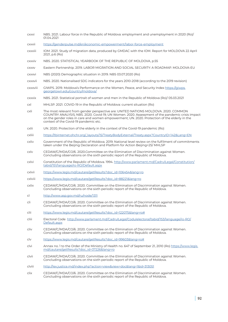- cxxxi NBS. 2021. Labour force in the Republic of Moldova: employment and unemployment in 2020 (Ro)/ 01.04.2021
- cxxxii <https://genderpulse.md/en/economic-empowerment/labor-force-employment>
- cxxxiii IOM. 2021. Study of migration data, produced by GMDAC with the IOM. Report for MOLDOVA 22 April 2021, p.6 (Ro)
- cxxxiv NBS. 2020. STATISTICAL YEARBOOK OF THE REPUBLIC OF MOLDOVA, p.55
- cxxxv Eastern Partnership. 2019. LABOR MIGRATION AND SOCIAL SECURITY: A ROADMAP. MOLDOVA-EU
- cxxxvi NBS (2020) Demographic situation in 2019. NBS 03.07.2020 (Ro)
- cxxxvii NBS. 2020. Nationalised SDG indicators for the years 2010-2018 (according to the 2019 revision)
- cxxxviii GIWPS. 2019. Moldova's Performance on the Women, Peace, and Security Index [https://giwps.](https://giwps.georgetown.edu/country/moldova/) [georgetown.edu/country/moldova/](https://giwps.georgetown.edu/country/moldova/)
- cxxxix NBS. 2021. Statistical portrait of women and men in the Republic of Moldova (Ro)/ 05.03.2021
- cxl MHLSP. 2021. COVID-19 in the Republic of Moldova: current situation (Ro)
- cxli The most relevant from gender perspective are: UNITED NATIONS MOLDOVA. 2020. COMMON COUNTRY ANALYSIS; NBS. 2020. Сovid-19; UN Women. 2020. Assessment of the pandemic crisis impact on the gender roles in care and women empowerment; UN. 2020. Protection of the elderly in the context of the Covid-19 pandemic etc.
- cxlii UN. 2020. Protection of the elderly in the context of the Covid-19 pandemic (Ro)
- cxliii [https://tbinternet.ohchr.org/\\_layouts/15/TreatyBodyExternal/Treaty.aspx?CountryID=142&Lang=EN](https://tbinternet.ohchr.org/_layouts/15/TreatyBodyExternal/Treaty.aspx?CountryID=142&Lang=EN )
- cxliv Government of the Republic of Moldova. 2019. National level review on the fulfilment of commitments taken under the Beijing Declaration and Platform for Action Beijing+25/ MHLSP
- cxlv CEDAW/C/MDA/CO/6. 2020.Committee on the Elimination of Discrimination against Women. Concluding observations on the sixth periodic report of the Republic of Moldova.
- cxlvi Constitution of the Republic of Moldova. 1994. [http://www.parlament.md/CadrulLegal/Constitution/](http://www.parlament.md/CadrulLegal/Constitution/tabid/151/language/ro-RO/Default.aspx) [tabid/151/language/ro-RO/Default.aspx](http://www.parlament.md/CadrulLegal/Constitution/tabid/151/language/ro-RO/Default.aspx)
- cxlvii [https://www.legis.md/cautare/getResults?doc\\_id=106454&lang=ro](https://www.legis.md/cautare/getResults?doc_id=106454&lang=ro)
- cxlviii [https://www.legis.md/cautare/getResults?doc\\_id=88221&lang=ro](https://www.legis.md/cautare/getResults?doc_id=88221&lang=ro )
- cxlix CEDAW/C/MDA/CO/6. 2020. Committee on the Elimination of Discrimination against Women. Concluding observations on the sixth periodic report of the Republic of Moldova.
- cl <http://www.asp.gov.md/ru/node/1311>
- cli CEDAW/C/MDA/CO/6. 2020. Committee on the Elimination of Discrimination against Women. Concluding observations on the sixth periodic report of the Republic of Moldova.
- clii [https://www.legis.md/cautare/getResults?doc\\_id=122075&lang=ro#](https://www.legis.md/cautare/getResults?doc_id=122075&lang=ro#)
- cliii Electoral Code [http://www.parlament.md/CadrulLegal/Codulelectoral/tabid/153/language/ro-RO/](http://www.parlament.md/CadrulLegal/Codulelectoral/tabid/153/language/ro-RO/Default.aspx) [Default.aspx](http://www.parlament.md/CadrulLegal/Codulelectoral/tabid/153/language/ro-RO/Default.aspx)
- cliv CEDAW/C/MDA/CO/6. 2020. Committee on the Elimination of Discrimination against Women. Concluding observations on the sixth periodic report of the Republic of Moldova.
- clv [https://www.legis.md/cautare/getResults?doc\\_id=99603&lang=ro#](https://www.legis.md/cautare/getResults?doc_id=99603&lang=ro#)
- clvi Annex no. 1 to the Order of the Ministry of Health no. 647 of September 21, 2010 (Ro) [https://www.legis.](https://www.legis.md/cautare/getResults?doc_id=37226&lang=ro) [md/cautare/getResults?doc\\_id=37226&lang=ro](https://www.legis.md/cautare/getResults?doc_id=37226&lang=ro)
- clvii CEDAW/C/MDA/CO/6. 2020. Committee on the Elimination of Discrimination against Women. Concluding observations on the sixth periodic report of the Republic of Moldova.
- clviii [http://lex.justice.md/index.php?action=view&view=doc&lang=1&id=313051](http://lex.justice.md/index.php?action=view&view=doc&lang=1&id=313051 )
- clix CEDAW/C/MDA/CO/6. 2020. Committee on the Elimination of Discrimination against Women. Concluding observations on the sixth periodic report of the Republic of Moldova.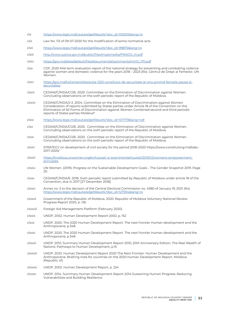- clx [https://www.legis.md/cautare/getResults?doc\\_id=110200&lang=ro](https://www.legis.md/cautare/getResults?doc_id=110200&lang=ro)
- clxi Law No. 113 of 09-07-2020 for the modification of some normative acts
- clxii [https://www.legis.md/cautare/getResults?doc\\_id=99875&lang=ro](https://www.legis.md/cautare/getResults?doc_id=99875&lang=ro)
- clxiii [http://www.justice.gov.md/public/files/massmedia/PNADO\\_III.pdf](http://www.justice.gov.md/public/files/massmedia/PNADO_III.pdf)
- clxiv [https://gov.md/sites/default/files/document/attachments/intr12\\_170.pdf](https://gov.md/sites/default/files/document/attachments/intr12_170.pdf)
- clxv CDF, 2020 Mid-term evaluation report of the national strategy for preventing and combating violence against women and domestic violence for the years 2018 – 2023 (Ro). Centrul de Drept al Femeilor, UN Women.
- clxvi [https://gov.md/ro/content/rezolutia-1325-consiliului-de-securitate-al-onu-privind-femeile-pacea-si](https://gov.md/ro/content/rezolutia-1325-consiliului-de-securitate-al-onu-privind-femeile-pacea-si-securitatea)[securitatea](https://gov.md/ro/content/rezolutia-1325-consiliului-de-securitate-al-onu-privind-femeile-pacea-si-securitatea)
- clxvii CEDAW/C/MDA/CO/6. 2020. Committee on the Elimination of Discrimination against Women. Concluding observations on the sixth periodic report of the Republic of Moldova.
- clxviii CEDAW/C/MDA/2-3. 2004. Committee on the Elimination of Discrimination against Women Consideration of reports submitted by States parties under Article 18 of the Convention on the Elimination of All Forms of Discrimination against Women Combined second and third periodic reports of States parties Moldova\*
- clxix [https://www.legis.md/cautare/getResults?doc\\_id=107179&lang=ro#](https://www.legis.md/cautare/getResults?doc_id=107179&lang=ro#)
- clxx CEDAW/C/MDA/CO/6. 2020. Committee on the Elimination of Discrimination against Women. Concluding observations on the sixth periodic report of the Republic of Moldova.
- clxxi CEDAW/C/MDA/CO/6. 2020. Committee on the Elimination of Discrimination against Women. Concluding observations on the sixth periodic report of the Republic of Moldova.
- clxxii STRATEGY on development of civil society for the period 2018–2020 https://www.consiliulong.md/sdsc-2017-2020/
- clxxiii [https://moldova.unwomen.org/en/noutati-si-evenimente/noutati/2019/12/womens-empowerment](https://moldova.unwomen.org/en/noutati-si-evenimente/noutati/2019/12/womens-empowerment-principles)[principles](https://moldova.unwomen.org/en/noutati-si-evenimente/noutati/2019/12/womens-empowerment-principles)
- clxxiv UN Women. (2019). Progress on the Sustainable Development Goals The Gender Snapshot 2019. Page 20.
- clxxv CEDAW/C/MDA/6. 2018. Sixth periodic report submitted by Republic of Moldova under article 18 of the Convention, due in 2017 [27 December 2018]
- clxxvi Annex no. 5 to the decision of the Central Electoral Commission no. 4580 of January 19, 2021 (Ro) [https://www.legis.md/cautare/getResults?doc\\_id=127594&lang=ro](https://www.legis.md/cautare/getResults?doc_id=127594&lang=ro)
- clxxvii Government of the Republic of Moldova. 2020. Republic of Moldova Voluntary National Review Progress Report 2020, p. 126
- clxxviii Foreign Aid Management Platform (February 2020).
- clxxix UNDP. 2002. Human Development Report 2002, p. 152
- clxxx UNDP. 2020. The 2020 Human Development Report. The next frontier Human development and the Anthropocene, p.348
- clxxxi UNDP. 2020. The 2020 Human Development Report. The next frontier Human development and the Anthropocene, p.348
- clxxxii UNDP. 2010. Summary Human Development Report 2010, 20th Anniversary Edition. The Real Wealth of Nations: Pathways to Human Development, p.15
- clxxxiii UNDP. 2020. Human Development Report 2020 The Next Frontier: Human Development and the Anthropocene. Briefing note for countries on the 2020 Human Development Report. Moldova (Republic of)
- clxxxiv UNDP. 2002. Human Development Report, p. 224
- clxxxv UNDP. 2014. Summary Human Development Report 2014 Sustaining Human Progress: Reducing Vulnerabilities and Building Resilience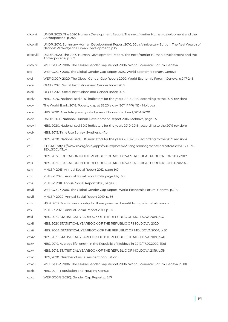| clxxxvi      | UNDP. 2020. The 2020 Human Development Report. The next frontier Human development and the<br>Anthropocene, p. 354                              |
|--------------|-------------------------------------------------------------------------------------------------------------------------------------------------|
| clxxxvii     | UNDP. 2010. Summary Human Development Report 2010, 20th Anniversary Edition. The Real Wealth of<br>Nations: Pathways to Human Development, p.15 |
| clxxxviii    | UNDP. 2020. The 2020 Human Development Report. The next frontier Human development and the<br>Anthropocene, p.362                               |
| clxxxix      | WEF GGGP. 2006. The Global Gender Gap Report 2006. World Economic Forum, Geneva                                                                 |
| CXC          | WEF GGGP. 2010. The Global Gender Gap Report 2010. World Economic Forum, Geneva                                                                 |
| cxci         | WEF GGGP. 2020. The Global Gender Gap Report 2020. World Economic Forum, Geneva, p.247-248                                                      |
| cxcii        | OECD. 2021. Social Institutions and Gender Index 2019                                                                                           |
| cxciii       | OECD. 2021. Social Institutions and Gender Index 2019                                                                                           |
| cxciv        | NBS. 2020. Nationalised SDG indicators for the years 2010-2018 (according to the 2019 revision)                                                 |
| <b>CXCV</b>  | The World Bank. 2018. Poverty gap at \$3.20 a day (2011 PPP) (%) - Moldova                                                                      |
| <b>CXCVI</b> | NBS. 2020. Absolute poverty rate by sex of household head, 2014-2020                                                                            |
| cxcvii       | UNDP. 2016. National Human Development Report 2016: Moldova, page 25                                                                            |
| cxcviii      | NBS. 2020. Nationalised SDG indicators for the years 2010-2018 (according to the 2019 revision)                                                 |
| cxcix        | NBS. 2013. Time Use Survey. Synthesis. (Ro)                                                                                                     |
| cc           | NBS, 2020. Nationalised SDG indicators for the years 2010-2018 (according to the 2019 revision)                                                 |
| cci          | ILOSTAT https://www.ilo.org/shinyapps/bulkexplorer46/?lang=en&segment=indicator&id=SDG_0131_<br>SEX_SOC_RT_A                                    |
| ccii         | NBS. 2017. EDUCATION IN THE REPUBLIC OF MOLDOVA STATISTICAL PUBLICATION 2016/2017                                                               |
| cciii        | NBS. 2021. EDUCATION IN THE REPUBLIC OF MOLDOVA STATISTICAL PUBLICATION 2020/2021,                                                              |
| cciv         | MHLSP. 2013. Annual Social Report 2012, page 147                                                                                                |
| CCV          | MHLSP. 2020. Annual Social report 2019, page 157, 160                                                                                           |
| ccvi         | MHLSP. 2011. Annual Social Report 2010, page 61                                                                                                 |
| ccvii        | WEF GGGP. 2010. The Global Gender Gap Report. World Economic Forum, Geneva, p.218                                                               |
| ccviii       | MHLSP. 2020. Annual Social Report 2019, p. 66                                                                                                   |
| ccix         | NSIH. 2019. Men in our country for three years can benefit from paternal allowance                                                              |
| CCX          | MHLSP. 2020. Annual Social Report 2019, p. 67                                                                                                   |
| ccxi         | NBS. 2019. STATISTICAL YEARBOOK OF THE REPUBLIC OF MOLDOVA 2019, p.37                                                                           |
| ccxii        | NBS. 2020 STATISTICAL YEARBOOK OF THE REPUBLIC OF MOLDOVA, 2020                                                                                 |
| ccxiii       | NBS. 2004. STATISTICAL YEARBOOK OF THE REPUBLIC OF MOLDOVA 2004, p.50                                                                           |
| ccxiv        | NBS. 2019. STATISTICAL YEARBOOK OF THE REPUBLIC OF MOLDOVA 2019, p.40                                                                           |
| CCXV         | NBS. 2019. Average life length in the Republic of Moldova in 2019/17.07.2020. (Ro)                                                              |
| ccxvi        | NBS. 2019. STATISTICAL YEARBOOK OF THE REPUBLIC OF MOLDOVA 2019, p.38                                                                           |
| ccxvii       | NBS, 2020. Number of usual resident population.                                                                                                 |
| ccxviii      | WEF GGGP. 2006. The Global Gender Gap Report 2006. World Economic Forum, Geneva, p. 101                                                         |
| ccxix        | NBS. 2014. Population and Housing Census                                                                                                        |
| <b>CCXX</b>  | WEF GGGR (2020). Gender Gap Report p. 247                                                                                                       |
|              |                                                                                                                                                 |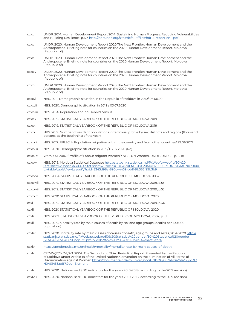| ccxxi           | UNDP. 2014. Human Development Report 2014. Sustaining Human Progress: Reducing Vulnerabilities<br>and Building Resilience, p.173 http://hdr.undp.org/sites/default/files/hdr14-report-en-1.pdf                                                                                                                       |
|-----------------|----------------------------------------------------------------------------------------------------------------------------------------------------------------------------------------------------------------------------------------------------------------------------------------------------------------------|
| ccxxii          | UNDP. 2020. Human Development Report 2020 The Next Frontier: Human Development and the<br>Anthropocene. Briefing note for countries on the 2020 Human Development Report. Moldova<br>(Republic of)                                                                                                                   |
| ccxxiii         | UNDP. 2020. Human Development Report 2020 The Next Frontier: Human Development and the<br>Anthropocene. Briefing note for countries on the 2020 Human Development Report. Moldova<br>(Republic of)                                                                                                                   |
| ccxxiv          | UNDP. 2020. Human Development Report 2020 The Next Frontier: Human Development and the<br>Anthropocene. Briefing note for countries on the 2020 Human Development Report. Moldova<br>(Republic of)                                                                                                                   |
| <b>CCXXV</b>    | UNDP. 2020. Human Development Report 2020 The Next Frontier: Human Development and the<br>Anthropocene. Briefing note for countries on the 2020 Human Development Report. Moldova<br>(Republic of)                                                                                                                   |
| ccxxvi          | NBS. 2011. Demographic situation in the Republic of Moldova in 2010/06.06.2011                                                                                                                                                                                                                                       |
| ccxxvii         | NBS. 2020. Demographic situation in 2019 / 03.07.2020                                                                                                                                                                                                                                                                |
| ccxxviii        | NBS. 2014. Population and household census                                                                                                                                                                                                                                                                           |
| ccxxix          | NBS, 2019. STATISTICAL YEARBOOK OF THE REPUBLIC OF MOLDOVA 2019                                                                                                                                                                                                                                                      |
| <b>CCXXX</b>    | NBS. 2019. STATISTICAL YEARBOOK OF THE REPUBLIC OF MOLDOVA 2019                                                                                                                                                                                                                                                      |
| <b>CCXXXI</b>   | NBS. 2019. Number of resident populations in territorial profile by sex, districts and regions (thousand<br>persons, at the beginning of the year)                                                                                                                                                                   |
| ccxxxii         | NBS. 2017. RPL2014: Population migration within the country and from other countries/29.06.2017                                                                                                                                                                                                                      |
| <b>CCXXXIII</b> | NBS. 2020. Demographic situation in 2019/03.07.2020 (Ro)                                                                                                                                                                                                                                                             |
| <b>CCXXXIV</b>  | Vremis M. 2016. "Profile of Labour migrant women"/ NBS, UN Women, UNDP, UNECE, p. 6, 18                                                                                                                                                                                                                              |
| <b>CCXXXV</b>   | NBS. 2018. Moldova Statistical Database http://statbank.statistica.md/PxWeb/pxweb/ro/30%20<br>Statistica%20sociala/30%20Statistica%20sociala_03%20FM_03%20MUN2000_MUN070/MUN070100.<br>px/table/tableViewLayout1/?rxid=2345d98a-890b-4459-bblf-9b565f99b3b9                                                          |
| CCXXXVI         | NBS. 2004. STATISTICAL YEARBOOK OF THE REPUBLIC OF MOLDOVA 2004                                                                                                                                                                                                                                                      |
| CCXXXVII        | NBS. 2019. STATISTICAL YEARBOOK OF THE REPUBLIC OF MOLDOVA 2019, p.55                                                                                                                                                                                                                                                |
| ccxxxviii       | NBS. 2019. STATISTICAL YEARBOOK OF THE REPUBLIC OF MOLDOVA 2019, p.55                                                                                                                                                                                                                                                |
| <b>CCXXXIX</b>  | NBS. 2020 STATISTICAL YEARBOOK OF THE REPUBLIC OF MOLDOVA, 2020                                                                                                                                                                                                                                                      |
| ccxl            | NBS. 2019. STATISTICAL YEARBOOK OF THE REPUBLIC OF MOLDOVA 2019, p.40                                                                                                                                                                                                                                                |
| ccxli           | NBS. 2020 STATISTICAL YEARBOOK OF THE REPUBLIC OF MOLDOVA, 2020                                                                                                                                                                                                                                                      |
| ccxlii          | NBS. 2002. STATISTICAL YEARBOOK OF THE REPUBLIC OF MOLDOVA, 2002, p. 51                                                                                                                                                                                                                                              |
| ccxliii         | NBS. 2019. Mortality rate by main causes of death by sex and age groups (deaths per 100,000<br>population)                                                                                                                                                                                                           |
| ccxliv          | NBS. 2020. Mortality rate by main classes of causes of death, age groups and sexes, 2014-2020 http://<br>statbank.statistica.md/PxWeb/pxweb/ro/50%20Statistica%20gender/50%20Statistica%20gender<br>GEN04/GEN040890pop_rcl.px/?rxid=b2ff27d7-0b96-43c9-934b-42e1a2a9a774                                             |
| ccxlv           | https://genderpulse.md/en/health/mortality/mortality-rate-by-main-causes-of-death                                                                                                                                                                                                                                    |
| ccxlvi          | CEDAW/C/MDA/2-3. 2004. The Second and Third Periodical Report Presented by the Republic<br>of Moldova under Article 18 of the United Nations Convention on the Elimination of All Forms of<br>Discrimination against Women https://documents-dds-ny.un.org/doc/UNDOC/GEN/N04/614/35/PDF/<br>N0461435.pdf?OpenElement |
| ccxlvii         | NBS. 2020. Nationalised SDG indicators for the years 2010-2018 (according to the 2019 revision)                                                                                                                                                                                                                      |

ccxlviii NBS. 2020. Nationalised SDG indicators for the years 2010-2018 (according to the 2019 revision)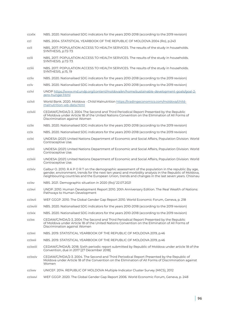- ccxlix NBS. 2020. Nationalised SDG indicators for the years 2010-2018 (according to the 2019 revision)
- ccl NBS. 2004. STATISTICAL YEARBOOK OF THE REPUBLIC OF MOLDOVA 2004 (Ro), p.243
- ccli NBS. 2017. POPULATION ACCESS TO HEALTH SERVICES. The results of the study in households. SYNTHESIS, p.72-73
- cclii NBS. 2017. POPULATION ACCESS TO HEALTH SERVICES. The results of the study in households. SYNTHESIS. p.72-73
- ccliii NBS. 2017. POPULATION ACCESS TO HEALTH SERVICES. The results of the study in households. SYNTHESIS, p.15, 19
- ccliv NBS. 2020. Nationalised SDG indicators for the years 2010-2018 (according to the 2019 revision)
- cclv NBS. 2020. Nationalised SDG indicators for the years 2010-2018 (according to the 2019 revision)
- cclvi UNDP [https://www.md.undp.org/content/moldova/en/home/sustainable-development-goals/goal-2](https://www.md.undp.org/content/moldova/en/home/sustainable-development-goals/goal-2-zero-hunger.html) [zero-hunger.html](https://www.md.undp.org/content/moldova/en/home/sustainable-development-goals/goal-2-zero-hunger.html)
- cclvii World Bank. 2020. Moldova Child Malnutrition [https://tradingeconomics.com/moldova/child](https://tradingeconomics.com/moldova/child-malnutrition-wb-data.html)[malnutrition-wb-data.html](https://tradingeconomics.com/moldova/child-malnutrition-wb-data.html)
- cclviii CEDAW/C/MDA/2-3, 2004 The Second and Third Periodical Report Presented by the Republic of Moldova under Article 18 of the United Nations Convention on the Elimination of All Forms of Discrimination against Women
- cclix NBS. 2020. Nationalised SDG indicators for the years 2010-2018 (according to the 2019 revision)
- cclx NBS. 2020. Nationalised SDG indicators for the years 2010-2018 (according to the 2019 revision)
- cclxi UNDESA (2021) United Nations Department of Economic and Social Affairs, Population Division. World Contraceptive Use.
- cclxii UNDESA (2021) United Nations Department of Economic and Social Affairs, Population Division. World Contraceptive Use.
- cclxiii UNDESA (2021) United Nations Department of Economic and Social Affairs, Population Division. World Contraceptive Use.
- cclxiv Galbur O. 2010. R A P O R T on the demographic assessment of the population in the republic (by age, gender, environment, trends for the next ten years) and morbidity analysis in the Republic of Moldova, neighbouring countries and the European Union, trends and changes in the last seven years. Chisinau
- cclxv NBS. 2021. Demographic situation in 2020 (Ro)/ 22.07.2021
- cclxvi UNDP. 2010. Human Development Report 2010. 20th Anniversary Edition. The Real Wealth of Nations: Pathways to Human Development
- cclxvii WEF GGGP. 2010. The Global Gender Gap Report 2010. World Economic Forum, Geneva, p. 218
- cclxviii NBS. 2020. Nationalised SDG indicators for the years 2010-2018 (according to the 2019 revision)
- cclxix NBS. 2020. Nationalised SDG indicators for the years 2010-2018 (according to the 2019 revision)
- cclxx CEDAW/C/MDA/2-3, 2004 The Second and Third Periodical Report Presented by the Republic of Moldova under Article 18 of the United Nations Convention on the Elimination of All Forms of Discrimination against Women
- cclxxi NBS. 2019. STATISTICAL YEARBOOK OF THE REPUBLIC OF MOLDOVA 2019, p.46
- cclxxii NBS. 2019. STATISTICAL YEARBOOK OF THE REPUBLIC OF MOLDOVA 2019, p.46
- cclxxiii CEDAW/C/MDA/6. 2018. Sixth periodic report submitted by Republic of Moldova under article 18 of the Convention, due in 2017 [27 December 2018]
- cclxxiv CEDAW/C/MDA/2-3. 2004. The Second and Third Periodical Report Presented by the Republic of Moldova under Article 18 of the Convention on the Elimination of All Forms of Discrimination against Women
- cclxxv UNICEF. 2014. REPUBLIC OF MOLDOVA Multiple Indicator Cluster Survey (MICS), 2012
- cclxxvi WEF GGGP. 2020. The Global Gender Gap Report 2006. World Economic Forum, Geneva, p. 248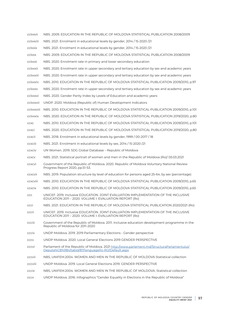| cclxxvii     | NBS. 2009. EDUCATION IN THE REPUBLIC OF MOLDOVA STATISTICAL PUBLICATION 2008/2009                                                                  |
|--------------|----------------------------------------------------------------------------------------------------------------------------------------------------|
| cclxxviii    | NBS. 2021. Enrolment in educational levels by gender, 2014 / 15-2020 / 21                                                                          |
| cclxxix      | NBS. 2021. Enrolment in educational levels by gender, 2014 / 15-2020 / 21                                                                          |
| cclxxx       | NBS. 2009. EDUCATION IN THE REPUBLIC OF MOLDOVA STATISTICAL PUBLICATION 2008/2009                                                                  |
| cclxxxi      | NBS. 2020. Enrolment rate in primary and lower secondary education                                                                                 |
| cclxxxii     | NBS. 2020. Enrolment rate in upper secondary and tertiary education by sex and academic years                                                      |
| cclxxxiii    | NBS. 2020. Enrolment rate in upper secondary and tertiary education by sex and academic years                                                      |
| cclxxxiv     | NBS. 2010. EDUCATION IN THE REPUBLIC OF MOLDOVA STATISTICAL PUBLICATION 2009/2010, p.97                                                            |
| cclxxxv      | NBS. 2020. Enrolment rate in upper secondary and tertiary education by sex and academic years                                                      |
| cclxxxvi     | NBS. 2020. Gender Parity Index by Levels of Education and academic years                                                                           |
| cclxxxvii    | UNDP. 2020. Moldova (Republic of) Human Development Indicators                                                                                     |
| cclxxxviii   | NBS. 2010. EDUCATION IN THE REPUBLIC OF MOLDOVA STATISTICAL PUBLICATION 2009/2010, p.101                                                           |
| cclxxxix     | NBS. 2020. EDUCATION IN THE REPUBLIC OF MOLDOVA STATISTICAL PUBLICATION 2019/2020, p.80                                                            |
| CCXC         | NBS. 2010. EDUCATION IN THE REPUBLIC OF MOLDOVA STATISTICAL PUBLICATION 2009/2010, p.101                                                           |
| ccxci        | NBS. 2020. EDUCATION IN THE REPUBLIC OF MOLDOVA STATISTICAL PUBLICATION 2019/2020, p.80                                                            |
| ccxcii       | NBS. 2018. Enrolment in educational levels by gender, 1999 / 00-2017 / 18                                                                          |
| ccxciii      | NBS. 2021. Enrolment in educational levels by sex, 2014 / 15-2020 / 21                                                                             |
| ccxciv       | UN Women. 2019. SDG Global Database - Republic of Moldova                                                                                          |
| <b>CCXCV</b> | NBS. 2021. Statistical portrait of women and men in the Republic of Moldova (Ro)/05.03.2021                                                        |
| ccxcvi       | Government of the Republic of Moldova. 2020. Republic of Moldova Voluntary National Review<br>Progress Report 2020, pp.51-53.                      |
| ccxcvii      | NBS. 2019. Population structure by level of education for persons aged 25-64, by sex (percentage)                                                  |
| ccxcviii     | NBS. 2010. EDUCATION IN THE REPUBLIC OF MOLDOVA STATISTICAL PUBLICATION 2009/2010, p.65                                                            |
| ccxcix       | NBS. 2010. EDUCATION IN THE REPUBLIC OF MOLDOVA STATISTICAL PUBLICATION 2009/2010, p.65                                                            |
| CCC          | UNICEF, 2019, Inclusive EDUCATION, JOINT EVALUATION IMPLEMENTATION OF THE INCLUSIVE<br>EDUCATION 2011 - 2020. VOLUME I: EVALUATION REPORT (Ro)     |
| ccci         | NBS. 2021. EDUCATION IN THE REPUBLIC OF MOLDOVA STATISTICAL PUBLICATION 2020/2021 (Ro)                                                             |
| cccii        | UNICEF, 2019. Inclusive EDUCATION, JOINT EVALUATION IMPLEMENTATION OF THE INCLUSIVE<br>EDUCATION 2011 - 2020. VOLUME I: EVALUATION REPORT (Ro)     |
| ccciii       | Government of the Republic of Moldova. 2011. Inclusive education development programme in the<br>Republic of Moldova for 2011-2020                 |
| <b>CCCIV</b> | UNDP Moldova. 2019. 2019 Parliamentary Elections - Gender perspective                                                                              |
| CCCV         | UNDP Moldova, 2020. Local General Elections 2019 GENDER PERSPECTIVE                                                                                |
| cccvi        | Parliament of the Republic of Moldova. 2021 http://www.parlament.md/StructuraParlamentului/<br>Deputa%C8%9Bii/tabid/87/language/ro-RO/Default.aspx |
| cccvii       | NBS, UNIFEM.2004. WOMEN AND MEN IN THE REPUBLIC OF MOLDOVA Statistical collection                                                                  |
| cccviii      | UNDP Moldova. 2019. Local General Elections 2019. GENDER PERSPECTIVE                                                                               |
| cccix        | NBS, UNIFEM.2004. WOMEN AND MEN IN THE REPUBLIC OF MOLDOVA. Statistical collection                                                                 |
| CCCX         | UNDP Moldova. 2016. Infographics "Gender Equality in Elections in the Republic of Moldova"                                                         |
|              |                                                                                                                                                    |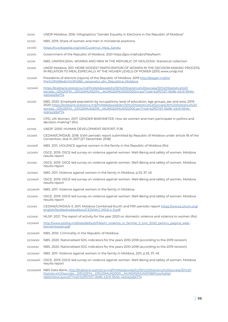- cccxi UNDP Moldova. 2016. Infographics "Gender Equality in Elections in the Republic of Moldova"
- cccxii NBS. 2019. Share of women and men in ministerial positions
- cccxiii [https://ro.wikipedia.org/wiki/Guvernul\\_Maia\\_Sandu](https://ro.wikipedia.org/wiki/Guvernul_Maia_Sandu)
- cccxiv Government of the Republic of Moldova. 2021 https://gov.md/ro/profiles/team
- cccxv NBS, UNIFEM.2004. WOMEN AND MEN IN THE REPUBLIC OF MOLDOVA. Statistical collection.
- cccxvi UNDP Moldova. 2011. MORE MODEST PARTICIPATION OF WOMEN IN THE DECISION-MAKING PROCESS, IN RELATION TO MEN, ESPECIALLY AT THE HIGHER LEVELS OF POWER (2011) www.undp.md
- cccxvii Presidents of districts (rayons) of the Republic of Moldova. 2019 [http://alegeri.md/w/](http://alegeri.md/w/Pre%C8%99edin%C8%9Bii_raioanelor_din_Republica_Moldova) [Pre%C8%99edin%C8%9Bii\\_raioanelor\\_din\\_Republica\\_Moldova](http://alegeri.md/w/Pre%C8%99edin%C8%9Bii_raioanelor_din_Republica_Moldova)
- cccxviii [https://statbank.statistica.md/PxWeb/pxweb/ro/30%20Statistica%20sociala/30%20Statistica%20](https://statbank.statistica.md/PxWeb/pxweb/ro/30%20Statistica%20sociala/30%20Statistica%20sociala__0) [sociala\\_\\_03%20FM\\_\\_03%20MUN2014\\_\\_MUN020/MUN120300rcl.px/?rxid=b2ff27d7-0b96-43c9-934b-](https://statbank.statistica.md/PxWeb/pxweb/ro/30%20Statistica%20sociala/30%20Statistica%20sociala__0)[42e1a2a9a774](https://statbank.statistica.md/PxWeb/pxweb/ro/30%20Statistica%20sociala/30%20Statistica%20sociala__0)
- cccxix NBS. 2020. Employed population by occupations, level of education, age groups, sex and area, 2019- 2020 [https://statbank.statistica.md/PxWeb/pxweb/en/30%20Statistica%20sociala/30%20Statistica%20](https://statbank.statistica.md/PxWeb/pxweb/en/30%20Statistica%20sociala/30%20Statistica%20sociala__0) [sociala\\_\\_03%20FM\\_\\_03%20MUN2019\\_\\_MUN020/MUN120300.px/?rxid=b2ff27d7-0b96-43c9-934b-](https://statbank.statistica.md/PxWeb/pxweb/en/30%20Statistica%20sociala/30%20Statistica%20sociala__0)[42e1a2a9a774](https://statbank.statistica.md/PxWeb/pxweb/en/30%20Statistica%20sociala/30%20Statistica%20sociala__0)
- cccxx CPD, UN Women. 2017. GENDER BAROMETER. How do women and men participate in politics and decision-making? (Ro)
- cccxxi UNDP. 2000. HUMAN DEVELOPMENT REPORT, P.36
- cccxxii CEDAW/C/MDA/6. 2018. Sixth periodic report submitted by Republic of Moldova under article 18 of the Convention, due in 2017 [27 December 2018]
- cccxxiii NBS. 2011. VIOLENCE against women in the family in the Republic of Moldova (Ro)
- cccxxiv OSCE. 2019. OSCE-led survey on violence against women. Well-Being and safety of women. Moldova results report
- cccxxv OSCE. 2019. OSCE-led survey on violence against women. Well-Being and safety of women. Moldova results report
- cccxxvi NBS. 2011. Violence against women in the family in Moldova, p.33, 37, 45
- cccxxvii OSCE. 2019. OSCE-led survey on violence against women. Well-Being and safety of women. Moldova results report
- cccxxviii NBS. 2011. Violence against women in the family in Moldova,
- cccxxix OSCE. 2019. OSCE-led survey on violence against women. Well-Being and safety of women. Moldova results report
- cccxxx CEDAW/C/MDA/4-5. 2011. Moldova Combined fourth and fifth periodic report [https://www2.ohchr.org/](https://www2.ohchr.org/english/bodies/cedaw/docs/CEDAW.C.MDA.4-5.pdf ) [english/bodies/cedaw/docs/CEDAW.C.MDA.4-5.pdf](https://www2.ohchr.org/english/bodies/cedaw/docs/CEDAW.C.MDA.4-5.pdf )
- cccxxxi MLSP. 2021. The report of activity for the year 2020 on domestic violence and violence to women (Ro)
- cccxxxii [http://www.politia.md/sites/default/files/ni\\_violenta\\_in\\_familie\\_3\\_luni\\_2020\\_pentru\\_pagina\\_web](http://www.politia.md/sites/default/files/ni_violenta_in_familie_3_luni_2020_pentru_pagina_web-konvertirovan.pdf)[konvertirovan.pdf](http://www.politia.md/sites/default/files/ni_violenta_in_familie_3_luni_2020_pentru_pagina_web-konvertirovan.pdf)
- cccxxxiii NBS. 2010. Criminality in the Republic of Moldova.
- cccxxxiv NBS. 2020. Nationalised SDG indicators for the years 2010-2018 (according to the 2019 revision)
- cccxxxv NBS. 2020. Nationalised SDG indicators for the years 2010-2018 (according to the 2019 revision)
- cccxxxvi NBS. 2011. Violence against women in the family in Moldova, 2011, p.33, 37, 45
- cccxxxvii OSCE. 2019. OSCE-led survey on violence against women. Well-Being and safety of women. Moldova results report

ccxxxviii NBS Data Bank, [http://statbank.statistica.md/PxWeb/pxweb/ro/30%20Statistica%20sociala/30%20](http://statbank.statistica.md/PxWeb/pxweb/ro/30%20Statistica%20sociala/30%20Statistica%20sociala__03) [Statistica%20sociala\\_\\_03%20FM\\_\\_03%20MUN2000\\_\\_MUN010/MUN010800.px/table/](http://statbank.statistica.md/PxWeb/pxweb/ro/30%20Statistica%20sociala/30%20Statistica%20sociala__03) [tableViewLayout1/?rxid=b2ff27d7-0b96-43c9-934b-42e1a2a9a774](http://statbank.statistica.md/PxWeb/pxweb/ro/30%20Statistica%20sociala/30%20Statistica%20sociala__03)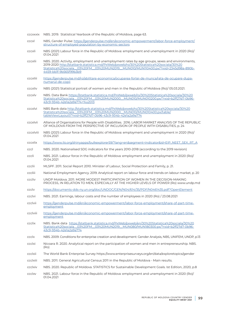- cccxxxix NBS. 2019. Statistical Yearbook of the Republic of Moldova, page 63.
- cccxl NBS, Gender Pulse: [https://genderpulse.md/en/economic-empowerment/labor-force-employment/](https://genderpulse.md/en/economic-empowerment/labor-force-employment/structure-of-employed-populati) [structure-of-employed-population-by-economic-sectors](https://genderpulse.md/en/economic-empowerment/labor-force-employment/structure-of-employed-populati)
- cccxli NBS (2021) Labour force in the Republic of Moldova: employment and unemployment in 2020 (Ro)/ 01.04.2021
- cccxlii NBS. 2020. Activity, employment and unemployment rates by age groups, sexes and environments, 2019-2020 [http://statbank.statistica.md/PxWeb/pxweb/ro/30%20Statistica%20sociala/30%20](http://statbank.statistica.md/PxWeb/pxweb/ro/30%20Statistica%20sociala/30%20Statistica%20sociala__03) [Statistica%20sociala\\_\\_03%20FM\\_\\_03%20MUN2019\\_\\_MUN010/MUN110400.px/?rxid=2345d98a-890b-](http://statbank.statistica.md/PxWeb/pxweb/ro/30%20Statistica%20sociala/30%20Statistica%20sociala__03)[4459-bb1f-9b565f99b3b9](http://statbank.statistica.md/PxWeb/pxweb/ro/30%20Statistica%20sociala/30%20Statistica%20sociala__03)
- cccxliii [https://genderpulse.md/ro/abilitare-economica/ocuparea-fortei-de-munca/rata-de-ocupare-dupa](https://genderpulse.md/ro/abilitare-economica/ocuparea-fortei-de-munca/rata-de-ocupare-dupa-numarul-)[numarul-de-copii](https://genderpulse.md/ro/abilitare-economica/ocuparea-fortei-de-munca/rata-de-ocupare-dupa-numarul-)
- cccxliv NBS (2021) Statistical portrait of women and men in the Republic of Moldova (Ro)/ 05.03.2021.
- cccxlv NBS. Data Bank [https://statbank.statistica.md/PxWeb/pxweb/ro/30%20Statistica%20sociala/30%20](https://statbank.statistica.md/PxWeb/pxweb/ro/30%20Statistica%20sociala/30%20Statistica%20sociala__0) [Statistica%20sociala\\_\\_03%20FM\\_\\_03%20MUN2000\\_\\_MUN010/MUN010200.px/?rxid=b2ff27d7-0b96-](https://statbank.statistica.md/PxWeb/pxweb/ro/30%20Statistica%20sociala/30%20Statistica%20sociala__0) [43c9-934b-42e1a2a9a774+%u2013](https://statbank.statistica.md/PxWeb/pxweb/ro/30%20Statistica%20sociala/30%20Statistica%20sociala__0)
- cccxlvi NBS Bank data [http://statbank.statistica.md/PxWeb/pxweb/ro/30%20Statistica%20sociala/30%20](http://statbank.statistica.md/PxWeb/pxweb/ro/30%20Statistica%20sociala/30%20Statistica%20sociala__03) [Statistica%20sociala\\_\\_03%20FM\\_\\_03%20MUN2000\\_\\_MUN010/MUN010400.px/table/](http://statbank.statistica.md/PxWeb/pxweb/ro/30%20Statistica%20sociala/30%20Statistica%20sociala__03) [tableViewLayout1/?rxid=b2ff27d7-0b96-43c9-934b-42e1a2a9a774](http://statbank.statistica.md/PxWeb/pxweb/ro/30%20Statistica%20sociala/30%20Statistica%20sociala__03)
- cccxlvii Alliance of Organisations for People with Disabilities. 2016. LABOR MARKET ANALYSIS OF THE REPUBLIC OF MOLDOVA FROM THE PERSPECTIVE OF INCLUSION OF PEOPLE WITH DISABILITIES, p. 24
- cccxlviii NBS (2021) Labour force in the Republic of Moldova: employment and unemployment in 2020 (Ro)/ 01.04.2021
- cccxlix [https://www.ilo.org/shinyapps/bulkexplorer59/?lang=en&segment=indicator&id=EIP\\_NEET\\_SEX\\_RT\\_A](https://www.ilo.org/shinyapps/bulkexplorer59/?lang=en&segment=indicator&id=EIP_NEET_SEX_RT_A)
- cccl NBS. 2020. Nationalised SDG indicators for the years 2010-2018 (according to the 2019 revision)
- cccli NBS. 2021. Labour force in the Republic of Moldova: employment and unemployment in 2020 (Ro)/ 01.04.2021
- ccclii MLSPF. 2011. Social Report 2010. Minister of Labour, Social Protection and Family, p. 21.
- cccliii National Employment Agency. 2019. Analytical report on labour force and trends on labour market, p. 20
- cccliv UNDP Moldova. 2011. MORE MODEST PARTICIPATION OF WOMEN IN THE DECISION-MAKING PROCESS, IN RELATION TO MEN, ESPECIALLY AT THE HIGHER LEVELS OF POWER (Ro) www.undp.md
- ccclv [https://documents-dds-ny.un.org/doc/UNDOC/GEN/N04/614/35/PDF/N0461435.pdf?OpenElement](https://documents-dds-ny.un.org/doc/UNDOC/GEN/N04/614/35/PDF/N0461435.pdf?OpenElement )
- ccclvi NBS. 2021. Earnings, labour costs and the number of employees in 2020 (Ro) / 23.08.2021
- ccclvii [https://genderpulse.md/en/economic-empowerment/labor-force-employment/share-of-part-time](https://genderpulse.md/en/economic-empowerment/labor-force-employment/share-of-part-time-employment)[employment](https://genderpulse.md/en/economic-empowerment/labor-force-employment/share-of-part-time-employment)
- ccclviii [https://genderpulse.md/en/economic-empowerment/labor-force-employment/share-of-part-time](https://genderpulse.md/en/economic-empowerment/labor-force-employment/share-of-part-time-employment)[employment](https://genderpulse.md/en/economic-empowerment/labor-force-employment/share-of-part-time-employment)
- ccclix NBS. Bank data [https://statbank.statistica.md/PxWeb/pxweb/en/30%20Statistica%20sociala/30%20](https://statbank.statistica.md/PxWeb/pxweb/en/30%20Statistica%20sociala/30%20Statistica%20sociala__0) [Statistica%20sociala\\_\\_03%20FM\\_\\_03%20MUN2019\\_\\_MUN080/MUN180300.px/?rxid=b2ff27d7-0b96-](https://statbank.statistica.md/PxWeb/pxweb/en/30%20Statistica%20sociala/30%20Statistica%20sociala__0) [43c9-934b-42e1a2a9a774](https://statbank.statistica.md/PxWeb/pxweb/en/30%20Statistica%20sociala/30%20Statistica%20sociala__0)
- ccclx NBS. 2009. Conditions for enterprise creation and development: Gender Analysis, NBS, UNIFEM, UNDP, p.13
- ccclxi Nicoara R. 2020. Analytical report on the participation of women and men in entrepreneurship. NBS. (Ro)
- ccclxii The World Bank Enterprise Survey https://www.enterprisesurveys.org/en/data/exploretopics/gender
- ccclxiii NBS. 2011. General Agricultural Census 2011 in the Republic of Moldova Main results.
- ccclxiv NBS. 2020. Republic of Moldova. STATISTICS for Sustainable Development Goals. Ist Edition, 2020, p.8
- ccclxv NBS. 2021. Labour force in the Republic of Moldova: employment and unemployment in 2020 (Ro)/ 01.04.2021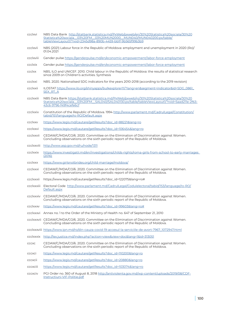ccclxvi NBS Data Bank [http://statbank.statistica.md/PxWeb/pxweb/en/30%20Statistica%20sociala/30%20](http://statbank.statistica.md/PxWeb/pxweb/en/30%20Statistica%20sociala/30%20Statistica%20sociala__03) Statistica%20sociala\_03%20FM\_03%20MUN2000\_MUN040/MUN040200.px/table/ [tableViewLayout1/?rxid=2345d98a-890b-4459-bb1f-9b565f99b3b9](http://statbank.statistica.md/PxWeb/pxweb/en/30%20Statistica%20sociala/30%20Statistica%20sociala__03) ccclxvii NBS (2021) Labour force in the Republic of Moldova: employment and unemployment in 2020 (Ro)/ 01.04.2021 ccclxviii Gender pulse<https://genderpulse.md/en/economic-empowerment/labor-force-employment> ccclxix Gender pulse<https://genderpulse.md/en/economic-empowerment/labor-force-employment> ccclxx NBS, ILO and UNICEF. 2010. Child labour in the Republic of Moldova: the results of statistical research since 2009 on Children's activities. Synthesis ccclxxi NBS. 2020. Nationalised SDG indicators for the years 2010-2018 (according to the 2019 revision) ccclxxii ILOSTAT [https://www.ilo.org/shinyapps/bulkexplorer11/?lang=en&segment=indicator&id=SDG\\_0861\\_](https://www.ilo.org/shinyapps/bulkexplorer11/?lang=en&segment=indicator&id=SDG_0861_SEX_RT_A) [SEX\\_RT\\_A](https://www.ilo.org/shinyapps/bulkexplorer11/?lang=en&segment=indicator&id=SDG_0861_SEX_RT_A) ccclxxiii NBS Data Bank [https://statbank.statistica.md/PxWeb/pxweb/ro/30%20Statistica%20sociala/30%20](https://statbank.statistica.md/PxWeb/pxweb/ro/30%20Statistica%20sociala/30%20Statistica%20sociala__0) [Statistica%20sociala\\_\\_03%20FM\\_\\_SAL040/SAL040130.px/table/tableViewLayout1/?rxid=5aad211e-2f63-](https://statbank.statistica.md/PxWeb/pxweb/ro/30%20Statistica%20sociala/30%20Statistica%20sociala__0) [43c6-9796-f49f4cefe6cf](https://statbank.statistica.md/PxWeb/pxweb/ro/30%20Statistica%20sociala/30%20Statistica%20sociala__0) ccclxxiv Constitution of the Republic of Moldova. 1994 [http://www.parlament.md/CadrulLegal/Constitution/](http://www.parlament.md/CadrulLegal/Constitution/tabid/151/language/ro-RO/Default.aspx) [tabid/151/language/ro-RO/Default.aspx](http://www.parlament.md/CadrulLegal/Constitution/tabid/151/language/ro-RO/Default.aspx) ccclxxv [https://www.legis.md/cautare/getResults?doc\\_id=88221&lang=ro](https://www.legis.md/cautare/getResults?doc_id=88221&lang=ro) ccclxxvi [https://www.legis.md/cautare/getResults?doc\\_id=106454&lang=ro](https://www.legis.md/cautare/getResults?doc_id=106454&lang=ro) ccclxxvii CEDAW/C/MDA/CO/6. 2020. Committee on the Elimination of Discrimination against Women. Concluding observations on the sixth periodic report of the Republic of Moldova. ccclxxviii <http://www.asp.gov.md/ru/node/1311> ccclxxix [https://www.investigatii.md/en/investigations/childs-rights/roma-girls-from-school-to-early-marriages](https://www.investigatii.md/en/investigations/childs-rights/roma-girls-from-school-to-early-marriage)  [\(2016\)](https://www.investigatii.md/en/investigations/childs-rights/roma-girls-from-school-to-early-marriage) ccclxxx <https://www.girlsnotbrides.org/child-marriage/moldova/> ccclxxxi CEDAW/C/MDA/CO/6. 2020. Committee on the Elimination of Discrimination against Women. Concluding observations on the sixth periodic report of the Republic of Moldova. ccclxxxii https://www.legis.md/cautare/getResults?doc\_id=122075&lang=ro# ccclxxxiii Electoral Code [http://www.parlament.md/CadrulLegal/Codulelectoral/tabid/153/language/ro-RO/](http://www.parlament.md/CadrulLegal/Codulelectoral/tabid/153/language/ro-RO/Default.aspx) [Default.aspx](http://www.parlament.md/CadrulLegal/Codulelectoral/tabid/153/language/ro-RO/Default.aspx) ccclxxxiv CEDAW/C/MDA/CO/6. 2020. Committee on the Elimination of Discrimination against Women. Concluding observations on the sixth periodic report of the Republic of Moldova. ccclxxxv [https://www.legis.md/cautare/getResults?doc\\_id=99603&lang=ro#](https://www.legis.md/cautare/getResults?doc_id=99603&lang=ro#) ccclxxxvi Annex no. 1 to the Order of the Ministry of Health no. 647 of September 21, 2010 ccclxxxvii CEDAW/C/MDA/CO/6. 2020. Committee on the Elimination of Discrimination against Women. Concluding observations on the sixth periodic report of the Republic of Moldova. ccclxxxviii [https://www.ipn.md/ro/din-cauza-covid-19-accesul-la-serviciile-de-avort-7967\\_1072947.html](https://www.ipn.md/ro/din-cauza-covid-19-accesul-la-serviciile-de-avort-7967_1072947.html) ccclxxxix <http://lex.justice.md/index.php?action=view&view=doc&lang=1&id=313051> cccxc CEDAW/C/MDA/CO/6. 2020. Committee on the Elimination of Discrimination against Women. Concluding observations on the sixth periodic report of the Republic of Moldova. cccxci [https://www.legis.md/cautare/getResults?doc\\_id=110200&lang=ro](https://www.legis.md/cautare/getResults?doc_id=110200&lang=ro) cccxcii [https://www.legis.md/cautare/getResults?doc\\_id=20880&lang=ro](https://www.legis.md/cautare/getResults?doc_id=20880&lang=ro) cccxciii [https://www.legis.md/cautare/getResults?doc\\_id=103074&lang=ro](https://www.legis.md/cautare/getResults?doc_id=103074&lang=ro) cccxciv PGI Order no. 360 of August 8, 2018 [http://antiviolenta.gov.md/wp-content/uploads/2019/08/CDF-](http://antiviolenta.gov.md/wp-content/uploads/2019/08/CDF-Instructiuni-VIF-Politie.pdf )[Instructiuni-VIF-Politie.pdf](http://antiviolenta.gov.md/wp-content/uploads/2019/08/CDF-Instructiuni-VIF-Politie.pdf )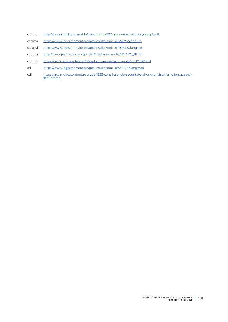- cccxcv [http://old.mmpsf.gov.md/file/documente%20interne/instructiuni\\_dsaspf.pdf](http://old.mmpsf.gov.md/file/documente%20interne/instructiuni_dsaspf.pdf )
- cccxcvi [https://www.legis.md/cautare/getResults?doc\\_id=22673&lang=ro](https://www.legis.md/cautare/getResults?doc_id=22673&lang=ro)
- cccxcvii [https://www.legis.md/cautare/getResults?doc\\_id=99875&lang=ro](https://www.legis.md/cautare/getResults?doc_id=99875&lang=ro)
- cccxcviii [http://www.justice.gov.md/public/files/massmedia/PNADO\\_III.pdf](http://www.justice.gov.md/public/files/massmedia/PNADO_III.pdf)
- cccxcix [https://gov.md/sites/default/files/document/attachments/intr12\\_170.pdf](https://gov.md/sites/default/files/document/attachments/intr12_170.pdf)
- cd [https://www.legis.md/cautare/getResults?doc\\_id=28998&lang=ro#](https://www.legis.md/cautare/getResults?doc_id=28998&lang=ro#)
- cdi [https://gov.md/ro/content/re olutia-1325-consiliului-de-securitate-al-onu-privind-femeile-pacea-si](https://gov.md/ro/content/re olutia-1325-consiliului-de-securitate-al-onu-privind-femeile-pacea-si-s)[securitatea](https://gov.md/ro/content/re olutia-1325-consiliului-de-securitate-al-onu-privind-femeile-pacea-si-s)